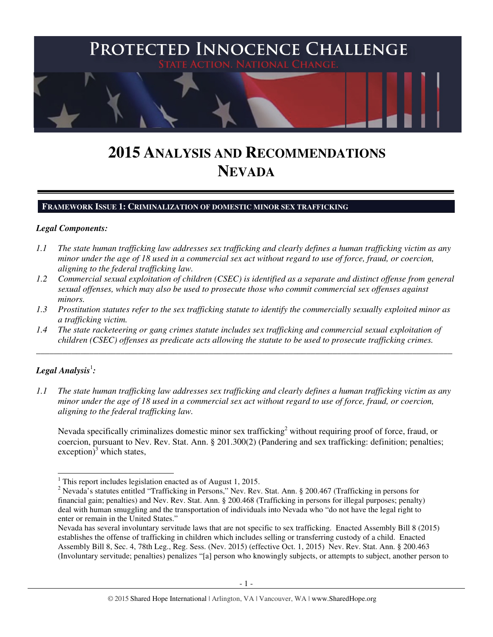

# **2015 ANALYSIS AND RECOMMENDATIONS NEVADA**

## **FRAMEWORK ISSUE 1: CRIMINALIZATION OF DOMESTIC MINOR SEX TRAFFICKING**

#### *Legal Components:*

- *1.1 The state human trafficking law addresses sex trafficking and clearly defines a human trafficking victim as any minor under the age of 18 used in a commercial sex act without regard to use of force, fraud, or coercion, aligning to the federal trafficking law.*
- *1.2 Commercial sexual exploitation of children (CSEC) is identified as a separate and distinct offense from general sexual offenses, which may also be used to prosecute those who commit commercial sex offenses against minors.*
- *1.3 Prostitution statutes refer to the sex trafficking statute to identify the commercially sexually exploited minor as a trafficking victim.*

\_\_\_\_\_\_\_\_\_\_\_\_\_\_\_\_\_\_\_\_\_\_\_\_\_\_\_\_\_\_\_\_\_\_\_\_\_\_\_\_\_\_\_\_\_\_\_\_\_\_\_\_\_\_\_\_\_\_\_\_\_\_\_\_\_\_\_\_\_\_\_\_\_\_\_\_\_\_\_\_\_\_\_\_\_\_\_\_\_\_\_\_\_\_

*1.4 The state racketeering or gang crimes statute includes sex trafficking and commercial sexual exploitation of children (CSEC) offenses as predicate acts allowing the statute to be used to prosecute trafficking crimes.* 

# ${\it Legal Analysis^!}$ :

*1.1 The state human trafficking law addresses sex trafficking and clearly defines a human trafficking victim as any minor under the age of 18 used in a commercial sex act without regard to use of force, fraud, or coercion, aligning to the federal trafficking law.*

Nevada specifically criminalizes domestic minor sex trafficking<sup>2</sup> without requiring proof of force, fraud, or coercion, pursuant to Nev. Rev. Stat. Ann. § 201.300(2) (Pandering and sex trafficking: definition; penalties; exception)<sup>3</sup> which states,

<sup>&</sup>lt;sup>1</sup> This report includes legislation enacted as of August 1, 2015.

<sup>&</sup>lt;sup>2</sup> Nevada's statutes entitled "Trafficking in Persons," Nev. Rev. Stat. Ann. § 200.467 (Trafficking in persons for financial gain; penalties) and Nev. Rev. Stat. Ann. § 200.468 (Trafficking in persons for illegal purposes; penalty) deal with human smuggling and the transportation of individuals into Nevada who "do not have the legal right to enter or remain in the United States."

Nevada has several involuntary servitude laws that are not specific to sex trafficking. Enacted Assembly Bill 8 (2015) establishes the offense of trafficking in children which includes selling or transferring custody of a child. Enacted Assembly Bill 8, Sec. 4, 78th Leg., Reg. Sess. (Nev. 2015) (effective Oct. 1, 2015) Nev. Rev. Stat. Ann. § 200.463 (Involuntary servitude; penalties) penalizes "[a] person who knowingly subjects, or attempts to subject, another person to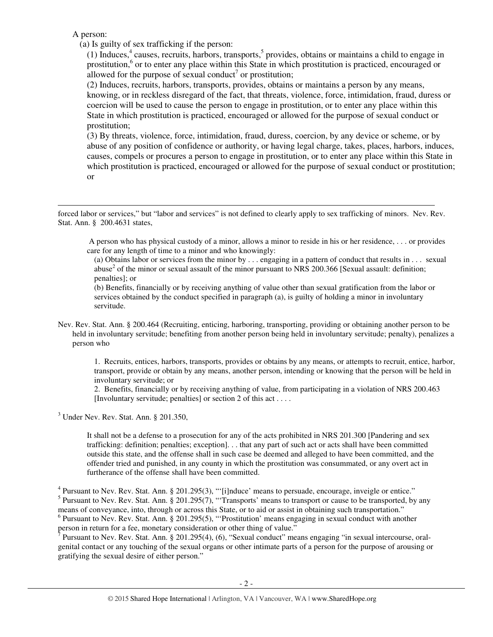A person:

-

(a) Is guilty of sex trafficking if the person:

(1) Induces, $4$  causes, recruits, harbors, transports, $5$  provides, obtains or maintains a child to engage in prostitution,<sup>6</sup> or to enter any place within this State in which prostitution is practiced, encouraged or allowed for the purpose of sexual conduct<sup>7</sup> or prostitution;

(2) Induces, recruits, harbors, transports, provides, obtains or maintains a person by any means, knowing, or in reckless disregard of the fact, that threats, violence, force, intimidation, fraud, duress or coercion will be used to cause the person to engage in prostitution, or to enter any place within this State in which prostitution is practiced, encouraged or allowed for the purpose of sexual conduct or prostitution;

(3) By threats, violence, force, intimidation, fraud, duress, coercion, by any device or scheme, or by abuse of any position of confidence or authority, or having legal charge, takes, places, harbors, induces, causes, compels or procures a person to engage in prostitution, or to enter any place within this State in which prostitution is practiced, encouraged or allowed for the purpose of sexual conduct or prostitution; or

forced labor or services," but "labor and services" is not defined to clearly apply to sex trafficking of minors. Nev. Rev. Stat. Ann. § 200.4631 states,

 A person who has physical custody of a minor, allows a minor to reside in his or her residence, . . . or provides care for any length of time to a minor and who knowingly:

(a) Obtains labor or services from the minor by . . . engaging in a pattern of conduct that results in . . . sexual abuse<sup>2</sup> of the minor or sexual assault of the minor pursuant to NRS 200.366 [Sexual assault: definition; penalties]; or

(b) Benefits, financially or by receiving anything of value other than sexual gratification from the labor or services obtained by the conduct specified in paragraph (a), is guilty of holding a minor in involuntary servitude.

Nev. Rev. Stat. Ann. § 200.464 (Recruiting, enticing, harboring, transporting, providing or obtaining another person to be held in involuntary servitude; benefiting from another person being held in involuntary servitude; penalty), penalizes a person who

1. Recruits, entices, harbors, transports, provides or obtains by any means, or attempts to recruit, entice, harbor, transport, provide or obtain by any means, another person, intending or knowing that the person will be held in involuntary servitude; or

2. Benefits, financially or by receiving anything of value, from participating in a violation of NRS 200.463 [Involuntary servitude; penalties] or section 2 of this act . . . .

3 Under Nev. Rev. Stat. Ann. § 201.350,

It shall not be a defense to a prosecution for any of the acts prohibited in NRS 201.300 [Pandering and sex trafficking: definition; penalties; exception]. . . that any part of such act or acts shall have been committed outside this state, and the offense shall in such case be deemed and alleged to have been committed, and the offender tried and punished, in any county in which the prostitution was consummated, or any overt act in furtherance of the offense shall have been committed.

<sup>4</sup> Pursuant to Nev. Rev. Stat. Ann. § 201.295(3), "'[i]nduce' means to persuade, encourage, inveigle or entice." <sup>5</sup> Pursuant to Nev. Rev. Stat. Ann. § 201.295(7), "Transports' means to transport or cause to be transported, by any means of conveyance, into, through or across this State, or to aid or assist in obtaining such transportation."  $6$  Pursuant to Nev. Rev. Stat. Ann. § 201.295(5), "Prostitution' means engaging in sexual conduct with another person in return for a fee, monetary consideration or other thing of value."

<sup>7</sup> Pursuant to Nev. Rev. Stat. Ann. § 201.295(4), (6), "Sexual conduct" means engaging "in sexual intercourse, oralgenital contact or any touching of the sexual organs or other intimate parts of a person for the purpose of arousing or gratifying the sexual desire of either person."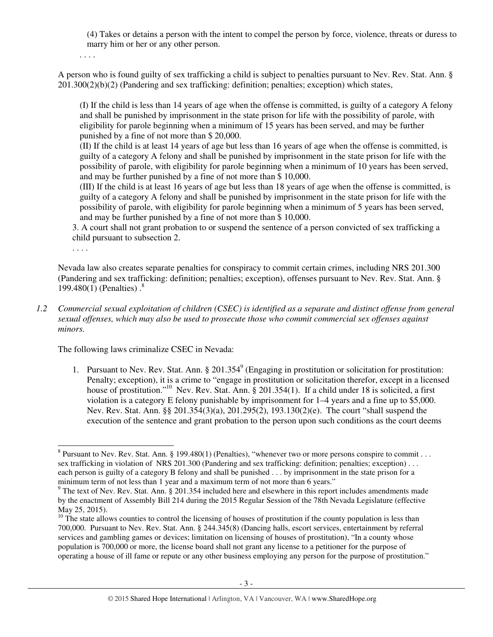(4) Takes or detains a person with the intent to compel the person by force, violence, threats or duress to marry him or her or any other person.

. . . .

A person who is found guilty of sex trafficking a child is subject to penalties pursuant to Nev. Rev. Stat. Ann. § 201.300(2)(b)(2) (Pandering and sex trafficking: definition; penalties; exception) which states,

(I) If the child is less than 14 years of age when the offense is committed, is guilty of a category A felony and shall be punished by imprisonment in the state prison for life with the possibility of parole, with eligibility for parole beginning when a minimum of 15 years has been served, and may be further punished by a fine of not more than \$ 20,000.

(II) If the child is at least 14 years of age but less than 16 years of age when the offense is committed, is guilty of a category A felony and shall be punished by imprisonment in the state prison for life with the possibility of parole, with eligibility for parole beginning when a minimum of 10 years has been served, and may be further punished by a fine of not more than \$ 10,000.

(III) If the child is at least 16 years of age but less than 18 years of age when the offense is committed, is guilty of a category A felony and shall be punished by imprisonment in the state prison for life with the possibility of parole, with eligibility for parole beginning when a minimum of 5 years has been served, and may be further punished by a fine of not more than \$ 10,000.

3. A court shall not grant probation to or suspend the sentence of a person convicted of sex trafficking a child pursuant to subsection 2.

. . . .

Nevada law also creates separate penalties for conspiracy to commit certain crimes, including NRS 201.300 (Pandering and sex trafficking: definition; penalties; exception), offenses pursuant to Nev. Rev. Stat. Ann. § 199.480(1) (Penalties)  $.^8$ 

*1.2 Commercial sexual exploitation of children (CSEC) is identified as a separate and distinct offense from general sexual offenses, which may also be used to prosecute those who commit commercial sex offenses against minors.*

The following laws criminalize CSEC in Nevada:

1. Pursuant to Nev. Rev. Stat. Ann.  $\S 201.354^9$  (Engaging in prostitution or solicitation for prostitution: Penalty; exception), it is a crime to "engage in prostitution or solicitation therefor, except in a licensed house of prostitution."<sup>10</sup> Nev. Rev. Stat. Ann. § 201.354(1). If a child under 18 is solicited, a first violation is a category E felony punishable by imprisonment for 1–4 years and a fine up to \$5,000. Nev. Rev. Stat. Ann. §§ 201.354(3)(a), 201.295(2), 193.130(2)(e). The court "shall suspend the execution of the sentence and grant probation to the person upon such conditions as the court deems

<sup>&</sup>lt;sup>8</sup> Pursuant to Nev. Rev. Stat. Ann. § 199.480(1) (Penalties), "whenever two or more persons conspire to commit . . . sex trafficking in violation of NRS 201.300 (Pandering and sex trafficking: definition; penalties; exception) . . . each person is guilty of a category B felony and shall be punished . . . by imprisonment in the state prison for a minimum term of not less than 1 year and a maximum term of not more than 6 years."

 $9$  The text of Nev. Rev. Stat. Ann. § 201.354 included here and elsewhere in this report includes amendments made by the enactment of Assembly Bill 214 during the 2015 Regular Session of the 78th Nevada Legislature (effective May 25, 2015).

 $10$  The state allows counties to control the licensing of houses of prostitution if the county population is less than 700,000. Pursuant to Nev. Rev. Stat. Ann. § 244.345(8) (Dancing halls, escort services, entertainment by referral services and gambling games or devices; limitation on licensing of houses of prostitution), "In a county whose population is 700,000 or more, the license board shall not grant any license to a petitioner for the purpose of operating a house of ill fame or repute or any other business employing any person for the purpose of prostitution."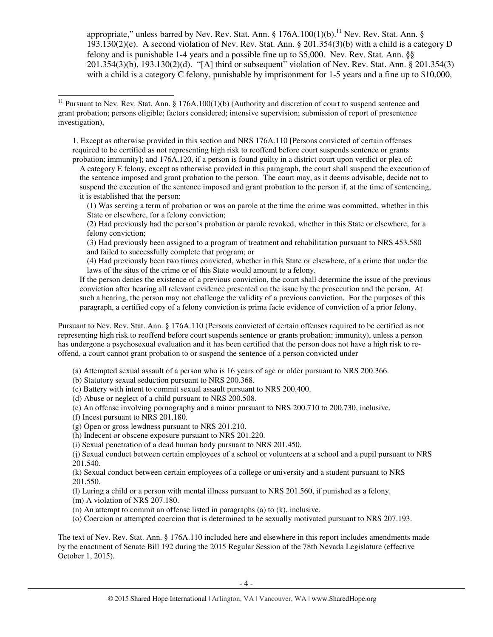appropriate," unless barred by Nev. Rev. Stat. Ann.  $\S 176A.100(1)(b)$ .<sup>11</sup> Nev. Rev. Stat. Ann.  $\S$ 193.130(2)(e). A second violation of Nev. Rev. Stat. Ann. § 201.354(3)(b) with a child is a category D felony and is punishable 1-4 years and a possible fine up to \$5,000. Nev. Rev. Stat. Ann. §§ 201.354(3)(b), 193.130(2)(d). "[A] third or subsequent" violation of Nev. Rev. Stat. Ann. § 201.354(3) with a child is a category C felony, punishable by imprisonment for 1-5 years and a fine up to \$10,000,

1. Except as otherwise provided in this section and NRS 176A.110 [Persons convicted of certain offenses required to be certified as not representing high risk to reoffend before court suspends sentence or grants probation; immunity]; and 176A.120, if a person is found guilty in a district court upon verdict or plea of:

A category E felony, except as otherwise provided in this paragraph, the court shall suspend the execution of the sentence imposed and grant probation to the person. The court may, as it deems advisable, decide not to suspend the execution of the sentence imposed and grant probation to the person if, at the time of sentencing, it is established that the person:

(1) Was serving a term of probation or was on parole at the time the crime was committed, whether in this State or elsewhere, for a felony conviction;

(2) Had previously had the person's probation or parole revoked, whether in this State or elsewhere, for a felony conviction;

(3) Had previously been assigned to a program of treatment and rehabilitation pursuant to NRS 453.580 and failed to successfully complete that program; or

(4) Had previously been two times convicted, whether in this State or elsewhere, of a crime that under the laws of the situs of the crime or of this State would amount to a felony.

If the person denies the existence of a previous conviction, the court shall determine the issue of the previous conviction after hearing all relevant evidence presented on the issue by the prosecution and the person. At such a hearing, the person may not challenge the validity of a previous conviction. For the purposes of this paragraph, a certified copy of a felony conviction is prima facie evidence of conviction of a prior felony.

Pursuant to Nev. Rev. Stat. Ann. § 176A.110 (Persons convicted of certain offenses required to be certified as not representing high risk to reoffend before court suspends sentence or grants probation; immunity), unless a person has undergone a psychosexual evaluation and it has been certified that the person does not have a high risk to reoffend, a court cannot grant probation to or suspend the sentence of a person convicted under

(a) Attempted sexual assault of a person who is 16 years of age or older pursuant to NRS 200.366.

(b) Statutory sexual seduction pursuant to NRS 200.368.

(c) Battery with intent to commit sexual assault pursuant to NRS 200.400.

(d) Abuse or neglect of a child pursuant to NRS 200.508.

(e) An offense involving pornography and a minor pursuant to NRS 200.710 to 200.730, inclusive.

(f) Incest pursuant to NRS 201.180.

-

(g) Open or gross lewdness pursuant to NRS 201.210.

(h) Indecent or obscene exposure pursuant to NRS 201.220.

(i) Sexual penetration of a dead human body pursuant to NRS 201.450.

(j) Sexual conduct between certain employees of a school or volunteers at a school and a pupil pursuant to NRS 201.540.

(k) Sexual conduct between certain employees of a college or university and a student pursuant to NRS 201.550.

(l) Luring a child or a person with mental illness pursuant to NRS 201.560, if punished as a felony.

(m) A violation of NRS 207.180.

(n) An attempt to commit an offense listed in paragraphs (a) to (k), inclusive.

(o) Coercion or attempted coercion that is determined to be sexually motivated pursuant to NRS 207.193.

The text of Nev. Rev. Stat. Ann. § 176A.110 included here and elsewhere in this report includes amendments made by the enactment of Senate Bill 192 during the 2015 Regular Session of the 78th Nevada Legislature (effective October 1, 2015).

<sup>&</sup>lt;sup>11</sup> Pursuant to Nev. Rev. Stat. Ann. § 176A.100(1)(b) (Authority and discretion of court to suspend sentence and grant probation; persons eligible; factors considered; intensive supervision; submission of report of presentence investigation),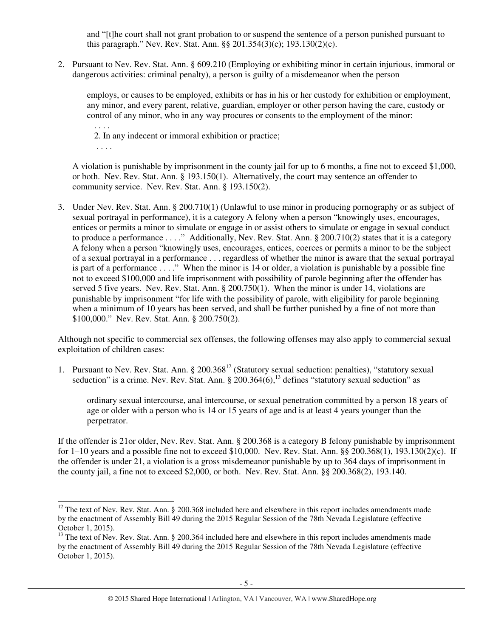and "[t]he court shall not grant probation to or suspend the sentence of a person punished pursuant to this paragraph." Nev. Rev. Stat. Ann. §§ 201.354(3)(c); 193.130(2)(c).

2. Pursuant to Nev. Rev. Stat. Ann. § 609.210 (Employing or exhibiting minor in certain injurious, immoral or dangerous activities: criminal penalty), a person is guilty of a misdemeanor when the person

employs, or causes to be employed, exhibits or has in his or her custody for exhibition or employment, any minor, and every parent, relative, guardian, employer or other person having the care, custody or control of any minor, who in any way procures or consents to the employment of the minor: . . . .

2. In any indecent or immoral exhibition or practice;

. . . .

j

A violation is punishable by imprisonment in the county jail for up to 6 months, a fine not to exceed \$1,000, or both. Nev. Rev. Stat. Ann. § 193.150(1). Alternatively, the court may sentence an offender to community service. Nev. Rev. Stat. Ann. § 193.150(2).

3. Under Nev. Rev. Stat. Ann. § 200.710(1) (Unlawful to use minor in producing pornography or as subject of sexual portrayal in performance), it is a category A felony when a person "knowingly uses, encourages, entices or permits a minor to simulate or engage in or assist others to simulate or engage in sexual conduct to produce a performance . . . ." Additionally, Nev. Rev. Stat. Ann. § 200.710(2) states that it is a category A felony when a person "knowingly uses, encourages, entices, coerces or permits a minor to be the subject of a sexual portrayal in a performance . . . regardless of whether the minor is aware that the sexual portrayal is part of a performance . . . ." When the minor is 14 or older, a violation is punishable by a possible fine not to exceed \$100,000 and life imprisonment with possibility of parole beginning after the offender has served 5 five years. Nev. Rev. Stat. Ann. § 200.750(1). When the minor is under 14, violations are punishable by imprisonment "for life with the possibility of parole, with eligibility for parole beginning when a minimum of 10 years has been served, and shall be further punished by a fine of not more than \$100,000." Nev. Rev. Stat. Ann. § 200.750(2).

Although not specific to commercial sex offenses, the following offenses may also apply to commercial sexual exploitation of children cases:

1. Pursuant to Nev. Rev. Stat. Ann. § 200.368<sup>12</sup> (Statutory sexual seduction: penalties), "statutory sexual seduction" is a crime. Nev. Rev. Stat. Ann.  $\S 200.364(6)$ ,  $\frac{13}{13}$  defines "statutory sexual seduction" as

ordinary sexual intercourse, anal intercourse, or sexual penetration committed by a person 18 years of age or older with a person who is 14 or 15 years of age and is at least 4 years younger than the perpetrator.

If the offender is 21or older, Nev. Rev. Stat. Ann. § 200.368 is a category B felony punishable by imprisonment for 1–10 years and a possible fine not to exceed \$10,000. Nev. Rev. Stat. Ann. §§ 200.368(1), 193.130(2)(c). If the offender is under 21, a violation is a gross misdemeanor punishable by up to 364 days of imprisonment in the county jail, a fine not to exceed \$2,000, or both. Nev. Rev. Stat. Ann. §§ 200.368(2), 193.140.

 $12$  The text of Nev. Rev. Stat. Ann. § 200.368 included here and elsewhere in this report includes amendments made by the enactment of Assembly Bill 49 during the 2015 Regular Session of the 78th Nevada Legislature (effective October 1, 2015).

 $13$  The text of Nev. Rev. Stat. Ann. § 200.364 included here and elsewhere in this report includes amendments made by the enactment of Assembly Bill 49 during the 2015 Regular Session of the 78th Nevada Legislature (effective October 1, 2015).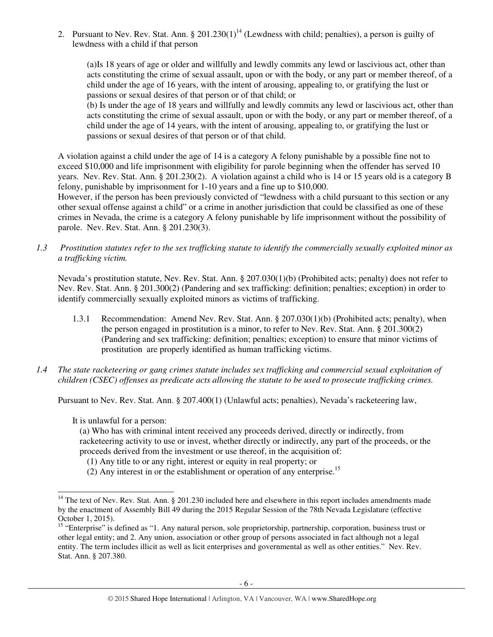2. Pursuant to Nev. Rev. Stat. Ann.  $\S 201.230(1)^{14}$  (Lewdness with child; penalties), a person is guilty of lewdness with a child if that person

(a)Is 18 years of age or older and willfully and lewdly commits any lewd or lascivious act, other than acts constituting the crime of sexual assault, upon or with the body, or any part or member thereof, of a child under the age of 16 years, with the intent of arousing, appealing to, or gratifying the lust or passions or sexual desires of that person or of that child; or

(b) Is under the age of 18 years and willfully and lewdly commits any lewd or lascivious act, other than acts constituting the crime of sexual assault, upon or with the body, or any part or member thereof, of a child under the age of 14 years, with the intent of arousing, appealing to, or gratifying the lust or passions or sexual desires of that person or of that child.

A violation against a child under the age of 14 is a category A felony punishable by a possible fine not to exceed \$10,000 and life imprisonment with eligibility for parole beginning when the offender has served 10 years. Nev. Rev. Stat. Ann. § 201.230(2). A violation against a child who is 14 or 15 years old is a category B felony, punishable by imprisonment for 1-10 years and a fine up to \$10,000.

However, if the person has been previously convicted of "lewdness with a child pursuant to this section or any other sexual offense against a child" or a crime in another jurisdiction that could be classified as one of these crimes in Nevada, the crime is a category A felony punishable by life imprisonment without the possibility of parole. Nev. Rev. Stat. Ann. § 201.230(3).

*1.3 Prostitution statutes refer to the sex trafficking statute to identify the commercially sexually exploited minor as a trafficking victim.* 

Nevada's prostitution statute, Nev. Rev. Stat. Ann. § 207.030(1)(b) (Prohibited acts; penalty) does not refer to Nev. Rev. Stat. Ann. § 201.300(2) (Pandering and sex trafficking: definition; penalties; exception) in order to identify commercially sexually exploited minors as victims of trafficking.

- 1.3.1 Recommendation: Amend Nev. Rev. Stat. Ann. § 207.030(1)(b) (Prohibited acts; penalty), when the person engaged in prostitution is a minor, to refer to Nev. Rev. Stat. Ann. § 201.300(2) (Pandering and sex trafficking: definition; penalties; exception) to ensure that minor victims of prostitution are properly identified as human trafficking victims.
- *1.4 The state racketeering or gang crimes statute includes sex trafficking and commercial sexual exploitation of children (CSEC) offenses as predicate acts allowing the statute to be used to prosecute trafficking crimes.*

Pursuant to Nev. Rev. Stat. Ann. § 207.400(1) (Unlawful acts; penalties), Nevada's racketeering law,

It is unlawful for a person:

(a) Who has with criminal intent received any proceeds derived, directly or indirectly, from racketeering activity to use or invest, whether directly or indirectly, any part of the proceeds, or the proceeds derived from the investment or use thereof, in the acquisition of:

- (1) Any title to or any right, interest or equity in real property; or
- (2) Any interest in or the establishment or operation of any enterprise.<sup>15</sup>

l  $14$  The text of Nev. Rev. Stat. Ann. § 201.230 included here and elsewhere in this report includes amendments made by the enactment of Assembly Bill 49 during the 2015 Regular Session of the 78th Nevada Legislature (effective October 1, 2015).

<sup>&</sup>lt;sup>15</sup> "Enterprise" is defined as "1. Any natural person, sole proprietorship, partnership, corporation, business trust or other legal entity; and 2. Any union, association or other group of persons associated in fact although not a legal entity. The term includes illicit as well as licit enterprises and governmental as well as other entities." Nev. Rev. Stat. Ann. § 207.380.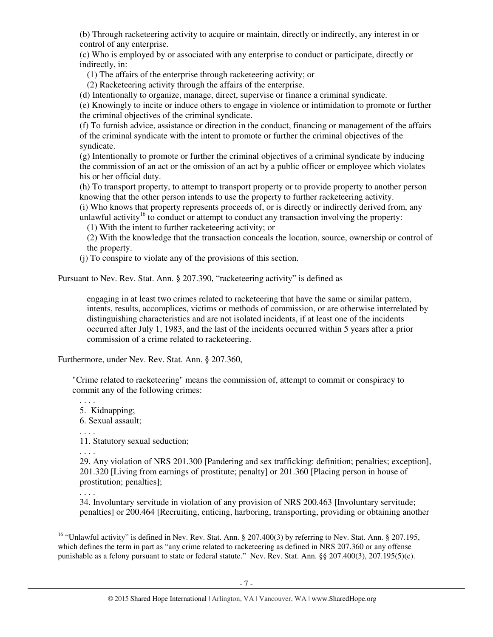(b) Through racketeering activity to acquire or maintain, directly or indirectly, any interest in or control of any enterprise.

(c) Who is employed by or associated with any enterprise to conduct or participate, directly or indirectly, in:

(1) The affairs of the enterprise through racketeering activity; or

(2) Racketeering activity through the affairs of the enterprise.

(d) Intentionally to organize, manage, direct, supervise or finance a criminal syndicate.

(e) Knowingly to incite or induce others to engage in violence or intimidation to promote or further the criminal objectives of the criminal syndicate.

(f) To furnish advice, assistance or direction in the conduct, financing or management of the affairs of the criminal syndicate with the intent to promote or further the criminal objectives of the syndicate.

(g) Intentionally to promote or further the criminal objectives of a criminal syndicate by inducing the commission of an act or the omission of an act by a public officer or employee which violates his or her official duty.

(h) To transport property, to attempt to transport property or to provide property to another person knowing that the other person intends to use the property to further racketeering activity.

(i) Who knows that property represents proceeds of, or is directly or indirectly derived from, any unlawful activity<sup>16</sup> to conduct or attempt to conduct any transaction involving the property:

(1) With the intent to further racketeering activity; or

(2) With the knowledge that the transaction conceals the location, source, ownership or control of the property.

(j) To conspire to violate any of the provisions of this section.

Pursuant to Nev. Rev. Stat. Ann. § 207.390, "racketeering activity" is defined as

engaging in at least two crimes related to racketeering that have the same or similar pattern, intents, results, accomplices, victims or methods of commission, or are otherwise interrelated by distinguishing characteristics and are not isolated incidents, if at least one of the incidents occurred after July 1, 1983, and the last of the incidents occurred within 5 years after a prior commission of a crime related to racketeering.

Furthermore, under Nev. Rev. Stat. Ann. § 207.360,

"Crime related to racketeering" means the commission of, attempt to commit or conspiracy to commit any of the following crimes:

. . . . 5. Kidnapping; 6. Sexual assault; . . . .

11. Statutory sexual seduction;

. . . .

29. Any violation of NRS 201.300 [Pandering and sex trafficking: definition; penalties; exception], 201.320 [Living from earnings of prostitute; penalty] or 201.360 [Placing person in house of prostitution; penalties];

. . . .

34. Involuntary servitude in violation of any provision of NRS 200.463 [Involuntary servitude; penalties] or 200.464 [Recruiting, enticing, harboring, transporting, providing or obtaining another

<sup>-</sup><sup>16</sup> "Unlawful activity" is defined in Nev. Rev. Stat. Ann. § 207.400(3) by referring to Nev. Stat. Ann. § 207.195, which defines the term in part as "any crime related to racketeering as defined in NRS 207.360 or any offense punishable as a felony pursuant to state or federal statute." Nev. Rev. Stat. Ann. §§ 207.400(3), 207.195(5)(c).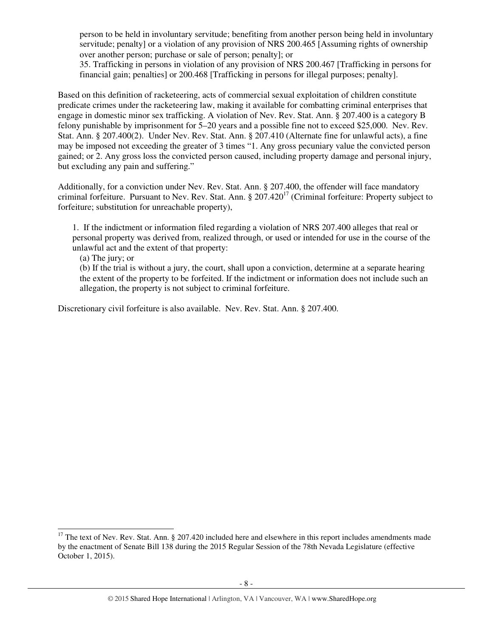person to be held in involuntary servitude; benefiting from another person being held in involuntary servitude; penalty] or a violation of any provision of NRS 200.465 [Assuming rights of ownership over another person; purchase or sale of person; penalty]; or

35. Trafficking in persons in violation of any provision of NRS 200.467 [Trafficking in persons for financial gain; penalties] or 200.468 [Trafficking in persons for illegal purposes; penalty].

Based on this definition of racketeering, acts of commercial sexual exploitation of children constitute predicate crimes under the racketeering law, making it available for combatting criminal enterprises that engage in domestic minor sex trafficking. A violation of Nev. Rev. Stat. Ann. § 207.400 is a category B felony punishable by imprisonment for 5–20 years and a possible fine not to exceed \$25,000. Nev. Rev. Stat. Ann. § 207.400(2). Under Nev. Rev. Stat. Ann. § 207.410 (Alternate fine for unlawful acts), a fine may be imposed not exceeding the greater of 3 times "1. Any gross pecuniary value the convicted person gained; or 2. Any gross loss the convicted person caused, including property damage and personal injury, but excluding any pain and suffering."

Additionally, for a conviction under Nev. Rev. Stat. Ann. § 207.400, the offender will face mandatory criminal forfeiture. Pursuant to Nev. Rev. Stat. Ann. § 207.420<sup>17</sup> (Criminal forfeiture: Property subject to forfeiture; substitution for unreachable property),

1. If the indictment or information filed regarding a violation of NRS 207.400 alleges that real or personal property was derived from, realized through, or used or intended for use in the course of the unlawful act and the extent of that property:

(a) The jury; or

-

(b) If the trial is without a jury, the court, shall upon a conviction, determine at a separate hearing the extent of the property to be forfeited. If the indictment or information does not include such an allegation, the property is not subject to criminal forfeiture.

Discretionary civil forfeiture is also available. Nev. Rev. Stat. Ann. § 207.400.

 $17$  The text of Nev. Rev. Stat. Ann. § 207.420 included here and elsewhere in this report includes amendments made by the enactment of Senate Bill 138 during the 2015 Regular Session of the 78th Nevada Legislature (effective October 1, 2015).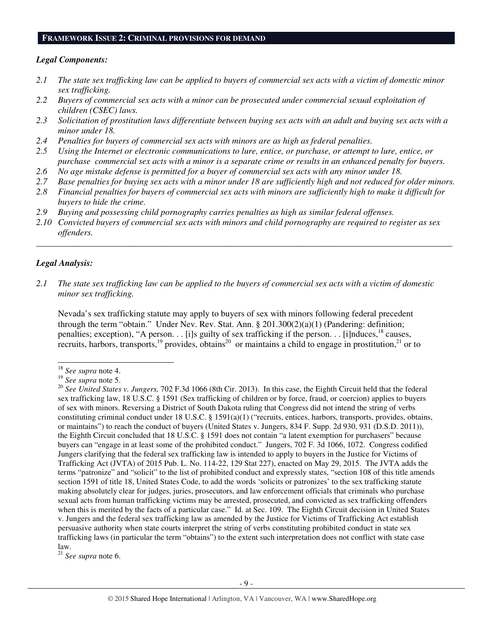#### **FRAMEWORK ISSUE 2: CRIMINAL PROVISIONS FOR DEMAND**

#### *Legal Components:*

- *2.1 The state sex trafficking law can be applied to buyers of commercial sex acts with a victim of domestic minor sex trafficking.*
- *2.2 Buyers of commercial sex acts with a minor can be prosecuted under commercial sexual exploitation of children (CSEC) laws.*
- *2.3 Solicitation of prostitution laws differentiate between buying sex acts with an adult and buying sex acts with a minor under 18.*
- *2.4 Penalties for buyers of commercial sex acts with minors are as high as federal penalties.*
- *2.5 Using the Internet or electronic communications to lure, entice, or purchase, or attempt to lure, entice, or purchase commercial sex acts with a minor is a separate crime or results in an enhanced penalty for buyers.*
- *2.6 No age mistake defense is permitted for a buyer of commercial sex acts with any minor under 18.*
- *2.7 Base penalties for buying sex acts with a minor under 18 are sufficiently high and not reduced for older minors. 2.8 Financial penalties for buyers of commercial sex acts with minors are sufficiently high to make it difficult for*
- *buyers to hide the crime.*
- *2.9 Buying and possessing child pornography carries penalties as high as similar federal offenses.*
- *2.10 Convicted buyers of commercial sex acts with minors and child pornography are required to register as sex offenders.*

\_\_\_\_\_\_\_\_\_\_\_\_\_\_\_\_\_\_\_\_\_\_\_\_\_\_\_\_\_\_\_\_\_\_\_\_\_\_\_\_\_\_\_\_\_\_\_\_\_\_\_\_\_\_\_\_\_\_\_\_\_\_\_\_\_\_\_\_\_\_\_\_\_\_\_\_\_\_\_\_\_\_\_\_\_\_\_\_\_\_\_\_\_\_

## *Legal Analysis:*

*2.1 The state sex trafficking law can be applied to the buyers of commercial sex acts with a victim of domestic minor sex trafficking.*

Nevada's sex trafficking statute may apply to buyers of sex with minors following federal precedent through the term "obtain." Under Nev. Rev. Stat. Ann. § 201.300(2)(a)(1) (Pandering: definition; penalties; exception), "A person. . . [i]s guilty of sex trafficking if the person. . . [i]nduces,  $^{18}$  causes, recruits, harbors, transports,<sup>19</sup> provides, obtains<sup>20</sup> or maintains a child to engage in prostitution,<sup>21</sup> or to

<sup>21</sup> *See supra* note 6.

<sup>-</sup><sup>18</sup> *See supra* note 4.

<sup>19</sup> *See supra* note 5.

<sup>&</sup>lt;sup>20</sup> See United States v. Jungers, 702 F.3d 1066 (8th Cir. 2013). In this case, the Eighth Circuit held that the federal sex trafficking law, 18 U.S.C. § 1591 (Sex trafficking of children or by force, fraud, or coercion) applies to buyers of sex with minors. Reversing a District of South Dakota ruling that Congress did not intend the string of verbs constituting criminal conduct under 18 U.S.C. § 1591(a)(1) ("recruits, entices, harbors, transports, provides, obtains, or maintains") to reach the conduct of buyers (United States v. Jungers, 834 F. Supp. 2d 930, 931 (D.S.D. 2011)), the Eighth Circuit concluded that 18 U.S.C. § 1591 does not contain "a latent exemption for purchasers" because buyers can "engage in at least some of the prohibited conduct." Jungers, 702 F. 3d 1066, 1072. Congress codified Jungers clarifying that the federal sex trafficking law is intended to apply to buyers in the Justice for Victims of Trafficking Act (JVTA) of 2015 Pub. L. No. 114-22, 129 Stat 227), enacted on May 29, 2015. The JVTA adds the terms "patronize" and "solicit" to the list of prohibited conduct and expressly states, "section 108 of this title amends section 1591 of title 18, United States Code, to add the words 'solicits or patronizes' to the sex trafficking statute making absolutely clear for judges, juries, prosecutors, and law enforcement officials that criminals who purchase sexual acts from human trafficking victims may be arrested, prosecuted, and convicted as sex trafficking offenders when this is merited by the facts of a particular case." Id. at Sec. 109. The Eighth Circuit decision in United States v. Jungers and the federal sex trafficking law as amended by the Justice for Victims of Trafficking Act establish persuasive authority when state courts interpret the string of verbs constituting prohibited conduct in state sex trafficking laws (in particular the term "obtains") to the extent such interpretation does not conflict with state case law.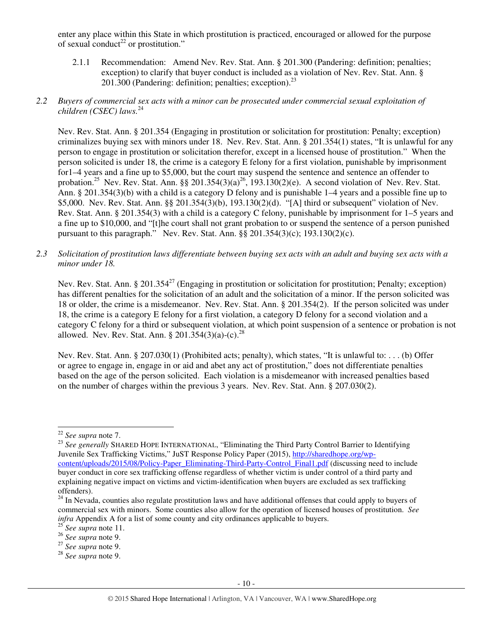enter any place within this State in which prostitution is practiced, encouraged or allowed for the purpose of sexual conduct<sup>22</sup> or prostitution."

- 2.1.1 Recommendation: Amend Nev. Rev. Stat. Ann. § 201.300 (Pandering: definition; penalties; exception) to clarify that buyer conduct is included as a violation of Nev. Rev. Stat. Ann. §  $201.\overline{3}00$  (Pandering: definition; penalties; exception).<sup>23</sup>
- *2.2 Buyers of commercial sex acts with a minor can be prosecuted under commercial sexual exploitation of children (CSEC) laws.*<sup>24</sup>

Nev. Rev. Stat. Ann. § 201.354 (Engaging in prostitution or solicitation for prostitution: Penalty; exception) criminalizes buying sex with minors under 18. Nev. Rev. Stat. Ann. § 201.354(1) states, "It is unlawful for any person to engage in prostitution or solicitation therefor, except in a licensed house of prostitution." When the person solicited is under 18, the crime is a category E felony for a first violation, punishable by imprisonment for1–4 years and a fine up to \$5,000, but the court may suspend the sentence and sentence an offender to probation.<sup>25</sup> Nev. Rev. Stat. Ann. §§ 201.354(3)(a)<sup>26</sup>, 193.130(2)(e). A second violation of Nev. Rev. Stat. Ann. § 201.354(3)(b) with a child is a category D felony and is punishable 1–4 years and a possible fine up to \$5,000. Nev. Rev. Stat. Ann. §§ 201.354(3)(b), 193.130(2)(d). "[A] third or subsequent" violation of Nev. Rev. Stat. Ann. § 201.354(3) with a child is a category C felony, punishable by imprisonment for 1–5 years and a fine up to \$10,000, and "[t]he court shall not grant probation to or suspend the sentence of a person punished pursuant to this paragraph." Nev. Rev. Stat. Ann. §§ 201.354(3)(c); 193.130(2)(c).

*2.3 Solicitation of prostitution laws differentiate between buying sex acts with an adult and buying sex acts with a minor under 18.* 

Nev. Rev. Stat. Ann. § 201.354<sup>27</sup> (Engaging in prostitution or solicitation for prostitution; Penalty; exception) has different penalties for the solicitation of an adult and the solicitation of a minor. If the person solicited was 18 or older, the crime is a misdemeanor. Nev. Rev. Stat. Ann. § 201.354(2). If the person solicited was under 18, the crime is a category E felony for a first violation, a category D felony for a second violation and a category C felony for a third or subsequent violation, at which point suspension of a sentence or probation is not allowed. Nev. Rev. Stat. Ann. § 201.354(3)(a)-(c).<sup>28</sup>

Nev. Rev. Stat. Ann. § 207.030(1) (Prohibited acts; penalty), which states, "It is unlawful to: . . . (b) Offer or agree to engage in, engage in or aid and abet any act of prostitution," does not differentiate penalties based on the age of the person solicited. Each violation is a misdemeanor with increased penalties based on the number of charges within the previous 3 years. Nev. Rev. Stat. Ann. § 207.030(2).

<sup>-</sup><sup>22</sup> *See supra* note 7.

<sup>&</sup>lt;sup>23</sup> See generally SHARED HOPE INTERNATIONAL, "Eliminating the Third Party Control Barrier to Identifying Juvenile Sex Trafficking Victims," JuST Response Policy Paper (2015), http://sharedhope.org/wpcontent/uploads/2015/08/Policy-Paper\_Eliminating-Third-Party-Control\_Final1.pdf (discussing need to include buyer conduct in core sex trafficking offense regardless of whether victim is under control of a third party and explaining negative impact on victims and victim-identification when buyers are excluded as sex trafficking offenders).

 $^{24}$  In Nevada, counties also regulate prostitution laws and have additional offenses that could apply to buyers of commercial sex with minors. Some counties also allow for the operation of licensed houses of prostitution. *See infra* Appendix A for a list of some county and city ordinances applicable to buyers.

<sup>25</sup> *See supra* note 11.

<sup>26</sup> *See supra* note 9.

<sup>27</sup> *See supra* note 9.

<sup>28</sup> *See supra* note 9.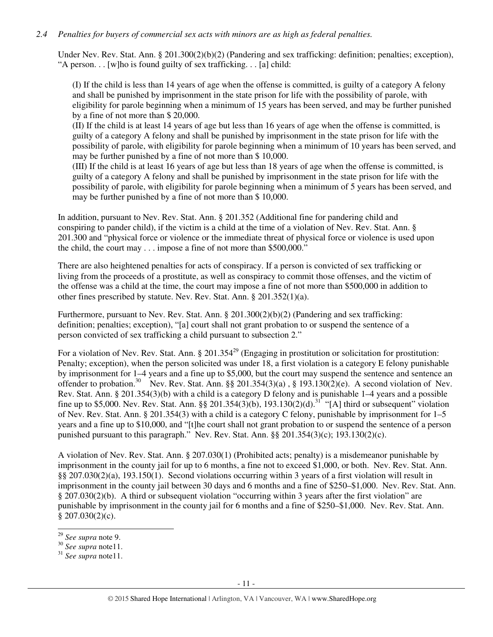# *2.4 Penalties for buyers of commercial sex acts with minors are as high as federal penalties.*

Under Nev. Rev. Stat. Ann. § 201.300(2)(b)(2) (Pandering and sex trafficking: definition; penalties; exception), "A person. . . [w]ho is found guilty of sex trafficking. . . [a] child:

(I) If the child is less than 14 years of age when the offense is committed, is guilty of a category A felony and shall be punished by imprisonment in the state prison for life with the possibility of parole, with eligibility for parole beginning when a minimum of 15 years has been served, and may be further punished by a fine of not more than \$ 20,000.

(II) If the child is at least 14 years of age but less than 16 years of age when the offense is committed, is guilty of a category A felony and shall be punished by imprisonment in the state prison for life with the possibility of parole, with eligibility for parole beginning when a minimum of 10 years has been served, and may be further punished by a fine of not more than \$ 10,000.

(III) If the child is at least 16 years of age but less than 18 years of age when the offense is committed, is guilty of a category A felony and shall be punished by imprisonment in the state prison for life with the possibility of parole, with eligibility for parole beginning when a minimum of 5 years has been served, and may be further punished by a fine of not more than \$ 10,000.

In addition, pursuant to Nev. Rev. Stat. Ann. § 201.352 (Additional fine for pandering child and conspiring to pander child), if the victim is a child at the time of a violation of Nev. Rev. Stat. Ann. § 201.300 and "physical force or violence or the immediate threat of physical force or violence is used upon the child, the court may . . . impose a fine of not more than \$500,000."

There are also heightened penalties for acts of conspiracy. If a person is convicted of sex trafficking or living from the proceeds of a prostitute, as well as conspiracy to commit those offenses, and the victim of the offense was a child at the time, the court may impose a fine of not more than \$500,000 in addition to other fines prescribed by statute. Nev. Rev. Stat. Ann. § 201.352(1)(a).

Furthermore, pursuant to Nev. Rev. Stat. Ann. § 201.300(2)(b)(2) (Pandering and sex trafficking: definition; penalties; exception), "[a] court shall not grant probation to or suspend the sentence of a person convicted of sex trafficking a child pursuant to subsection 2."

For a violation of Nev. Rev. Stat. Ann. § 201.354<sup>29</sup> (Engaging in prostitution or solicitation for prostitution: Penalty; exception), when the person solicited was under 18, a first violation is a category E felony punishable by imprisonment for 1–4 years and a fine up to \$5,000, but the court may suspend the sentence and sentence an offender to probation.<sup>30</sup> Nev. Rev. Stat. Ann. §§ 201.354(3)(a), § 193.130(2)(e). A second violation of Nev. Rev. Stat. Ann. § 201.354(3)(b) with a child is a category D felony and is punishable 1–4 years and a possible fine up to \$5,000. Nev. Rev. Stat. Ann. §§ 201.354(3)(b), 193.130(2)(d).<sup>31</sup> "[A] third or subsequent" violation of Nev. Rev. Stat. Ann. § 201.354(3) with a child is a category C felony, punishable by imprisonment for 1–5 years and a fine up to \$10,000, and "[t]he court shall not grant probation to or suspend the sentence of a person punished pursuant to this paragraph." Nev. Rev. Stat. Ann. §§ 201.354(3)(c); 193.130(2)(c).

A violation of Nev. Rev. Stat. Ann. § 207.030(1) (Prohibited acts; penalty) is a misdemeanor punishable by imprisonment in the county jail for up to 6 months, a fine not to exceed \$1,000, or both. Nev. Rev. Stat. Ann. §§ 207.030(2)(a), 193.150(1). Second violations occurring within 3 years of a first violation will result in imprisonment in the county jail between 30 days and 6 months and a fine of \$250–\$1,000. Nev. Rev. Stat. Ann. § 207.030(2)(b). A third or subsequent violation "occurring within 3 years after the first violation" are punishable by imprisonment in the county jail for 6 months and a fine of \$250–\$1,000. Nev. Rev. Stat. Ann.  $$207.030(2)(c).$ 

<sup>-</sup><sup>29</sup> *See supra* note 9.

<sup>30</sup> *See supra* note11.

<sup>31</sup> *See supra* note11.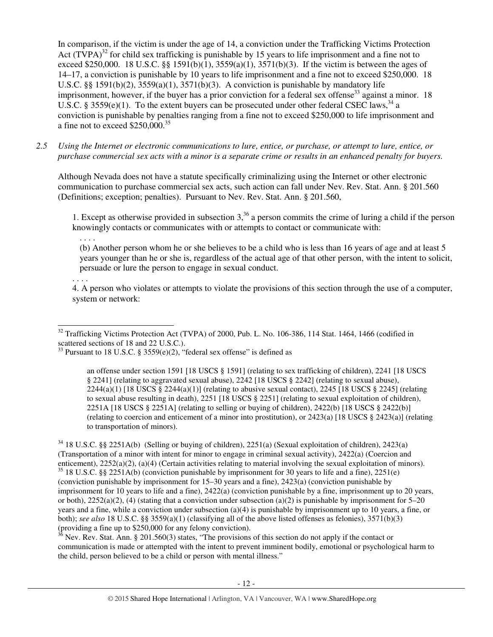In comparison, if the victim is under the age of 14, a conviction under the Trafficking Victims Protection Act  $(TVPA)^{32}$  for child sex trafficking is punishable by 15 years to life imprisonment and a fine not to exceed \$250,000. 18 U.S.C. §§ 1591(b)(1),  $3559(a)(1)$ ,  $3571(b)(3)$ . If the victim is between the ages of 14–17, a conviction is punishable by 10 years to life imprisonment and a fine not to exceed \$250,000. 18 U.S.C. §§ 1591(b)(2),  $3559(a)(1)$ ,  $3571(b)(3)$ . A conviction is punishable by mandatory life imprisonment, however, if the buyer has a prior conviction for a federal sex offense<sup>33</sup> against a minor. 18 U.S.C. § 3559(e)(1). To the extent buyers can be prosecuted under other federal CSEC laws,  $34$  a conviction is punishable by penalties ranging from a fine not to exceed \$250,000 to life imprisonment and a fine not to exceed \$250,000.<sup>35</sup>

*2.5 Using the Internet or electronic communications to lure, entice, or purchase, or attempt to lure, entice, or purchase commercial sex acts with a minor is a separate crime or results in an enhanced penalty for buyers.* 

Although Nevada does not have a statute specifically criminalizing using the Internet or other electronic communication to purchase commercial sex acts, such action can fall under Nev. Rev. Stat. Ann. § 201.560 (Definitions; exception; penalties). Pursuant to Nev. Rev. Stat. Ann. § 201.560,

1. Except as otherwise provided in subsection  $3<sup>36</sup>$  a person commits the crime of luring a child if the person knowingly contacts or communicates with or attempts to contact or communicate with:

. . . .

(b) Another person whom he or she believes to be a child who is less than 16 years of age and at least 5 years younger than he or she is, regardless of the actual age of that other person, with the intent to solicit, persuade or lure the person to engage in sexual conduct.

. . . .

l

4. A person who violates or attempts to violate the provisions of this section through the use of a computer, system or network:

an offense under section 1591 [18 USCS § 1591] (relating to sex trafficking of children), 2241 [18 USCS § 2241] (relating to aggravated sexual abuse), 2242 [18 USCS § 2242] (relating to sexual abuse),  $2244(a)(1)$  [18 USCS § 2244(a)(1)] (relating to abusive sexual contact), 2245 [18 USCS § 2245] (relating to sexual abuse resulting in death), 2251 [18 USCS § 2251] (relating to sexual exploitation of children), 2251A [18 USCS § 2251A] (relating to selling or buying of children), 2422(b) [18 USCS § 2422(b)] (relating to coercion and enticement of a minor into prostitution), or 2423(a) [18 USCS § 2423(a)] (relating to transportation of minors).

 $34$  18 U.S.C. §§ 2251A(b) (Selling or buying of children), 2251(a) (Sexual exploitation of children), 2423(a) (Transportation of a minor with intent for minor to engage in criminal sexual activity), 2422(a) (Coercion and enticement), 2252(a)(2), (a)(4) (Certain activities relating to material involving the sexual exploitation of minors).  $35$  18 U.S.C. §§ 2251A(b) (conviction punishable by imprisonment for 30 years to life and a fine), 2251(e) (conviction punishable by imprisonment for 15–30 years and a fine), 2423(a) (conviction punishable by imprisonment for 10 years to life and a fine), 2422(a) (conviction punishable by a fine, imprisonment up to 20 years, or both),  $2252(a)(2)$ , (4) (stating that a conviction under subsection (a)(2) is punishable by imprisonment for 5–20 years and a fine, while a conviction under subsection (a)(4) is punishable by imprisonment up to 10 years, a fine, or both); *see also* 18 U.S.C. §§ 3559(a)(1) (classifying all of the above listed offenses as felonies), 3571(b)(3) (providing a fine up to \$250,000 for any felony conviction).

 $36$  Nev. Rev. Stat. Ann. § 201.560(3) states, "The provisions of this section do not apply if the contact or communication is made or attempted with the intent to prevent imminent bodily, emotional or psychological harm to the child, person believed to be a child or person with mental illness."

 $32$  Trafficking Victims Protection Act (TVPA) of 2000, Pub. L. No. 106-386, 114 Stat. 1464, 1466 (codified in scattered sections of 18 and 22 U.S.C.).

<sup>&</sup>lt;sup>33</sup> Pursuant to 18 U.S.C. § 3559 $(e)(2)$ , "federal sex offense" is defined as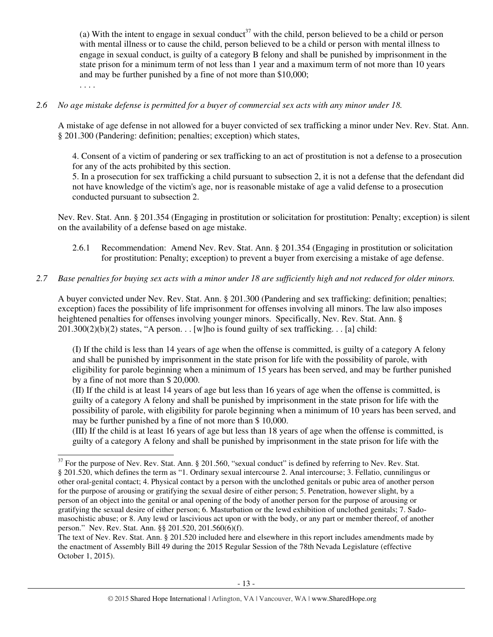(a) With the intent to engage in sexual conduct<sup>37</sup> with the child, person believed to be a child or person with mental illness or to cause the child, person believed to be a child or person with mental illness to engage in sexual conduct, is guilty of a category B felony and shall be punished by imprisonment in the state prison for a minimum term of not less than 1 year and a maximum term of not more than 10 years and may be further punished by a fine of not more than \$10,000;

. . . .

-

## *2.6 No age mistake defense is permitted for a buyer of commercial sex acts with any minor under 18.*

A mistake of age defense in not allowed for a buyer convicted of sex trafficking a minor under Nev. Rev. Stat. Ann. § 201.300 (Pandering: definition; penalties; exception) which states,

4. Consent of a victim of pandering or sex trafficking to an act of prostitution is not a defense to a prosecution for any of the acts prohibited by this section.

5. In a prosecution for sex trafficking a child pursuant to subsection 2, it is not a defense that the defendant did not have knowledge of the victim's age, nor is reasonable mistake of age a valid defense to a prosecution conducted pursuant to subsection 2.

Nev. Rev. Stat. Ann. § 201.354 (Engaging in prostitution or solicitation for prostitution: Penalty; exception) is silent on the availability of a defense based on age mistake.

2.6.1 Recommendation: Amend Nev. Rev. Stat. Ann. § 201.354 (Engaging in prostitution or solicitation for prostitution: Penalty; exception) to prevent a buyer from exercising a mistake of age defense.

## *2.7 Base penalties for buying sex acts with a minor under 18 are sufficiently high and not reduced for older minors.*

A buyer convicted under Nev. Rev. Stat. Ann. § 201.300 (Pandering and sex trafficking: definition; penalties; exception) faces the possibility of life imprisonment for offenses involving all minors. The law also imposes heightened penalties for offenses involving younger minors. Specifically, Nev. Rev. Stat. Ann. §  $201.300(2)(b)(2)$  states, "A person... [w]ho is found guilty of sex trafficking... [a] child:

(I) If the child is less than 14 years of age when the offense is committed, is guilty of a category A felony and shall be punished by imprisonment in the state prison for life with the possibility of parole, with eligibility for parole beginning when a minimum of 15 years has been served, and may be further punished by a fine of not more than \$ 20,000.

(II) If the child is at least 14 years of age but less than 16 years of age when the offense is committed, is guilty of a category A felony and shall be punished by imprisonment in the state prison for life with the possibility of parole, with eligibility for parole beginning when a minimum of 10 years has been served, and may be further punished by a fine of not more than \$ 10,000.

(III) If the child is at least 16 years of age but less than 18 years of age when the offense is committed, is guilty of a category A felony and shall be punished by imprisonment in the state prison for life with the

 $37$  For the purpose of Nev. Rev. Stat. Ann. § 201.560, "sexual conduct" is defined by referring to Nev. Rev. Stat. § 201.520, which defines the term as "1. Ordinary sexual intercourse 2. Anal intercourse; 3. Fellatio, cunnilingus or other oral-genital contact; 4. Physical contact by a person with the unclothed genitals or pubic area of another person for the purpose of arousing or gratifying the sexual desire of either person; 5. Penetration, however slight, by a person of an object into the genital or anal opening of the body of another person for the purpose of arousing or gratifying the sexual desire of either person; 6. Masturbation or the lewd exhibition of unclothed genitals; 7. Sadomasochistic abuse; or 8. Any lewd or lascivious act upon or with the body, or any part or member thereof, of another person." Nev. Rev. Stat. Ann. §§ 201.520, 201.560(6)(f).

The text of Nev. Rev. Stat. Ann. § 201.520 included here and elsewhere in this report includes amendments made by the enactment of Assembly Bill 49 during the 2015 Regular Session of the 78th Nevada Legislature (effective October 1, 2015).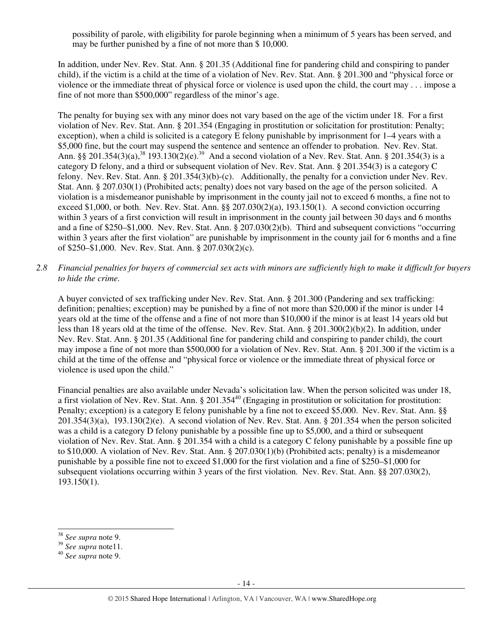possibility of parole, with eligibility for parole beginning when a minimum of 5 years has been served, and may be further punished by a fine of not more than \$ 10,000.

In addition, under Nev. Rev. Stat. Ann. § 201.35 (Additional fine for pandering child and conspiring to pander child), if the victim is a child at the time of a violation of Nev. Rev. Stat. Ann. § 201.300 and "physical force or violence or the immediate threat of physical force or violence is used upon the child, the court may . . . impose a fine of not more than \$500,000" regardless of the minor's age.

The penalty for buying sex with any minor does not vary based on the age of the victim under 18. For a first violation of Nev. Rev. Stat. Ann. § 201.354 (Engaging in prostitution or solicitation for prostitution: Penalty; exception), when a child is solicited is a category E felony punishable by imprisonment for 1–4 years with a \$5,000 fine, but the court may suspend the sentence and sentence an offender to probation. Nev. Rev. Stat. Ann. §§ 201.354(3)(a),<sup>38</sup> 193.130(2)(e).<sup>39</sup> And a second violation of a Nev. Rev. Stat. Ann. § 201.354(3) is a category D felony, and a third or subsequent violation of Nev. Rev. Stat. Ann. § 201.354(3) is a category C felony. Nev. Rev. Stat. Ann. § 201.354(3)(b)-(c). Additionally, the penalty for a conviction under Nev. Rev. Stat. Ann. § 207.030(1) (Prohibited acts; penalty) does not vary based on the age of the person solicited. A violation is a misdemeanor punishable by imprisonment in the county jail not to exceed 6 months, a fine not to exceed \$1,000, or both. Nev. Rev. Stat. Ann. §§ 207.030(2)(a), 193.150(1). A second conviction occurring within 3 years of a first conviction will result in imprisonment in the county jail between 30 days and 6 months and a fine of \$250–\$1,000. Nev. Rev. Stat. Ann. § 207.030(2)(b). Third and subsequent convictions "occurring within 3 years after the first violation" are punishable by imprisonment in the county jail for 6 months and a fine of \$250–\$1,000. Nev. Rev. Stat. Ann. § 207.030(2)(c).

*2.8 Financial penalties for buyers of commercial sex acts with minors are sufficiently high to make it difficult for buyers to hide the crime.* 

A buyer convicted of sex trafficking under Nev. Rev. Stat. Ann. § 201.300 (Pandering and sex trafficking: definition; penalties; exception) may be punished by a fine of not more than \$20,000 if the minor is under 14 years old at the time of the offense and a fine of not more than \$10,000 if the minor is at least 14 years old but less than 18 years old at the time of the offense. Nev. Rev. Stat. Ann. § 201.300(2)(b)(2). In addition, under Nev. Rev. Stat. Ann. § 201.35 (Additional fine for pandering child and conspiring to pander child), the court may impose a fine of not more than \$500,000 for a violation of Nev. Rev. Stat. Ann. § 201.300 if the victim is a child at the time of the offense and "physical force or violence or the immediate threat of physical force or violence is used upon the child."

Financial penalties are also available under Nevada's solicitation law. When the person solicited was under 18, a first violation of Nev. Rev. Stat. Ann. § 201.354<sup>40</sup> (Engaging in prostitution or solicitation for prostitution: Penalty; exception) is a category E felony punishable by a fine not to exceed \$5,000. Nev. Rev. Stat. Ann. §§ 201.354(3)(a), 193.130(2)(e). A second violation of Nev. Rev. Stat. Ann. § 201.354 when the person solicited was a child is a category D felony punishable by a possible fine up to \$5,000, and a third or subsequent violation of Nev. Rev. Stat. Ann. § 201.354 with a child is a category C felony punishable by a possible fine up to \$10,000. A violation of Nev. Rev. Stat. Ann. § 207.030(1)(b) (Prohibited acts; penalty) is a misdemeanor punishable by a possible fine not to exceed \$1,000 for the first violation and a fine of \$250–\$1,000 for subsequent violations occurring within 3 years of the first violation. Nev. Rev. Stat. Ann. §§ 207.030(2), 193.150(1).

-

<sup>38</sup> *See supra* note 9.

<sup>39</sup> *See supra* note11.

<sup>40</sup> *See supra* note 9.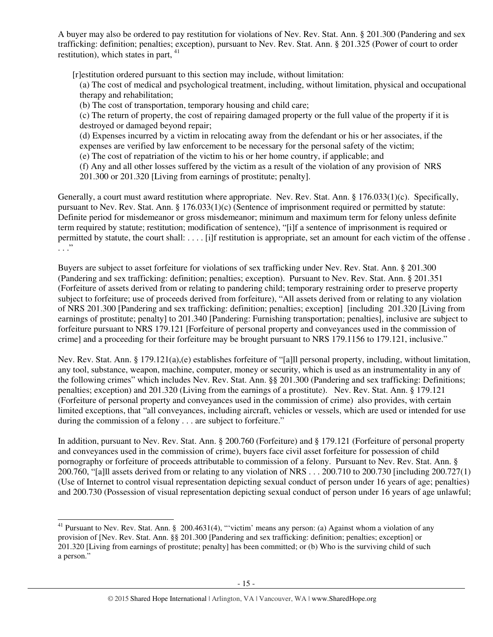A buyer may also be ordered to pay restitution for violations of Nev. Rev. Stat. Ann. § 201.300 (Pandering and sex trafficking: definition; penalties; exception), pursuant to Nev. Rev. Stat. Ann. § 201.325 (Power of court to order restitution), which states in part,  $41$ 

[r]estitution ordered pursuant to this section may include, without limitation:

(a) The cost of medical and psychological treatment, including, without limitation, physical and occupational therapy and rehabilitation;

(b) The cost of transportation, temporary housing and child care;

(c) The return of property, the cost of repairing damaged property or the full value of the property if it is destroyed or damaged beyond repair;

(d) Expenses incurred by a victim in relocating away from the defendant or his or her associates, if the expenses are verified by law enforcement to be necessary for the personal safety of the victim;

- (e) The cost of repatriation of the victim to his or her home country, if applicable; and
- (f) Any and all other losses suffered by the victim as a result of the violation of any provision of NRS 201.300 or 201.320 [Living from earnings of prostitute; penalty].

Generally, a court must award restitution where appropriate. Nev. Rev. Stat. Ann. § 176.033(1)(c). Specifically, pursuant to Nev. Rev. Stat. Ann. § 176.033(1)(c) (Sentence of imprisonment required or permitted by statute: Definite period for misdemeanor or gross misdemeanor; minimum and maximum term for felony unless definite term required by statute; restitution; modification of sentence), "[i]f a sentence of imprisonment is required or permitted by statute, the court shall: . . . . [i]f restitution is appropriate, set an amount for each victim of the offense . . . ."

Buyers are subject to asset forfeiture for violations of sex trafficking under Nev. Rev. Stat. Ann. § 201.300 (Pandering and sex trafficking: definition; penalties; exception). Pursuant to Nev. Rev. Stat. Ann. § 201.351 (Forfeiture of assets derived from or relating to pandering child; temporary restraining order to preserve property subject to forfeiture; use of proceeds derived from forfeiture), "All assets derived from or relating to any violation of NRS 201.300 [Pandering and sex trafficking: definition; penalties; exception] [including 201.320 [Living from earnings of prostitute; penalty] to 201.340 [Pandering: Furnishing transportation; penalties], inclusive are subject to forfeiture pursuant to NRS 179.121 [Forfeiture of personal property and conveyances used in the commission of crime] and a proceeding for their forfeiture may be brought pursuant to NRS 179.1156 to 179.121, inclusive."

Nev. Rev. Stat. Ann. § 179.121(a),(e) establishes forfeiture of "[a]ll personal property, including, without limitation, any tool, substance, weapon, machine, computer, money or security, which is used as an instrumentality in any of the following crimes" which includes Nev. Rev. Stat. Ann. §§ 201.300 (Pandering and sex trafficking: Definitions; penalties; exception) and 201.320 (Living from the earnings of a prostitute). Nev. Rev. Stat. Ann. § 179.121 (Forfeiture of personal property and conveyances used in the commission of crime) also provides, with certain limited exceptions, that "all conveyances, including aircraft, vehicles or vessels, which are used or intended for use during the commission of a felony . . . are subject to forfeiture."

In addition, pursuant to Nev. Rev. Stat. Ann. § 200.760 (Forfeiture) and § 179.121 (Forfeiture of personal property and conveyances used in the commission of crime), buyers face civil asset forfeiture for possession of child pornography or forfeiture of proceeds attributable to commission of a felony. Pursuant to Nev. Rev. Stat. Ann. § 200.760, "[a]ll assets derived from or relating to any violation of NRS . . . 200.710 to 200.730 [including 200.727(1) (Use of Internet to control visual representation depicting sexual conduct of person under 16 years of age; penalties) and 200.730 (Possession of visual representation depicting sexual conduct of person under 16 years of age unlawful;

l

 $41$  Pursuant to Nev. Rev. Stat. Ann. § 200.4631(4), "victim' means any person: (a) Against whom a violation of any provision of [Nev. Rev. Stat. Ann. §§ 201.300 [Pandering and sex trafficking: definition; penalties; exception] or 201.320 [Living from earnings of prostitute; penalty] has been committed; or (b) Who is the surviving child of such a person."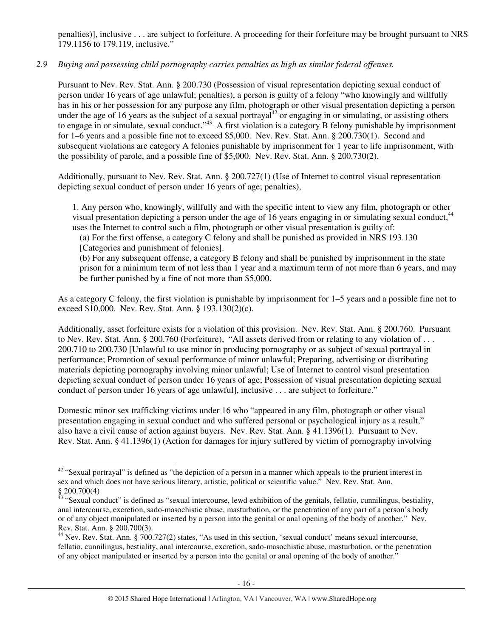penalties)], inclusive . . . are subject to forfeiture. A proceeding for their forfeiture may be brought pursuant to NRS 179.1156 to 179.119, inclusive."

# *2.9 Buying and possessing child pornography carries penalties as high as similar federal offenses.*

Pursuant to Nev. Rev. Stat. Ann. § 200.730 (Possession of visual representation depicting sexual conduct of person under 16 years of age unlawful; penalties), a person is guilty of a felony "who knowingly and willfully has in his or her possession for any purpose any film, photograph or other visual presentation depicting a person under the age of 16 years as the subject of a sexual portrayal<sup>42</sup> or engaging in or simulating, or assisting others to engage in or simulate, sexual conduct."<sup>43</sup> A first violation is a category B felony punishable by imprisonment for 1–6 years and a possible fine not to exceed \$5,000. Nev. Rev. Stat. Ann. § 200.730(1). Second and subsequent violations are category A felonies punishable by imprisonment for 1 year to life imprisonment, with the possibility of parole, and a possible fine of \$5,000. Nev. Rev. Stat. Ann. § 200.730(2).

Additionally, pursuant to Nev. Rev. Stat. Ann. § 200.727(1) (Use of Internet to control visual representation depicting sexual conduct of person under 16 years of age; penalties),

1. Any person who, knowingly, willfully and with the specific intent to view any film, photograph or other visual presentation depicting a person under the age of 16 years engaging in or simulating sexual conduct.<sup>44</sup> uses the Internet to control such a film, photograph or other visual presentation is guilty of:

(a) For the first offense, a category C felony and shall be punished as provided in NRS 193.130 [Categories and punishment of felonies].

(b) For any subsequent offense, a category B felony and shall be punished by imprisonment in the state prison for a minimum term of not less than 1 year and a maximum term of not more than 6 years, and may be further punished by a fine of not more than \$5,000.

As a category C felony, the first violation is punishable by imprisonment for 1–5 years and a possible fine not to exceed \$10,000. Nev. Rev. Stat. Ann. § 193.130(2)(c).

Additionally, asset forfeiture exists for a violation of this provision. Nev. Rev. Stat. Ann. § 200.760. Pursuant to Nev. Rev. Stat. Ann. § 200.760 (Forfeiture), "All assets derived from or relating to any violation of . . . 200.710 to 200.730 [Unlawful to use minor in producing pornography or as subject of sexual portrayal in performance; Promotion of sexual performance of minor unlawful; Preparing, advertising or distributing materials depicting pornography involving minor unlawful; Use of Internet to control visual presentation depicting sexual conduct of person under 16 years of age; Possession of visual presentation depicting sexual conduct of person under 16 years of age unlawful], inclusive . . . are subject to forfeiture."

Domestic minor sex trafficking victims under 16 who "appeared in any film, photograph or other visual presentation engaging in sexual conduct and who suffered personal or psychological injury as a result," also have a civil cause of action against buyers. Nev. Rev. Stat. Ann. § 41.1396(1). Pursuant to Nev. Rev. Stat. Ann. § 41.1396(1) (Action for damages for injury suffered by victim of pornography involving

l  $42$  "Sexual portrayal" is defined as "the depiction of a person in a manner which appeals to the prurient interest in sex and which does not have serious literary, artistic, political or scientific value." Nev. Rev. Stat. Ann. § 200.700(4)

 $43$  "Sexual conduct" is defined as "sexual intercourse, lewd exhibition of the genitals, fellatio, cunnilingus, bestiality, anal intercourse, excretion, sado-masochistic abuse, masturbation, or the penetration of any part of a person's body or of any object manipulated or inserted by a person into the genital or anal opening of the body of another." Nev. Rev. Stat. Ann. § 200.700(3).

<sup>44</sup> Nev. Rev. Stat. Ann. § 700.727(2) states, "As used in this section, 'sexual conduct' means sexual intercourse, fellatio, cunnilingus, bestiality, anal intercourse, excretion, sado-masochistic abuse, masturbation, or the penetration of any object manipulated or inserted by a person into the genital or anal opening of the body of another."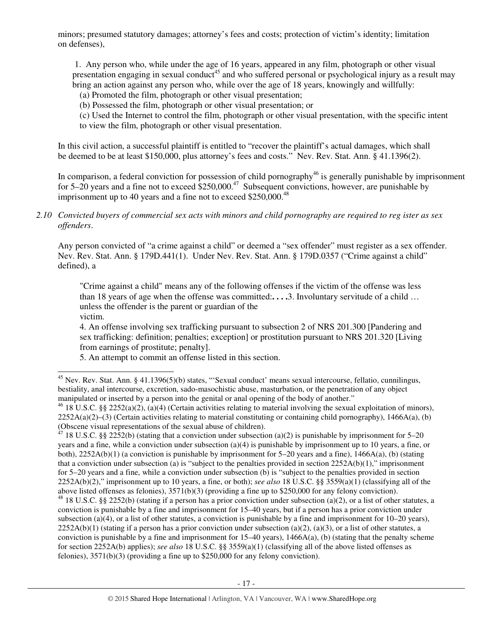minors; presumed statutory damages; attorney's fees and costs; protection of victim's identity; limitation on defenses),

 1. Any person who, while under the age of 16 years, appeared in any film, photograph or other visual presentation engaging in sexual conduct<sup>45</sup> and who suffered personal or psychological injury as a result may bring an action against any person who, while over the age of 18 years, knowingly and willfully:

- (a) Promoted the film, photograph or other visual presentation;
- (b) Possessed the film, photograph or other visual presentation; or
- (c) Used the Internet to control the film, photograph or other visual presentation, with the specific intent to view the film, photograph or other visual presentation.

In this civil action, a successful plaintiff is entitled to "recover the plaintiff's actual damages, which shall be deemed to be at least \$150,000, plus attorney's fees and costs." Nev. Rev. Stat. Ann. § 41.1396(2).

In comparison, a federal conviction for possession of child pornography<sup>46</sup> is generally punishable by imprisonment for 5–20 years and a fine not to exceed  $$250,000.<sup>47</sup>$  Subsequent convictions, however, are punishable by imprisonment up to 40 years and a fine not to exceed  $$250,000.<sup>48</sup>$ 

*2.10 Convicted buyers of commercial sex acts with minors and child pornography are required to reg ister as sex offenders*.

Any person convicted of "a crime against a child" or deemed a "sex offender" must register as a sex offender. Nev. Rev. Stat. Ann. § 179D.441(1). Under Nev. Rev. Stat. Ann. § 179D.0357 ("Crime against a child" defined), a

"Crime against a child" means any of the following offenses if the victim of the offense was less than 18 years of age when the offense was committed:**. . . .**3. Involuntary servitude of a child … unless the offender is the parent or guardian of the victim.

4. An offense involving sex trafficking pursuant to subsection 2 of NRS 201.300 [Pandering and sex trafficking: definition; penalties; exception] or prostitution pursuant to NRS 201.320 [Living from earnings of prostitute; penalty].

5. An attempt to commit an offense listed in this section.

-

 $45$  Nev. Rev. Stat. Ann. § 41.1396(5)(b) states, "Sexual conduct' means sexual intercourse, fellatio, cunnilingus, bestiality, anal intercourse, excretion, sado-masochistic abuse, masturbation, or the penetration of any object manipulated or inserted by a person into the genital or anal opening of the body of another."

<sup>&</sup>lt;sup>46</sup> 18 U.S.C. §§ 2252(a)(2), (a)(4) (Certain activities relating to material involving the sexual exploitation of minors),  $2252A(a)(2)$ –(3) (Certain activities relating to material constituting or containing child pornography), 1466A(a), (b) (Obscene visual representations of the sexual abuse of children).

<sup>&</sup>lt;sup>47</sup> 18 U.S.C. §§ 2252(b) (stating that a conviction under subsection (a)(2) is punishable by imprisonment for 5–20 years and a fine, while a conviction under subsection (a)(4) is punishable by imprisonment up to 10 years, a fine, or both),  $2252A(b)(1)$  (a conviction is punishable by imprisonment for 5–20 years and a fine),  $1466A(a)$ , (b) (stating that a conviction under subsection (a) is "subject to the penalties provided in section  $2252A(b)(1)$ ," imprisonment for 5–20 years and a fine, while a conviction under subsection (b) is "subject to the penalties provided in section 2252A(b)(2)," imprisonment up to 10 years, a fine, or both); *see also* 18 U.S.C. §§ 3559(a)(1) (classifying all of the above listed offenses as felonies), 3571(b)(3) (providing a fine up to \$250,000 for any felony conviction). <sup>48</sup> 18 U.S.C. §§ 2252(b) (stating if a person has a prior conviction under subsection (a)(2), or a list of other statutes, a conviction is punishable by a fine and imprisonment for 15–40 years, but if a person has a prior conviction under subsection (a)(4), or a list of other statutes, a conviction is punishable by a fine and imprisonment for  $10-20$  years),  $2252A(b)(1)$  (stating if a person has a prior conviction under subsection (a)(2), (a)(3), or a list of other statutes, a conviction is punishable by a fine and imprisonment for  $15–40$  years),  $1466A(a)$ , (b) (stating that the penalty scheme for section 2252A(b) applies); *see also* 18 U.S.C. §§ 3559(a)(1) (classifying all of the above listed offenses as felonies), 3571(b)(3) (providing a fine up to \$250,000 for any felony conviction).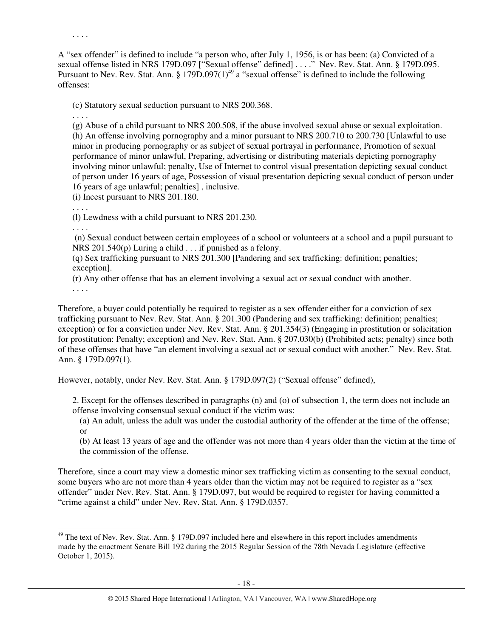. . . .

A "sex offender" is defined to include "a person who, after July 1, 1956, is or has been: (a) Convicted of a sexual offense listed in NRS 179D.097 ["Sexual offense" defined] ...." Nev. Rev. Stat. Ann. § 179D.095. Pursuant to Nev. Rev. Stat. Ann. § 179D.097 $(1)^{49}$  a "sexual offense" is defined to include the following offenses:

(c) Statutory sexual seduction pursuant to NRS 200.368.

. . . .

(g) Abuse of a child pursuant to NRS 200.508, if the abuse involved sexual abuse or sexual exploitation. (h) An offense involving pornography and a minor pursuant to NRS 200.710 to 200.730 [Unlawful to use minor in producing pornography or as subject of sexual portrayal in performance, Promotion of sexual performance of minor unlawful, Preparing, advertising or distributing materials depicting pornography involving minor unlawful; penalty, Use of Internet to control visual presentation depicting sexual conduct of person under 16 years of age, Possession of visual presentation depicting sexual conduct of person under 16 years of age unlawful; penalties] , inclusive.

(i) Incest pursuant to NRS 201.180.

. . . .

(l) Lewdness with a child pursuant to NRS 201.230.

. . . .

 (n) Sexual conduct between certain employees of a school or volunteers at a school and a pupil pursuant to NRS 201.540(p) Luring a child . . . if punished as a felony.

(q) Sex trafficking pursuant to NRS 201.300 [Pandering and sex trafficking: definition; penalties; exception].

(r) Any other offense that has an element involving a sexual act or sexual conduct with another.

. . . .

-

Therefore, a buyer could potentially be required to register as a sex offender either for a conviction of sex trafficking pursuant to Nev. Rev. Stat. Ann. § 201.300 (Pandering and sex trafficking: definition; penalties; exception) or for a conviction under Nev. Rev. Stat. Ann. § 201.354(3) (Engaging in prostitution or solicitation for prostitution: Penalty; exception) and Nev. Rev. Stat. Ann. § 207.030(b) (Prohibited acts; penalty) since both of these offenses that have "an element involving a sexual act or sexual conduct with another." Nev. Rev. Stat. Ann. § 179D.097(1).

However, notably, under Nev. Rev. Stat. Ann. § 179D.097(2) ("Sexual offense" defined),

2. Except for the offenses described in paragraphs (n) and (o) of subsection 1, the term does not include an offense involving consensual sexual conduct if the victim was:

(a) An adult, unless the adult was under the custodial authority of the offender at the time of the offense; or

(b) At least 13 years of age and the offender was not more than 4 years older than the victim at the time of the commission of the offense.

Therefore, since a court may view a domestic minor sex trafficking victim as consenting to the sexual conduct, some buyers who are not more than 4 years older than the victim may not be required to register as a "sex offender" under Nev. Rev. Stat. Ann. § 179D.097, but would be required to register for having committed a "crime against a child" under Nev. Rev. Stat. Ann. § 179D.0357.

<sup>&</sup>lt;sup>49</sup> The text of Nev. Rev. Stat. Ann. § 179D.097 included here and elsewhere in this report includes amendments made by the enactment Senate Bill 192 during the 2015 Regular Session of the 78th Nevada Legislature (effective October 1, 2015).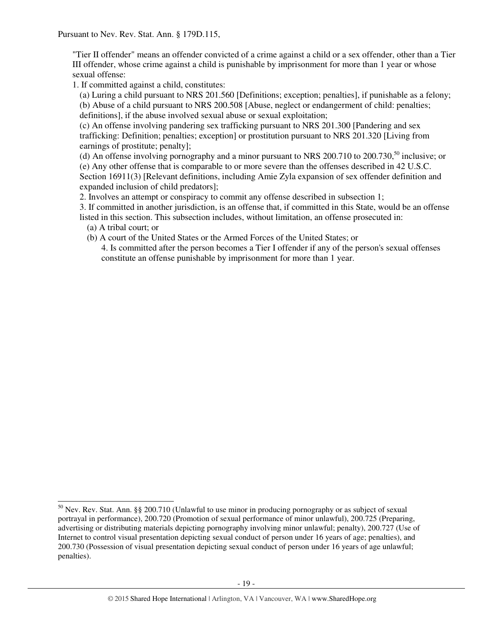"Tier II offender" means an offender convicted of a crime against a child or a sex offender, other than a Tier III offender, whose crime against a child is punishable by imprisonment for more than 1 year or whose sexual offense:

1. If committed against a child, constitutes:

(a) Luring a child pursuant to NRS 201.560 [Definitions; exception; penalties], if punishable as a felony; (b) Abuse of a child pursuant to NRS 200.508 [Abuse, neglect or endangerment of child: penalties;

definitions], if the abuse involved sexual abuse or sexual exploitation;

(c) An offense involving pandering sex trafficking pursuant to NRS 201.300 [Pandering and sex trafficking: Definition; penalties; exception] or prostitution pursuant to NRS 201.320 [Living from earnings of prostitute; penalty];

(d) An offense involving pornography and a minor pursuant to NRS 200.710 to  $200.730$ ,<sup>50</sup> inclusive; or (e) Any other offense that is comparable to or more severe than the offenses described in 42 U.S.C. Section 16911(3) [Relevant definitions, including Amie Zyla expansion of sex offender definition and expanded inclusion of child predators];

2. Involves an attempt or conspiracy to commit any offense described in subsection 1;

3. If committed in another jurisdiction, is an offense that, if committed in this State, would be an offense listed in this section. This subsection includes, without limitation, an offense prosecuted in:

(a) A tribal court; or

j

(b) A court of the United States or the Armed Forces of the United States; or

4. Is committed after the person becomes a Tier I offender if any of the person's sexual offenses constitute an offense punishable by imprisonment for more than 1 year.

 $50$  Nev. Rev. Stat. Ann. §§ 200.710 (Unlawful to use minor in producing pornography or as subject of sexual portrayal in performance), 200.720 (Promotion of sexual performance of minor unlawful), 200.725 (Preparing, advertising or distributing materials depicting pornography involving minor unlawful; penalty), 200.727 (Use of Internet to control visual presentation depicting sexual conduct of person under 16 years of age; penalties), and 200.730 (Possession of visual presentation depicting sexual conduct of person under 16 years of age unlawful; penalties).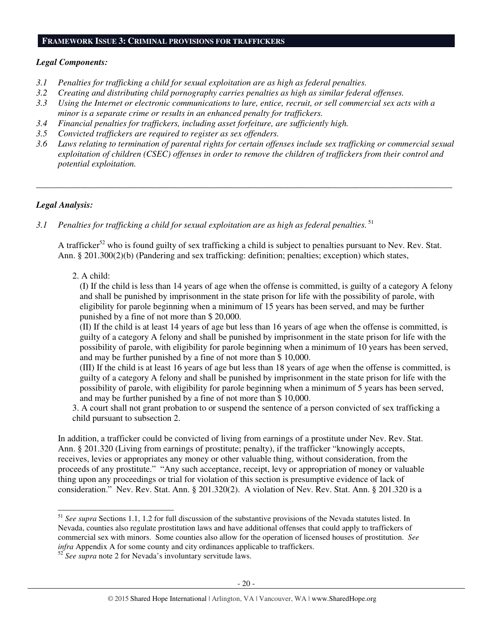#### **FRAMEWORK ISSUE 3: CRIMINAL PROVISIONS FOR TRAFFICKERS**

## *Legal Components:*

- *3.1 Penalties for trafficking a child for sexual exploitation are as high as federal penalties.*
- *3.2 Creating and distributing child pornography carries penalties as high as similar federal offenses.*
- *3.3 Using the Internet or electronic communications to lure, entice, recruit, or sell commercial sex acts with a minor is a separate crime or results in an enhanced penalty for traffickers.*
- *3.4 Financial penalties for traffickers, including asset forfeiture, are sufficiently high.*
- *3.5 Convicted traffickers are required to register as sex offenders.*
- *3.6 Laws relating to termination of parental rights for certain offenses include sex trafficking or commercial sexual exploitation of children (CSEC) offenses in order to remove the children of traffickers from their control and potential exploitation.*

*\_\_\_\_\_\_\_\_\_\_\_\_\_\_\_\_\_\_\_\_\_\_\_\_\_\_\_\_\_\_\_\_\_\_\_\_\_\_\_\_\_\_\_\_\_\_\_\_\_\_\_\_\_\_\_\_\_\_\_\_\_\_\_\_\_\_\_\_\_\_\_\_\_\_\_\_\_\_\_\_\_\_\_\_\_\_\_\_\_\_\_\_\_\_* 

# *Legal Analysis:*

-

3.1 Penalties for trafficking a child for sexual exploitation are as high as federal penalties. <sup>51</sup>

A trafficker<sup>52</sup> who is found guilty of sex trafficking a child is subject to penalties pursuant to Nev. Rev. Stat. Ann. § 201.300(2)(b) (Pandering and sex trafficking: definition; penalties; exception) which states,

2. A child:

(I) If the child is less than 14 years of age when the offense is committed, is guilty of a category A felony and shall be punished by imprisonment in the state prison for life with the possibility of parole, with eligibility for parole beginning when a minimum of 15 years has been served, and may be further punished by a fine of not more than \$ 20,000.

(II) If the child is at least 14 years of age but less than 16 years of age when the offense is committed, is guilty of a category A felony and shall be punished by imprisonment in the state prison for life with the possibility of parole, with eligibility for parole beginning when a minimum of 10 years has been served, and may be further punished by a fine of not more than \$ 10,000.

(III) If the child is at least 16 years of age but less than 18 years of age when the offense is committed, is guilty of a category A felony and shall be punished by imprisonment in the state prison for life with the possibility of parole, with eligibility for parole beginning when a minimum of 5 years has been served, and may be further punished by a fine of not more than \$ 10,000.

3. A court shall not grant probation to or suspend the sentence of a person convicted of sex trafficking a child pursuant to subsection 2.

In addition, a trafficker could be convicted of living from earnings of a prostitute under Nev. Rev. Stat. Ann. § 201.320 (Living from earnings of prostitute; penalty), if the trafficker "knowingly accepts, receives, levies or appropriates any money or other valuable thing, without consideration, from the proceeds of any prostitute." "Any such acceptance, receipt, levy or appropriation of money or valuable thing upon any proceedings or trial for violation of this section is presumptive evidence of lack of consideration." Nev. Rev. Stat. Ann. § 201.320(2). A violation of Nev. Rev. Stat. Ann. § 201.320 is a

<sup>51</sup> *See supra* Sections 1.1, 1.2 for full discussion of the substantive provisions of the Nevada statutes listed. In Nevada, counties also regulate prostitution laws and have additional offenses that could apply to traffickers of commercial sex with minors. Some counties also allow for the operation of licensed houses of prostitution. *See infra* Appendix A for some county and city ordinances applicable to traffickers.

<sup>&</sup>lt;sup>52</sup> *See supra* note 2 for Nevada's involuntary servitude laws.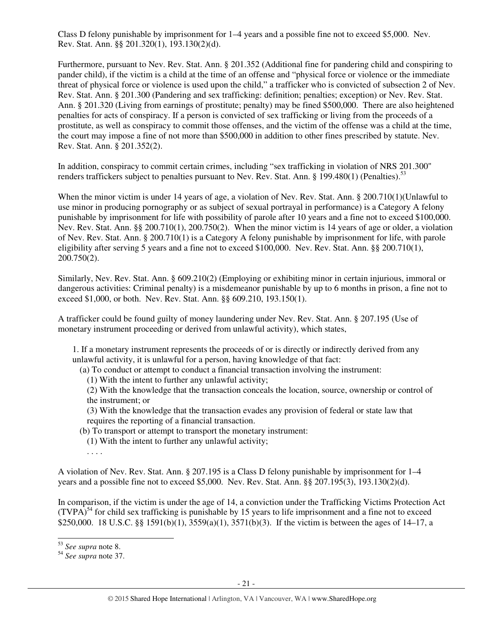Class D felony punishable by imprisonment for 1–4 years and a possible fine not to exceed \$5,000. Nev. Rev. Stat. Ann. §§ 201.320(1), 193.130(2)(d).

Furthermore, pursuant to Nev. Rev. Stat. Ann. § 201.352 (Additional fine for pandering child and conspiring to pander child), if the victim is a child at the time of an offense and "physical force or violence or the immediate threat of physical force or violence is used upon the child," a trafficker who is convicted of subsection 2 of Nev. Rev. Stat. Ann. § 201.300 (Pandering and sex trafficking: definition; penalties; exception) or Nev. Rev. Stat. Ann. § 201.320 (Living from earnings of prostitute; penalty) may be fined \$500,000. There are also heightened penalties for acts of conspiracy. If a person is convicted of sex trafficking or living from the proceeds of a prostitute, as well as conspiracy to commit those offenses, and the victim of the offense was a child at the time, the court may impose a fine of not more than \$500,000 in addition to other fines prescribed by statute. Nev. Rev. Stat. Ann. § 201.352(2).

In addition, conspiracy to commit certain crimes, including "sex trafficking in violation of NRS 201.300" renders traffickers subject to penalties pursuant to Nev. Rev. Stat. Ann. § 199.480(1) (Penalties).<sup>53</sup>

When the minor victim is under 14 years of age, a violation of Nev. Rev. Stat. Ann. § 200.710(1)(Unlawful to use minor in producing pornography or as subject of sexual portrayal in performance) is a Category A felony punishable by imprisonment for life with possibility of parole after 10 years and a fine not to exceed \$100,000. Nev. Rev. Stat. Ann. §§ 200.710(1), 200.750(2). When the minor victim is 14 years of age or older, a violation of Nev. Rev. Stat. Ann. § 200.710(1) is a Category A felony punishable by imprisonment for life, with parole eligibility after serving 5 years and a fine not to exceed \$100,000. Nev. Rev. Stat. Ann. §§ 200.710(1), 200.750(2).

Similarly, Nev. Rev. Stat. Ann. § 609.210(2) (Employing or exhibiting minor in certain injurious, immoral or dangerous activities: Criminal penalty) is a misdemeanor punishable by up to 6 months in prison, a fine not to exceed \$1,000, or both. Nev. Rev. Stat. Ann. §§ 609.210, 193.150(1).

A trafficker could be found guilty of money laundering under Nev. Rev. Stat. Ann. § 207.195 (Use of monetary instrument proceeding or derived from unlawful activity), which states,

1. If a monetary instrument represents the proceeds of or is directly or indirectly derived from any unlawful activity, it is unlawful for a person, having knowledge of that fact:

(a) To conduct or attempt to conduct a financial transaction involving the instrument:

(1) With the intent to further any unlawful activity;

(2) With the knowledge that the transaction conceals the location, source, ownership or control of the instrument; or

(3) With the knowledge that the transaction evades any provision of federal or state law that requires the reporting of a financial transaction.

(b) To transport or attempt to transport the monetary instrument:

(1) With the intent to further any unlawful activity;

. . . .

A violation of Nev. Rev. Stat. Ann. § 207.195 is a Class D felony punishable by imprisonment for 1–4 years and a possible fine not to exceed \$5,000. Nev. Rev. Stat. Ann. §§ 207.195(3), 193.130(2)(d).

In comparison, if the victim is under the age of 14, a conviction under the Trafficking Victims Protection Act  $(TVPA)<sup>54</sup>$  for child sex trafficking is punishable by 15 years to life imprisonment and a fine not to exceed \$250,000. 18 U.S.C. §§ 1591(b)(1), 3559(a)(1), 3571(b)(3). If the victim is between the ages of 14–17, a

<sup>-</sup><sup>53</sup> *See supra* note 8.

<sup>54</sup> *See supra* note 37.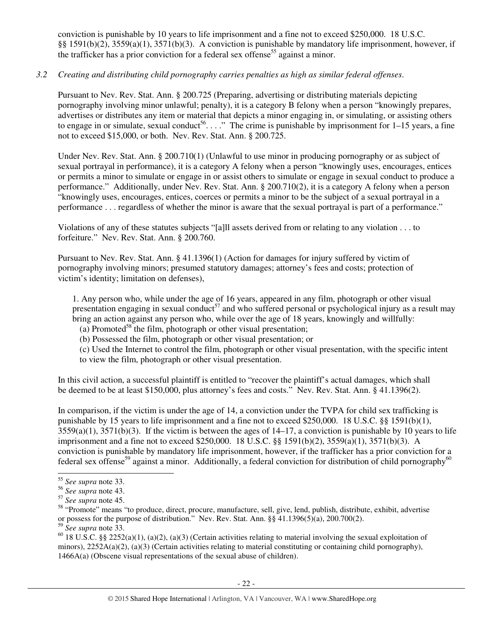conviction is punishable by 10 years to life imprisonment and a fine not to exceed \$250,000. 18 U.S.C. §§ 1591(b)(2), 3559(a)(1), 3571(b)(3). A conviction is punishable by mandatory life imprisonment, however, if the trafficker has a prior conviction for a federal sex offense<sup>55</sup> against a minor.

# *3.2 Creating and distributing child pornography carries penalties as high as similar federal offenses*.

Pursuant to Nev. Rev. Stat. Ann. § 200.725 (Preparing, advertising or distributing materials depicting pornography involving minor unlawful; penalty), it is a category B felony when a person "knowingly prepares, advertises or distributes any item or material that depicts a minor engaging in, or simulating, or assisting others to engage in or simulate, sexual conduct<sup>56</sup>...." The crime is punishable by imprisonment for  $1-15$  years, a fine not to exceed \$15,000, or both. Nev. Rev. Stat. Ann. § 200.725.

Under Nev. Rev. Stat. Ann. § 200.710(1) (Unlawful to use minor in producing pornography or as subject of sexual portrayal in performance), it is a category A felony when a person "knowingly uses, encourages, entices or permits a minor to simulate or engage in or assist others to simulate or engage in sexual conduct to produce a performance." Additionally, under Nev. Rev. Stat. Ann. § 200.710(2), it is a category A felony when a person "knowingly uses, encourages, entices, coerces or permits a minor to be the subject of a sexual portrayal in a performance . . . regardless of whether the minor is aware that the sexual portrayal is part of a performance."

Violations of any of these statutes subjects "[a]ll assets derived from or relating to any violation . . . to forfeiture." Nev. Rev. Stat. Ann. § 200.760.

Pursuant to Nev. Rev. Stat. Ann. § 41.1396(1) (Action for damages for injury suffered by victim of pornography involving minors; presumed statutory damages; attorney's fees and costs; protection of victim's identity; limitation on defenses),

1. Any person who, while under the age of 16 years, appeared in any film, photograph or other visual presentation engaging in sexual conduct<sup>57</sup> and who suffered personal or psychological injury as a result may bring an action against any person who, while over the age of 18 years, knowingly and willfully:

(a) Promoted<sup>58</sup> the film, photograph or other visual presentation;

(b) Possessed the film, photograph or other visual presentation; or

(c) Used the Internet to control the film, photograph or other visual presentation, with the specific intent to view the film, photograph or other visual presentation.

In this civil action, a successful plaintiff is entitled to "recover the plaintiff's actual damages, which shall be deemed to be at least \$150,000, plus attorney's fees and costs." Nev. Rev. Stat. Ann. § 41.1396(2).

In comparison, if the victim is under the age of 14, a conviction under the TVPA for child sex trafficking is punishable by 15 years to life imprisonment and a fine not to exceed \$250,000. 18 U.S.C. §§ 1591(b)(1),  $3559(a)(1)$ ,  $3571(b)(3)$ . If the victim is between the ages of  $14-17$ , a conviction is punishable by 10 years to life imprisonment and a fine not to exceed \$250,000. 18 U.S.C. §§ 1591(b)(2), 3559(a)(1), 3571(b)(3). A conviction is punishable by mandatory life imprisonment, however, if the trafficker has a prior conviction for a federal sex offense<sup>59</sup> against a minor. Additionally, a federal conviction for distribution of child pornography<sup>60</sup>

-

<sup>55</sup> *See supra* note 33.

<sup>56</sup> *See supra* note 43.

<sup>57</sup> *See supra* note 45.

<sup>&</sup>lt;sup>58</sup> "Promote" means "to produce, direct, procure, manufacture, sell, give, lend, publish, distribute, exhibit, advertise or possess for the purpose of distribution." Nev. Rev. Stat. Ann. §§ 41.1396(5)(a), 200.700(2).

<sup>59</sup> *See supra* note 33.

<sup>&</sup>lt;sup>60</sup> 18 U.S.C. §§ 2252(a)(1), (a)(2), (a)(3) (Certain activities relating to material involving the sexual exploitation of minors), 2252A(a)(2), (a)(3) (Certain activities relating to material constituting or containing child pornography), 1466A(a) (Obscene visual representations of the sexual abuse of children).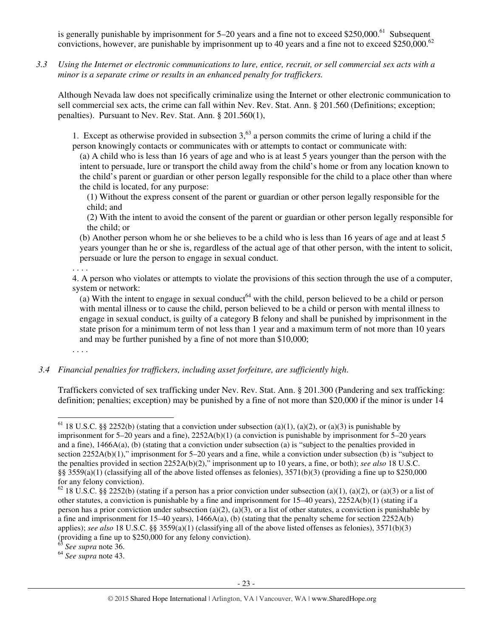is generally punishable by imprisonment for  $5-20$  years and a fine not to exceed \$250,000.<sup>61</sup> Subsequent convictions, however, are punishable by imprisonment up to 40 years and a fine not to exceed \$250,000.<sup>62</sup>

*3.3 Using the Internet or electronic communications to lure, entice, recruit, or sell commercial sex acts with a minor is a separate crime or results in an enhanced penalty for traffickers.* 

Although Nevada law does not specifically criminalize using the Internet or other electronic communication to sell commercial sex acts, the crime can fall within Nev. Rev. Stat. Ann. § 201.560 (Definitions; exception; penalties). Pursuant to Nev. Rev. Stat. Ann. § 201.560(1),

1. Except as otherwise provided in subsection  $3<sup>63</sup>$  a person commits the crime of luring a child if the person knowingly contacts or communicates with or attempts to contact or communicate with:

(a) A child who is less than 16 years of age and who is at least 5 years younger than the person with the intent to persuade, lure or transport the child away from the child's home or from any location known to the child's parent or guardian or other person legally responsible for the child to a place other than where the child is located, for any purpose:

(1) Without the express consent of the parent or guardian or other person legally responsible for the child; and

(2) With the intent to avoid the consent of the parent or guardian or other person legally responsible for the child; or

(b) Another person whom he or she believes to be a child who is less than 16 years of age and at least 5 years younger than he or she is, regardless of the actual age of that other person, with the intent to solicit, persuade or lure the person to engage in sexual conduct.

. . . .

4. A person who violates or attempts to violate the provisions of this section through the use of a computer, system or network:

(a) With the intent to engage in sexual conduct<sup>64</sup> with the child, person believed to be a child or person with mental illness or to cause the child, person believed to be a child or person with mental illness to engage in sexual conduct, is guilty of a category B felony and shall be punished by imprisonment in the state prison for a minimum term of not less than 1 year and a maximum term of not more than 10 years and may be further punished by a fine of not more than \$10,000;

*3.4 Financial penalties for traffickers, including asset forfeiture, are sufficiently high*.

Traffickers convicted of sex trafficking under Nev. Rev. Stat. Ann. § 201.300 (Pandering and sex trafficking: definition; penalties; exception) may be punished by a fine of not more than \$20,000 if the minor is under 14

<sup>63</sup> *See supra* note 36.

<sup>64</sup> *See supra* note 43.

<sup>. . . .</sup> 

<sup>-</sup><sup>61</sup> 18 U.S.C. §§ 2252(b) (stating that a conviction under subsection (a)(1), (a)(2), or (a)(3) is punishable by imprisonment for  $5-20$  years and a fine),  $2252A(b)(1)$  (a conviction is punishable by imprisonment for  $5-20$  years and a fine), 1466A(a), (b) (stating that a conviction under subsection (a) is "subject to the penalties provided in section 2252A(b)(1)," imprisonment for 5–20 years and a fine, while a conviction under subsection (b) is "subject to the penalties provided in section 2252A(b)(2)," imprisonment up to 10 years, a fine, or both); *see also* 18 U.S.C. §§ 3559(a)(1) (classifying all of the above listed offenses as felonies),  $3571(b)(3)$  (providing a fine up to \$250,000 for any felony conviction).

<sup>&</sup>lt;sup>62</sup> 18 U.S.C. §§ 2252(b) (stating if a person has a prior conviction under subsection (a)(1), (a)(2), or (a)(3) or a list of other statutes, a conviction is punishable by a fine and imprisonment for 15–40 years), 2252A(b)(1) (stating if a person has a prior conviction under subsection (a)(2), (a)(3), or a list of other statutes, a conviction is punishable by a fine and imprisonment for 15–40 years), 1466A(a), (b) (stating that the penalty scheme for section 2252A(b) applies); *see also* 18 U.S.C. §§ 3559(a)(1) (classifying all of the above listed offenses as felonies), 3571(b)(3) (providing a fine up to \$250,000 for any felony conviction).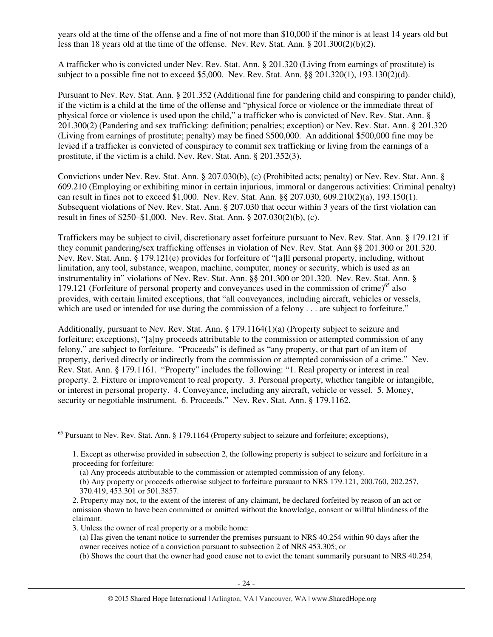years old at the time of the offense and a fine of not more than \$10,000 if the minor is at least 14 years old but less than 18 years old at the time of the offense. Nev. Rev. Stat. Ann. § 201.300(2)(b)(2).

A trafficker who is convicted under Nev. Rev. Stat. Ann. § 201.320 (Living from earnings of prostitute) is subject to a possible fine not to exceed \$5,000. Nev. Rev. Stat. Ann. §§ 201.320(1), 193.130(2)(d).

Pursuant to Nev. Rev. Stat. Ann. § 201.352 (Additional fine for pandering child and conspiring to pander child), if the victim is a child at the time of the offense and "physical force or violence or the immediate threat of physical force or violence is used upon the child," a trafficker who is convicted of Nev. Rev. Stat. Ann. § 201.300(2) (Pandering and sex trafficking: definition; penalties; exception) or Nev. Rev. Stat. Ann. § 201.320 (Living from earnings of prostitute; penalty) may be fined \$500,000. An additional \$500,000 fine may be levied if a trafficker is convicted of conspiracy to commit sex trafficking or living from the earnings of a prostitute, if the victim is a child. Nev. Rev. Stat. Ann. § 201.352(3).

Convictions under Nev. Rev. Stat. Ann. § 207.030(b), (c) (Prohibited acts; penalty) or Nev. Rev. Stat. Ann. § 609.210 (Employing or exhibiting minor in certain injurious, immoral or dangerous activities: Criminal penalty) can result in fines not to exceed \$1,000. Nev. Rev. Stat. Ann. §§ 207.030, 609.210(2)(a), 193.150(1). Subsequent violations of Nev. Rev. Stat. Ann. § 207.030 that occur within 3 years of the first violation can result in fines of \$250–\$1,000. Nev. Rev. Stat. Ann. § 207.030(2)(b), (c).

Traffickers may be subject to civil, discretionary asset forfeiture pursuant to Nev. Rev. Stat. Ann. § 179.121 if they commit pandering/sex trafficking offenses in violation of Nev. Rev. Stat. Ann §§ 201.300 or 201.320. Nev. Rev. Stat. Ann. § 179.121(e) provides for forfeiture of "[a]ll personal property, including, without limitation, any tool, substance, weapon, machine, computer, money or security, which is used as an instrumentality in" violations of Nev. Rev. Stat. Ann. §§ 201.300 or 201.320.Nev. Rev. Stat. Ann. § 179.121 (Forfeiture of personal property and conveyances used in the commission of crime)<sup>65</sup> also provides, with certain limited exceptions, that "all conveyances, including aircraft, vehicles or vessels, which are used or intended for use during the commission of a felony . . . are subject to forfeiture."

Additionally, pursuant to Nev. Rev. Stat. Ann. § 179.1164(1)(a) (Property subject to seizure and forfeiture; exceptions), "[a]ny proceeds attributable to the commission or attempted commission of any felony," are subject to forfeiture. "Proceeds" is defined as "any property, or that part of an item of property, derived directly or indirectly from the commission or attempted commission of a crime." Nev. Rev. Stat. Ann. § 179.1161. "Property" includes the following: "1. Real property or interest in real property. 2. Fixture or improvement to real property. 3. Personal property, whether tangible or intangible, or interest in personal property. 4. Conveyance, including any aircraft, vehicle or vessel. 5. Money, security or negotiable instrument. 6. Proceeds." Nev. Rev. Stat. Ann. § 179.1162.

- (a) Any proceeds attributable to the commission or attempted commission of any felony. (b) Any property or proceeds otherwise subject to forfeiture pursuant to NRS 179.121, 200.760, 202.257,
- 370.419, 453.301 or 501.3857.

-

3. Unless the owner of real property or a mobile home:

(b) Shows the court that the owner had good cause not to evict the tenant summarily pursuant to NRS 40.254,

 $<sup>65</sup>$  Pursuant to Nev. Rev. Stat. Ann. § 179.1164 (Property subject to seizure and forfeiture; exceptions),</sup>

<sup>1.</sup> Except as otherwise provided in subsection 2, the following property is subject to seizure and forfeiture in a proceeding for forfeiture:

<sup>2.</sup> Property may not, to the extent of the interest of any claimant, be declared forfeited by reason of an act or omission shown to have been committed or omitted without the knowledge, consent or willful blindness of the claimant.

<sup>(</sup>a) Has given the tenant notice to surrender the premises pursuant to NRS 40.254 within 90 days after the owner receives notice of a conviction pursuant to subsection 2 of NRS 453.305; or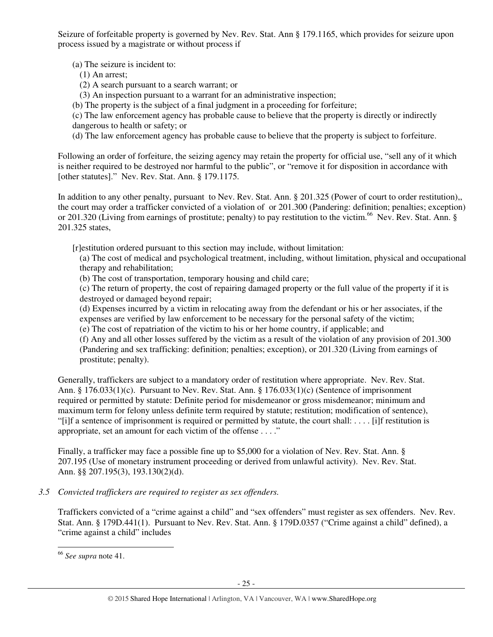Seizure of forfeitable property is governed by Nev. Rev. Stat. Ann § 179.1165, which provides for seizure upon process issued by a magistrate or without process if

(a) The seizure is incident to:

- (1) An arrest;
- (2) A search pursuant to a search warrant; or
- (3) An inspection pursuant to a warrant for an administrative inspection;
- (b) The property is the subject of a final judgment in a proceeding for forfeiture;

(c) The law enforcement agency has probable cause to believe that the property is directly or indirectly dangerous to health or safety; or

(d) The law enforcement agency has probable cause to believe that the property is subject to forfeiture.

Following an order of forfeiture, the seizing agency may retain the property for official use, "sell any of it which is neither required to be destroyed nor harmful to the public", or "remove it for disposition in accordance with [other statutes]." Nev. Rev. Stat. Ann. § 179.1175.

In addition to any other penalty, pursuant to Nev. Rev. Stat. Ann. § 201.325 (Power of court to order restitution), the court may order a trafficker convicted of a violation of or 201.300 (Pandering: definition; penalties; exception) or 201.320 (Living from earnings of prostitute; penalty) to pay restitution to the victim.<sup>66</sup> Nev. Rev. Stat. Ann. § 201.325 states,

[r]estitution ordered pursuant to this section may include, without limitation:

(a) The cost of medical and psychological treatment, including, without limitation, physical and occupational therapy and rehabilitation;

(b) The cost of transportation, temporary housing and child care;

(c) The return of property, the cost of repairing damaged property or the full value of the property if it is destroyed or damaged beyond repair;

(d) Expenses incurred by a victim in relocating away from the defendant or his or her associates, if the expenses are verified by law enforcement to be necessary for the personal safety of the victim;

(e) The cost of repatriation of the victim to his or her home country, if applicable; and

(f) Any and all other losses suffered by the victim as a result of the violation of any provision of 201.300 (Pandering and sex trafficking: definition; penalties; exception), or 201.320 (Living from earnings of prostitute; penalty).

Generally, traffickers are subject to a mandatory order of restitution where appropriate. Nev. Rev. Stat. Ann. § 176.033(1)(c). Pursuant to Nev. Rev. Stat. Ann. § 176.033(1)(c) (Sentence of imprisonment required or permitted by statute: Definite period for misdemeanor or gross misdemeanor; minimum and maximum term for felony unless definite term required by statute; restitution; modification of sentence), "[i]f a sentence of imprisonment is required or permitted by statute, the court shall: . . . . [i]f restitution is appropriate, set an amount for each victim of the offense . . . ."

Finally, a trafficker may face a possible fine up to \$5,000 for a violation of Nev. Rev. Stat. Ann. § 207.195 (Use of monetary instrument proceeding or derived from unlawful activity). Nev. Rev. Stat. Ann. §§ 207.195(3), 193.130(2)(d).

# *3.5 Convicted traffickers are required to register as sex offenders.*

Traffickers convicted of a "crime against a child" and "sex offenders" must register as sex offenders. Nev. Rev. Stat. Ann. § 179D.441(1). Pursuant to Nev. Rev. Stat. Ann. § 179D.0357 ("Crime against a child" defined), a "crime against a child" includes

l

<sup>66</sup> *See supra* note 41.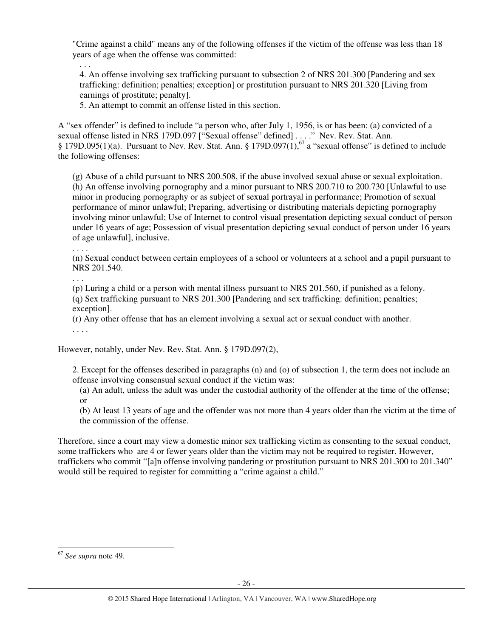"Crime against a child" means any of the following offenses if the victim of the offense was less than 18 years of age when the offense was committed:

. . . 4. An offense involving sex trafficking pursuant to subsection 2 of NRS 201.300 [Pandering and sex trafficking: definition; penalties; exception] or prostitution pursuant to NRS 201.320 [Living from earnings of prostitute; penalty].

5. An attempt to commit an offense listed in this section.

A "sex offender" is defined to include "a person who, after July 1, 1956, is or has been: (a) convicted of a sexual offense listed in NRS 179D.097 ["Sexual offense" defined] . . . ." Nev. Rev. Stat. Ann. § 179D.095(1)(a). Pursuant to Nev. Rev. Stat. Ann. § 179D.097(1),<sup>67</sup> a "sexual offense" is defined to include the following offenses:

(g) Abuse of a child pursuant to NRS 200.508, if the abuse involved sexual abuse or sexual exploitation. (h) An offense involving pornography and a minor pursuant to NRS 200.710 to 200.730 [Unlawful to use minor in producing pornography or as subject of sexual portrayal in performance; Promotion of sexual performance of minor unlawful; Preparing, advertising or distributing materials depicting pornography involving minor unlawful; Use of Internet to control visual presentation depicting sexual conduct of person under 16 years of age; Possession of visual presentation depicting sexual conduct of person under 16 years of age unlawful], inclusive.

. . . .

(n) Sexual conduct between certain employees of a school or volunteers at a school and a pupil pursuant to NRS 201.540.

. . .

(p) Luring a child or a person with mental illness pursuant to NRS 201.560, if punished as a felony.

(q) Sex trafficking pursuant to NRS 201.300 [Pandering and sex trafficking: definition; penalties; exception].

(r) Any other offense that has an element involving a sexual act or sexual conduct with another. . . . .

However, notably, under Nev. Rev. Stat. Ann. § 179D.097(2),

2. Except for the offenses described in paragraphs (n) and (o) of subsection 1, the term does not include an offense involving consensual sexual conduct if the victim was:

(a) An adult, unless the adult was under the custodial authority of the offender at the time of the offense; or

(b) At least 13 years of age and the offender was not more than 4 years older than the victim at the time of the commission of the offense.

Therefore, since a court may view a domestic minor sex trafficking victim as consenting to the sexual conduct, some traffickers who are 4 or fewer years older than the victim may not be required to register. However, traffickers who commit "[a]n offense involving pandering or prostitution pursuant to NRS 201.300 to 201.340" would still be required to register for committing a "crime against a child."

l <sup>67</sup> *See supra* note 49.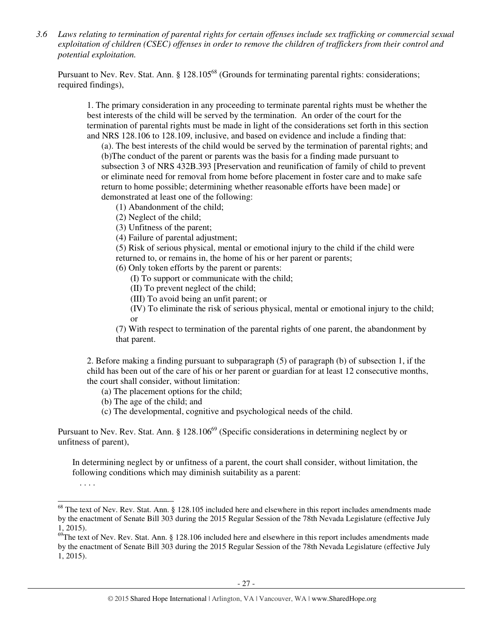*3.6 Laws relating to termination of parental rights for certain offenses include sex trafficking or commercial sexual exploitation of children (CSEC) offenses in order to remove the children of traffickers from their control and potential exploitation.* 

Pursuant to Nev. Rev. Stat. Ann. § 128.105<sup>68</sup> (Grounds for terminating parental rights: considerations; required findings),

1. The primary consideration in any proceeding to terminate parental rights must be whether the best interests of the child will be served by the termination. An order of the court for the termination of parental rights must be made in light of the considerations set forth in this section and NRS 128.106 to 128.109, inclusive, and based on evidence and include a finding that:

(a). The best interests of the child would be served by the termination of parental rights; and (b)The conduct of the parent or parents was the basis for a finding made pursuant to subsection 3 of NRS 432B.393 [Preservation and reunification of family of child to prevent or eliminate need for removal from home before placement in foster care and to make safe return to home possible; determining whether reasonable efforts have been made] or demonstrated at least one of the following:

(1) Abandonment of the child;

(2) Neglect of the child;

(3) Unfitness of the parent;

(4) Failure of parental adjustment;

(5) Risk of serious physical, mental or emotional injury to the child if the child were returned to, or remains in, the home of his or her parent or parents;

(6) Only token efforts by the parent or parents:

(I) To support or communicate with the child;

(II) To prevent neglect of the child;

(III) To avoid being an unfit parent; or

(IV) To eliminate the risk of serious physical, mental or emotional injury to the child; or

(7) With respect to termination of the parental rights of one parent, the abandonment by that parent.

2. Before making a finding pursuant to subparagraph (5) of paragraph (b) of subsection 1, if the child has been out of the care of his or her parent or guardian for at least 12 consecutive months, the court shall consider, without limitation:

(a) The placement options for the child;

(b) The age of the child; and

(c) The developmental, cognitive and psychological needs of the child.

Pursuant to Nev. Rev. Stat. Ann. § 128.106<sup>69</sup> (Specific considerations in determining neglect by or unfitness of parent),

In determining neglect by or unfitness of a parent, the court shall consider, without limitation, the following conditions which may diminish suitability as a parent:

<sup>. . . .</sup> 

j  $68$  The text of Nev. Rev. Stat. Ann. § 128.105 included here and elsewhere in this report includes amendments made by the enactment of Senate Bill 303 during the 2015 Regular Session of the 78th Nevada Legislature (effective July 1, 2015).

 $69$ The text of Nev. Rev. Stat. Ann. § 128.106 included here and elsewhere in this report includes amendments made by the enactment of Senate Bill 303 during the 2015 Regular Session of the 78th Nevada Legislature (effective July 1, 2015).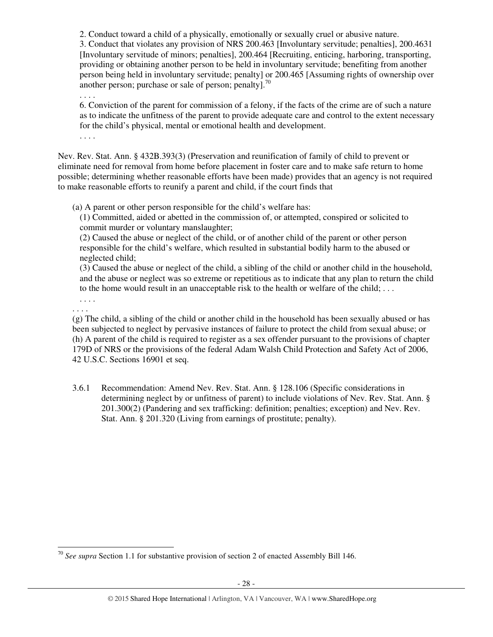2. Conduct toward a child of a physically, emotionally or sexually cruel or abusive nature. 3. Conduct that violates any provision of NRS 200.463 [Involuntary servitude; penalties], 200.4631 [Involuntary servitude of minors; penalties], 200.464 [Recruiting, enticing, harboring, transporting, providing or obtaining another person to be held in involuntary servitude; benefiting from another person being held in involuntary servitude; penalty] or 200.465 [Assuming rights of ownership over another person; purchase or sale of person; penalty].<sup>70</sup>

. . . .

6. Conviction of the parent for commission of a felony, if the facts of the crime are of such a nature as to indicate the unfitness of the parent to provide adequate care and control to the extent necessary for the child's physical, mental or emotional health and development.

. . . .

Nev. Rev. Stat. Ann. § 432B.393(3) (Preservation and reunification of family of child to prevent or eliminate need for removal from home before placement in foster care and to make safe return to home possible; determining whether reasonable efforts have been made) provides that an agency is not required to make reasonable efforts to reunify a parent and child, if the court finds that

(a) A parent or other person responsible for the child's welfare has:

(1) Committed, aided or abetted in the commission of, or attempted, conspired or solicited to commit murder or voluntary manslaughter;

(2) Caused the abuse or neglect of the child, or of another child of the parent or other person responsible for the child's welfare, which resulted in substantial bodily harm to the abused or neglected child;

(3) Caused the abuse or neglect of the child, a sibling of the child or another child in the household, and the abuse or neglect was so extreme or repetitious as to indicate that any plan to return the child to the home would result in an unacceptable risk to the health or welfare of the child; . . .

. . . . . . . .

l

(g) The child, a sibling of the child or another child in the household has been sexually abused or has been subjected to neglect by pervasive instances of failure to protect the child from sexual abuse; or (h) A parent of the child is required to register as a sex offender pursuant to the provisions of chapter 179D of NRS or the provisions of the federal Adam Walsh Child Protection and Safety Act of 2006, 42 U.S.C. Sections 16901 et seq.

3.6.1 Recommendation: Amend Nev. Rev. Stat. Ann. § 128.106 (Specific considerations in determining neglect by or unfitness of parent) to include violations of Nev. Rev. Stat. Ann. § 201.300(2) (Pandering and sex trafficking: definition; penalties; exception) and Nev. Rev. Stat. Ann. § 201.320 (Living from earnings of prostitute; penalty).

<sup>70</sup> *See supra* Section 1.1 for substantive provision of section 2 of enacted Assembly Bill 146.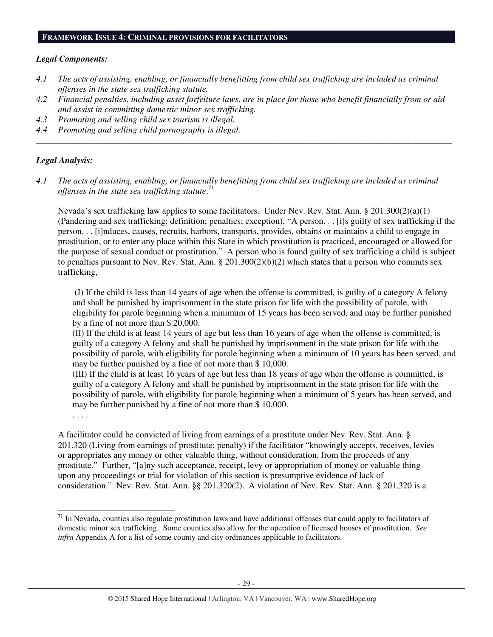#### **FRAMEWORK ISSUE 4: CRIMINAL PROVISIONS FOR FACILITATORS**

#### *Legal Components:*

- *4.1 The acts of assisting, enabling, or financially benefitting from child sex trafficking are included as criminal offenses in the state sex trafficking statute.*
- *4.2 Financial penalties, including asset forfeiture laws, are in place for those who benefit financially from or aid and assist in committing domestic minor sex trafficking.*

*\_\_\_\_\_\_\_\_\_\_\_\_\_\_\_\_\_\_\_\_\_\_\_\_\_\_\_\_\_\_\_\_\_\_\_\_\_\_\_\_\_\_\_\_\_\_\_\_\_\_\_\_\_\_\_\_\_\_\_\_\_\_\_\_\_\_\_\_\_\_\_\_\_\_\_\_\_\_\_\_\_\_\_\_\_\_\_\_\_\_\_\_\_\_* 

- *4.3 Promoting and selling child sex tourism is illegal.*
- *4.4 Promoting and selling child pornography is illegal.*

## *Legal Analysis:*

*4.1 The acts of assisting, enabling, or financially benefitting from child sex trafficking are included as criminal offenses in the state sex trafficking statute*. *71*

Nevada's sex trafficking law applies to some facilitators. Under Nev. Rev. Stat. Ann. § 201.300(2)(a)(1) (Pandering and sex trafficking: definition; penalties; exception), "A person. . . [i]s guilty of sex trafficking if the person. . . [i]nduces, causes, recruits, harbors, transports, provides, obtains or maintains a child to engage in prostitution, or to enter any place within this State in which prostitution is practiced, encouraged or allowed for the purpose of sexual conduct or prostitution." A person who is found guilty of sex trafficking a child is subject to penalties pursuant to Nev. Rev. Stat. Ann. § 201.300(2)(b)(2) which states that a person who commits sex trafficking,

 (I) If the child is less than 14 years of age when the offense is committed, is guilty of a category A felony and shall be punished by imprisonment in the state prison for life with the possibility of parole, with eligibility for parole beginning when a minimum of 15 years has been served, and may be further punished by a fine of not more than \$ 20,000.

(II) If the child is at least 14 years of age but less than 16 years of age when the offense is committed, is guilty of a category A felony and shall be punished by imprisonment in the state prison for life with the possibility of parole, with eligibility for parole beginning when a minimum of 10 years has been served, and may be further punished by a fine of not more than \$ 10,000.

(III) If the child is at least 16 years of age but less than 18 years of age when the offense is committed, is guilty of a category A felony and shall be punished by imprisonment in the state prison for life with the possibility of parole, with eligibility for parole beginning when a minimum of 5 years has been served, and may be further punished by a fine of not more than \$ 10,000.

. . . .

-

A facilitator could be convicted of living from earnings of a prostitute under Nev. Rev. Stat. Ann. § 201.320 (Living from earnings of prostitute; penalty) if the facilitator "knowingly accepts, receives, levies or appropriates any money or other valuable thing, without consideration, from the proceeds of any prostitute." Further, "[a]ny such acceptance, receipt, levy or appropriation of money or valuable thing upon any proceedings or trial for violation of this section is presumptive evidence of lack of consideration." Nev. Rev. Stat. Ann. §§ 201.320(2). A violation of Nev. Rev. Stat. Ann. § 201.320 is a

 $71$  In Nevada, counties also regulate prostitution laws and have additional offenses that could apply to facilitators of domestic minor sex trafficking. Some counties also allow for the operation of licensed houses of prostitution. *See infra* Appendix A for a list of some county and city ordinances applicable to facilitators.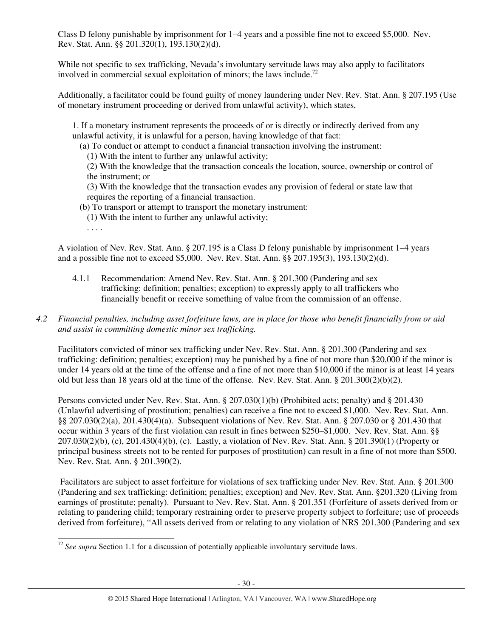Class D felony punishable by imprisonment for 1–4 years and a possible fine not to exceed \$5,000. Nev. Rev. Stat. Ann. §§ 201.320(1), 193.130(2)(d).

While not specific to sex trafficking, Nevada's involuntary servitude laws may also apply to facilitators involved in commercial sexual exploitation of minors; the laws include.<sup>72</sup>

Additionally, a facilitator could be found guilty of money laundering under Nev. Rev. Stat. Ann. § 207.195 (Use of monetary instrument proceeding or derived from unlawful activity), which states,

1. If a monetary instrument represents the proceeds of or is directly or indirectly derived from any unlawful activity, it is unlawful for a person, having knowledge of that fact:

(a) To conduct or attempt to conduct a financial transaction involving the instrument:

(1) With the intent to further any unlawful activity;

(2) With the knowledge that the transaction conceals the location, source, ownership or control of the instrument; or

(3) With the knowledge that the transaction evades any provision of federal or state law that requires the reporting of a financial transaction.

(b) To transport or attempt to transport the monetary instrument:

- (1) With the intent to further any unlawful activity;
- . . . .

A violation of Nev. Rev. Stat. Ann. § 207.195 is a Class D felony punishable by imprisonment 1–4 years and a possible fine not to exceed \$5,000. Nev. Rev. Stat. Ann. §§ 207.195(3), 193.130(2)(d).

4.1.1 Recommendation: Amend Nev. Rev. Stat. Ann. § 201.300 (Pandering and sex trafficking: definition; penalties; exception) to expressly apply to all traffickers who financially benefit or receive something of value from the commission of an offense.

# *4.2 Financial penalties, including asset forfeiture laws, are in place for those who benefit financially from or aid and assist in committing domestic minor sex trafficking.*

Facilitators convicted of minor sex trafficking under Nev. Rev. Stat. Ann. § 201.300 (Pandering and sex trafficking: definition; penalties; exception) may be punished by a fine of not more than \$20,000 if the minor is under 14 years old at the time of the offense and a fine of not more than \$10,000 if the minor is at least 14 years old but less than 18 years old at the time of the offense. Nev. Rev. Stat. Ann. § 201.300(2)(b)(2).

Persons convicted under Nev. Rev. Stat. Ann. § 207.030(1)(b) (Prohibited acts; penalty) and § 201.430 (Unlawful advertising of prostitution; penalties) can receive a fine not to exceed \$1,000. Nev. Rev. Stat. Ann. §§ 207.030(2)(a), 201.430(4)(a). Subsequent violations of Nev. Rev. Stat. Ann. § 207.030 or § 201.430 that occur within 3 years of the first violation can result in fines between \$250–\$1,000. Nev. Rev. Stat. Ann. §§ 207.030(2)(b), (c), 201.430(4)(b), (c). Lastly, a violation of Nev. Rev. Stat. Ann. § 201.390(1) (Property or principal business streets not to be rented for purposes of prostitution) can result in a fine of not more than \$500. Nev. Rev. Stat. Ann. § 201.390(2).

 Facilitators are subject to asset forfeiture for violations of sex trafficking under Nev. Rev. Stat. Ann. § 201.300 (Pandering and sex trafficking: definition; penalties; exception) and Nev. Rev. Stat. Ann. §201.320 (Living from earnings of prostitute; penalty). Pursuant to Nev. Rev. Stat. Ann. § 201.351 (Forfeiture of assets derived from or relating to pandering child; temporary restraining order to preserve property subject to forfeiture; use of proceeds derived from forfeiture), "All assets derived from or relating to any violation of NRS 201.300 (Pandering and sex

<sup>-</sup><sup>72</sup> See supra Section 1.1 for a discussion of potentially applicable involuntary servitude laws.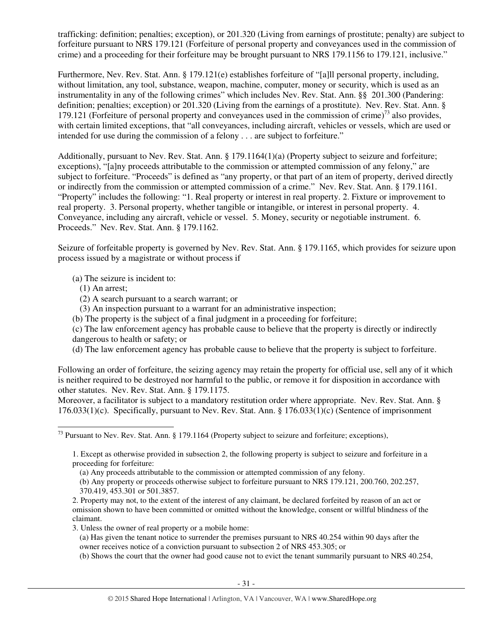trafficking: definition; penalties; exception), or 201.320 (Living from earnings of prostitute; penalty) are subject to forfeiture pursuant to NRS 179.121 (Forfeiture of personal property and conveyances used in the commission of crime) and a proceeding for their forfeiture may be brought pursuant to NRS 179.1156 to 179.121, inclusive."

Furthermore, Nev. Rev. Stat. Ann. § 179.121(e) establishes forfeiture of "[a]ll personal property, including, without limitation, any tool, substance, weapon, machine, computer, money or security, which is used as an instrumentality in any of the following crimes" which includes Nev. Rev. Stat. Ann. §§ 201.300 (Pandering: definition; penalties; exception) or 201.320 (Living from the earnings of a prostitute).Nev. Rev. Stat. Ann. § 179.121 (Forfeiture of personal property and conveyances used in the commission of crime)<sup>73</sup> also provides, with certain limited exceptions, that "all conveyances, including aircraft, vehicles or vessels, which are used or intended for use during the commission of a felony . . . are subject to forfeiture."

Additionally, pursuant to Nev. Rev. Stat. Ann. § 179.1164(1)(a) (Property subject to seizure and forfeiture; exceptions), "[a]ny proceeds attributable to the commission or attempted commission of any felony," are subject to forfeiture. "Proceeds" is defined as "any property, or that part of an item of property, derived directly or indirectly from the commission or attempted commission of a crime." Nev. Rev. Stat. Ann. § 179.1161. "Property" includes the following: "1. Real property or interest in real property. 2. Fixture or improvement to real property. 3. Personal property, whether tangible or intangible, or interest in personal property. 4. Conveyance, including any aircraft, vehicle or vessel. 5. Money, security or negotiable instrument. 6. Proceeds." Nev. Rev. Stat. Ann. § 179.1162.

Seizure of forfeitable property is governed by Nev. Rev. Stat. Ann. § 179.1165, which provides for seizure upon process issued by a magistrate or without process if

(a) The seizure is incident to:

- (1) An arrest;
- (2) A search pursuant to a search warrant; or
- (3) An inspection pursuant to a warrant for an administrative inspection;
- (b) The property is the subject of a final judgment in a proceeding for forfeiture;

(c) The law enforcement agency has probable cause to believe that the property is directly or indirectly dangerous to health or safety; or

(d) The law enforcement agency has probable cause to believe that the property is subject to forfeiture.

Following an order of forfeiture, the seizing agency may retain the property for official use, sell any of it which is neither required to be destroyed nor harmful to the public, or remove it for disposition in accordance with other statutes. Nev. Rev. Stat. Ann. § 179.1175.

Moreover, a facilitator is subject to a mandatory restitution order where appropriate. Nev. Rev. Stat. Ann. § 176.033(1)(c). Specifically, pursuant to Nev. Rev. Stat. Ann. § 176.033(1)(c) (Sentence of imprisonment

(b) Shows the court that the owner had good cause not to evict the tenant summarily pursuant to NRS 40.254,

<sup>-</sup> $^{73}$  Pursuant to Nev. Rev. Stat. Ann. § 179.1164 (Property subject to seizure and forfeiture; exceptions),

<sup>1.</sup> Except as otherwise provided in subsection 2, the following property is subject to seizure and forfeiture in a proceeding for forfeiture:

<sup>(</sup>a) Any proceeds attributable to the commission or attempted commission of any felony.

<sup>(</sup>b) Any property or proceeds otherwise subject to forfeiture pursuant to NRS 179.121, 200.760, 202.257, 370.419, 453.301 or 501.3857.

<sup>2.</sup> Property may not, to the extent of the interest of any claimant, be declared forfeited by reason of an act or omission shown to have been committed or omitted without the knowledge, consent or willful blindness of the claimant.

<sup>3.</sup> Unless the owner of real property or a mobile home:

<sup>(</sup>a) Has given the tenant notice to surrender the premises pursuant to NRS 40.254 within 90 days after the owner receives notice of a conviction pursuant to subsection 2 of NRS 453.305; or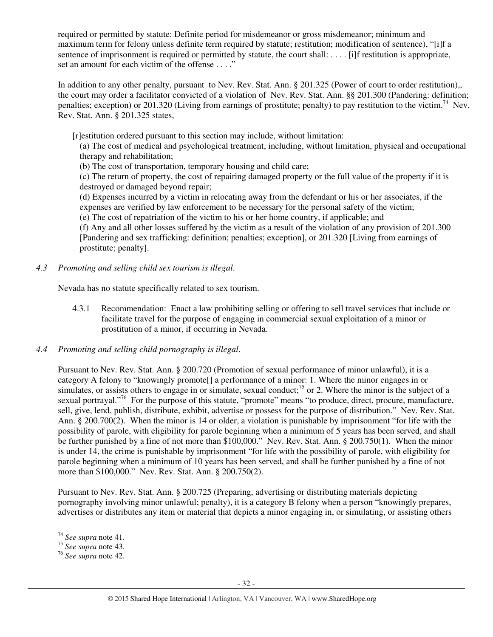required or permitted by statute: Definite period for misdemeanor or gross misdemeanor; minimum and maximum term for felony unless definite term required by statute; restitution; modification of sentence), "[i]f a sentence of imprisonment is required or permitted by statute, the court shall: . . . . [i]f restitution is appropriate, set an amount for each victim of the offense . . . ."

In addition to any other penalty, pursuant to Nev. Rev. Stat. Ann. § 201.325 (Power of court to order restitution), the court may order a facilitator convicted of a violation of Nev. Rev. Stat. Ann. §§ 201.300 (Pandering: definition; penalties; exception) or 201.320 (Living from earnings of prostitute; penalty) to pay restitution to the victim.<sup>74</sup> Nev. Rev. Stat. Ann. § 201.325 states,

[r]estitution ordered pursuant to this section may include, without limitation:

(a) The cost of medical and psychological treatment, including, without limitation, physical and occupational therapy and rehabilitation;

(b) The cost of transportation, temporary housing and child care;

(c) The return of property, the cost of repairing damaged property or the full value of the property if it is destroyed or damaged beyond repair;

(d) Expenses incurred by a victim in relocating away from the defendant or his or her associates, if the expenses are verified by law enforcement to be necessary for the personal safety of the victim;

(e) The cost of repatriation of the victim to his or her home country, if applicable; and

(f) Any and all other losses suffered by the victim as a result of the violation of any provision of 201.300 [Pandering and sex trafficking: definition; penalties; exception], or 201.320 [Living from earnings of prostitute; penalty].

*4.3 Promoting and selling child sex tourism is illegal*.

Nevada has no statute specifically related to sex tourism.

- 4.3.1 Recommendation: Enact a law prohibiting selling or offering to sell travel services that include or facilitate travel for the purpose of engaging in commercial sexual exploitation of a minor or prostitution of a minor, if occurring in Nevada.
- *4.4 Promoting and selling child pornography is illegal*.

Pursuant to Nev. Rev. Stat. Ann. § 200.720 (Promotion of sexual performance of minor unlawful), it is a category A felony to "knowingly promote[] a performance of a minor: 1. Where the minor engages in or simulates, or assists others to engage in or simulate, sexual conduct;<sup>75</sup> or 2. Where the minor is the subject of a sexual portrayal."<sup>76</sup> For the purpose of this statute, "promote" means "to produce, direct, procure, manufacture, sell, give, lend, publish, distribute, exhibit, advertise or possess for the purpose of distribution." Nev. Rev. Stat. Ann. § 200.700(2). When the minor is 14 or older, a violation is punishable by imprisonment "for life with the possibility of parole, with eligibility for parole beginning when a minimum of 5 years has been served, and shall be further punished by a fine of not more than \$100,000." Nev. Rev. Stat. Ann. § 200.750(1). When the minor is under 14, the crime is punishable by imprisonment "for life with the possibility of parole, with eligibility for parole beginning when a minimum of 10 years has been served, and shall be further punished by a fine of not more than \$100,000." Nev. Rev. Stat. Ann. § 200.750(2).

Pursuant to Nev. Rev. Stat. Ann. § 200.725 (Preparing, advertising or distributing materials depicting pornography involving minor unlawful; penalty), it is a category B felony when a person "knowingly prepares, advertises or distributes any item or material that depicts a minor engaging in, or simulating, or assisting others

<sup>-</sup><sup>74</sup> *See supra* note 41.

<sup>75</sup> *See supra* note 43.

<sup>76</sup> *See supra* note 42.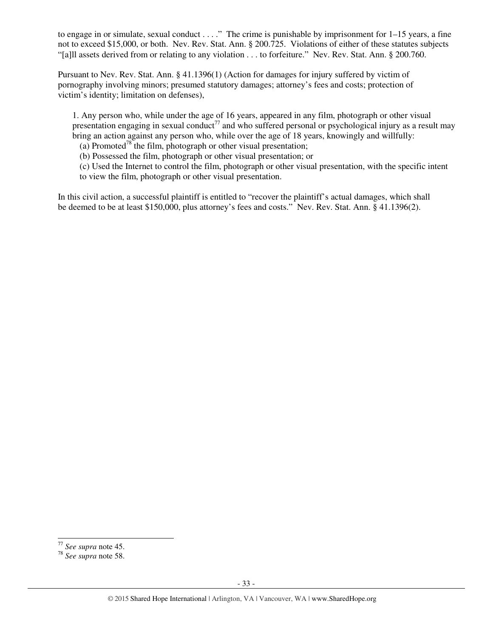to engage in or simulate, sexual conduct . . . ." The crime is punishable by imprisonment for 1–15 years, a fine not to exceed \$15,000, or both. Nev. Rev. Stat. Ann. § 200.725. Violations of either of these statutes subjects "[a]ll assets derived from or relating to any violation . . . to forfeiture." Nev. Rev. Stat. Ann. § 200.760.

Pursuant to Nev. Rev. Stat. Ann. § 41.1396(1) (Action for damages for injury suffered by victim of pornography involving minors; presumed statutory damages; attorney's fees and costs; protection of victim's identity; limitation on defenses),

1. Any person who, while under the age of 16 years, appeared in any film, photograph or other visual presentation engaging in sexual conduct<sup>77</sup> and who suffered personal or psychological injury as a result may bring an action against any person who, while over the age of 18 years, knowingly and willfully:

(a) Promoted<sup>78</sup> the film, photograph or other visual presentation;

(b) Possessed the film, photograph or other visual presentation; or

(c) Used the Internet to control the film, photograph or other visual presentation, with the specific intent to view the film, photograph or other visual presentation.

In this civil action, a successful plaintiff is entitled to "recover the plaintiff's actual damages, which shall be deemed to be at least \$150,000, plus attorney's fees and costs." Nev. Rev. Stat. Ann. § 41.1396(2).

<sup>-</sup><sup>77</sup> *See supra* note 45.

<sup>78</sup> *See supra* note 58.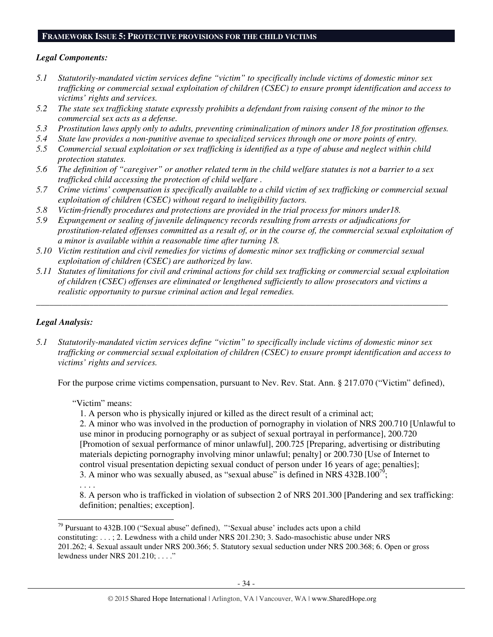#### **FRAMEWORK ISSUE 5: PROTECTIVE PROVISIONS FOR THE CHILD VICTIMS**

# *Legal Components:*

- *5.1 Statutorily-mandated victim services define "victim" to specifically include victims of domestic minor sex trafficking or commercial sexual exploitation of children (CSEC) to ensure prompt identification and access to victims' rights and services.*
- *5.2 The state sex trafficking statute expressly prohibits a defendant from raising consent of the minor to the commercial sex acts as a defense.*
- *5.3 Prostitution laws apply only to adults, preventing criminalization of minors under 18 for prostitution offenses.*
- *5.4 State law provides a non-punitive avenue to specialized services through one or more points of entry.*
- *5.5 Commercial sexual exploitation or sex trafficking is identified as a type of abuse and neglect within child protection statutes.*
- *5.6 The definition of "caregiver" or another related term in the child welfare statutes is not a barrier to a sex trafficked child accessing the protection of child welfare .*
- *5.7 Crime victims' compensation is specifically available to a child victim of sex trafficking or commercial sexual exploitation of children (CSEC) without regard to ineligibility factors.*
- *5.8 Victim-friendly procedures and protections are provided in the trial process for minors under18.*
- *5.9 Expungement or sealing of juvenile delinquency records resulting from arrests or adjudications for prostitution-related offenses committed as a result of, or in the course of, the commercial sexual exploitation of a minor is available within a reasonable time after turning 18.*
- *5.10 Victim restitution and civil remedies for victims of domestic minor sex trafficking or commercial sexual exploitation of children (CSEC) are authorized by law.*
- *5.11 Statutes of limitations for civil and criminal actions for child sex trafficking or commercial sexual exploitation of children (CSEC) offenses are eliminated or lengthened sufficiently to allow prosecutors and victims a realistic opportunity to pursue criminal action and legal remedies.*

*\_\_\_\_\_\_\_\_\_\_\_\_\_\_\_\_\_\_\_\_\_\_\_\_\_\_\_\_\_\_\_\_\_\_\_\_\_\_\_\_\_\_\_\_\_\_\_\_\_\_\_\_\_\_\_\_\_\_\_\_\_\_\_\_\_\_\_\_\_\_\_\_\_\_\_\_\_\_\_\_\_\_\_\_\_\_\_\_\_\_\_\_\_* 

# *Legal Analysis:*

*5.1 Statutorily-mandated victim services define "victim" to specifically include victims of domestic minor sex trafficking or commercial sexual exploitation of children (CSEC) to ensure prompt identification and access to victims' rights and services.* 

For the purpose crime victims compensation, pursuant to Nev. Rev. Stat. Ann. § 217.070 ("Victim" defined),

## "Victim" means:

1. A person who is physically injured or killed as the direct result of a criminal act;

2. A minor who was involved in the production of pornography in violation of NRS 200.710 [Unlawful to use minor in producing pornography or as subject of sexual portrayal in performance], 200.720 [Promotion of sexual performance of minor unlawful], 200.725 [Preparing, advertising or distributing materials depicting pornography involving minor unlawful; penalty] or 200.730 [Use of Internet to control visual presentation depicting sexual conduct of person under 16 years of age; penalties]; 3. A minor who was sexually abused, as "sexual abuse" is defined in NRS  $432B.100^{79}$ ;

. . . .

l

8. A person who is trafficked in violation of subsection 2 of NRS 201.300 [Pandering and sex trafficking: definition; penalties; exception].

 $79$  Pursuant to 432B.100 ("Sexual abuse" defined), "'Sexual abuse' includes acts upon a child constituting: . . . ; 2. Lewdness with a child under NRS 201.230; 3. Sado-masochistic abuse under NRS 201.262; 4. Sexual assault under NRS 200.366; 5. Statutory sexual seduction under NRS 200.368; 6. Open or gross lewdness under NRS 201.210; . . . ."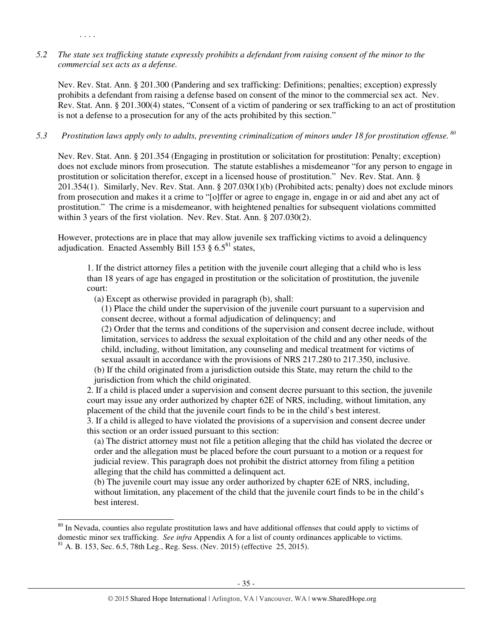# *5.2 The state sex trafficking statute expressly prohibits a defendant from raising consent of the minor to the commercial sex acts as a defense.*

. . . .

l

Nev. Rev. Stat. Ann. § 201.300 (Pandering and sex trafficking: Definitions; penalties; exception) expressly prohibits a defendant from raising a defense based on consent of the minor to the commercial sex act. Nev. Rev. Stat. Ann. § 201.300(4) states, "Consent of a victim of pandering or sex trafficking to an act of prostitution is not a defense to a prosecution for any of the acts prohibited by this section."

# *5.3 Prostitution laws apply only to adults, preventing criminalization of minors under 18 for prostitution offense.<sup>80</sup>*

Nev. Rev. Stat. Ann. § 201.354 (Engaging in prostitution or solicitation for prostitution: Penalty; exception) does not exclude minors from prosecution. The statute establishes a misdemeanor "for any person to engage in prostitution or solicitation therefor, except in a licensed house of prostitution." Nev. Rev. Stat. Ann. § 201.354(1). Similarly, Nev. Rev. Stat. Ann. § 207.030(1)(b) (Prohibited acts; penalty) does not exclude minors from prosecution and makes it a crime to "[o]ffer or agree to engage in, engage in or aid and abet any act of prostitution." The crime is a misdemeanor, with heightened penalties for subsequent violations committed within 3 years of the first violation. Nev. Rev. Stat. Ann. § 207.030(2).

However, protections are in place that may allow juvenile sex trafficking victims to avoid a delinquency adjudication. Enacted Assembly Bill 153  $\S$  6.5<sup>81</sup> states,

1. If the district attorney files a petition with the juvenile court alleging that a child who is less than 18 years of age has engaged in prostitution or the solicitation of prostitution, the juvenile court:

(a) Except as otherwise provided in paragraph (b), shall:

(1) Place the child under the supervision of the juvenile court pursuant to a supervision and consent decree, without a formal adjudication of delinquency; and

(2) Order that the terms and conditions of the supervision and consent decree include, without limitation, services to address the sexual exploitation of the child and any other needs of the child, including, without limitation, any counseling and medical treatment for victims of sexual assault in accordance with the provisions of NRS 217.280 to 217.350, inclusive.

(b) If the child originated from a jurisdiction outside this State, may return the child to the jurisdiction from which the child originated.

2. If a child is placed under a supervision and consent decree pursuant to this section, the juvenile court may issue any order authorized by chapter 62E of NRS, including, without limitation, any placement of the child that the juvenile court finds to be in the child's best interest.

3. If a child is alleged to have violated the provisions of a supervision and consent decree under this section or an order issued pursuant to this section:

(a) The district attorney must not file a petition alleging that the child has violated the decree or order and the allegation must be placed before the court pursuant to a motion or a request for judicial review. This paragraph does not prohibit the district attorney from filing a petition alleging that the child has committed a delinquent act.

(b) The juvenile court may issue any order authorized by chapter 62E of NRS, including, without limitation, any placement of the child that the juvenile court finds to be in the child's best interest.

<sup>&</sup>lt;sup>80</sup> In Nevada, counties also regulate prostitution laws and have additional offenses that could apply to victims of domestic minor sex trafficking. *See infra* Appendix A for a list of county ordinances applicable to victims.  $81$  A. B. 153, Sec. 6.5, 78th Leg., Reg. Sess. (Nev. 2015) (effective 25, 2015).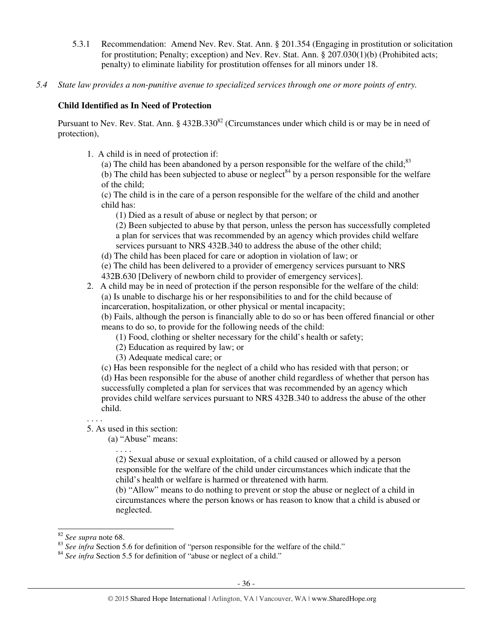- 5.3.1 Recommendation: Amend Nev. Rev. Stat. Ann. § 201.354 (Engaging in prostitution or solicitation for prostitution; Penalty; exception) and Nev. Rev. Stat. Ann. § 207.030(1)(b) (Prohibited acts; penalty) to eliminate liability for prostitution offenses for all minors under 18.
- *5.4 State law provides a non-punitive avenue to specialized services through one or more points of entry.*

# **Child Identified as In Need of Protection**

Pursuant to Nev. Rev. Stat. Ann. § 432B.330<sup>82</sup> (Circumstances under which child is or may be in need of protection),

- 1. A child is in need of protection if:
	- (a) The child has been abandoned by a person responsible for the welfare of the child; $83$

(b) The child has been subjected to abuse or neglect<sup>84</sup> by a person responsible for the welfare of the child;

(c) The child is in the care of a person responsible for the welfare of the child and another child has:

(1) Died as a result of abuse or neglect by that person; or

(2) Been subjected to abuse by that person, unless the person has successfully completed a plan for services that was recommended by an agency which provides child welfare services pursuant to NRS 432B.340 to address the abuse of the other child;

(d) The child has been placed for care or adoption in violation of law; or

(e) The child has been delivered to a provider of emergency services pursuant to NRS 432B.630 [Delivery of newborn child to provider of emergency services].

2. A child may be in need of protection if the person responsible for the welfare of the child: (a) Is unable to discharge his or her responsibilities to and for the child because of incarceration, hospitalization, or other physical or mental incapacity;

(b) Fails, although the person is financially able to do so or has been offered financial or other means to do so, to provide for the following needs of the child:

- (1) Food, clothing or shelter necessary for the child's health or safety;
- (2) Education as required by law; or
- (3) Adequate medical care; or

(c) Has been responsible for the neglect of a child who has resided with that person; or (d) Has been responsible for the abuse of another child regardless of whether that person has successfully completed a plan for services that was recommended by an agency which provides child welfare services pursuant to NRS 432B.340 to address the abuse of the other child.

. . . .

5. As used in this section:

(a) "Abuse" means:

. . . . (2) Sexual abuse or sexual exploitation, of a child caused or allowed by a person responsible for the welfare of the child under circumstances which indicate that the child's health or welfare is harmed or threatened with harm.

(b) "Allow" means to do nothing to prevent or stop the abuse or neglect of a child in circumstances where the person knows or has reason to know that a child is abused or neglected.

-

<sup>82</sup> *See supra* note 68.

<sup>&</sup>lt;sup>83</sup> See infra Section 5.6 for definition of "person responsible for the welfare of the child."

<sup>&</sup>lt;sup>84</sup> See infra Section 5.5 for definition of "abuse or neglect of a child."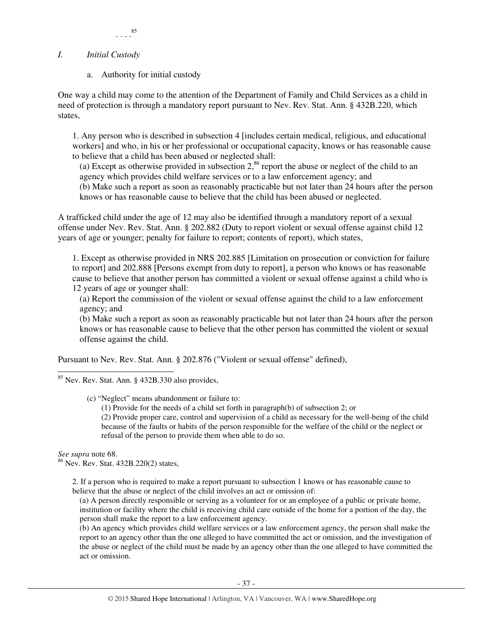## *I. Initial Custody*

a. Authority for initial custody

One way a child may come to the attention of the Department of Family and Child Services as a child in need of protection is through a mandatory report pursuant to Nev. Rev. Stat. Ann. § 432B.220, which states,

1. Any person who is described in subsection 4 [includes certain medical, religious, and educational workers] and who, in his or her professional or occupational capacity, knows or has reasonable cause to believe that a child has been abused or neglected shall:

(a) Except as otherwise provided in subsection  $2$ ,<sup>86</sup> report the abuse or neglect of the child to an agency which provides child welfare services or to a law enforcement agency; and (b) Make such a report as soon as reasonably practicable but not later than 24 hours after the person knows or has reasonable cause to believe that the child has been abused or neglected.

A trafficked child under the age of 12 may also be identified through a mandatory report of a sexual offense under Nev. Rev. Stat. Ann. § 202.882 (Duty to report violent or sexual offense against child 12 years of age or younger; penalty for failure to report; contents of report), which states,

1. Except as otherwise provided in NRS 202.885 [Limitation on prosecution or conviction for failure to report] and 202.888 [Persons exempt from duty to report], a person who knows or has reasonable cause to believe that another person has committed a violent or sexual offense against a child who is 12 years of age or younger shall:

(a) Report the commission of the violent or sexual offense against the child to a law enforcement agency; and

(b) Make such a report as soon as reasonably practicable but not later than 24 hours after the person knows or has reasonable cause to believe that the other person has committed the violent or sexual offense against the child.

Pursuant to Nev. Rev. Stat. Ann. § 202.876 ("Violent or sexual offense" defined),

refusal of the person to provide them when able to do so.

-<sup>85</sup> Nev. Rev. Stat. Ann. § 432B.330 also provides,

(c) "Neglect" means abandonment or failure to:

(1) Provide for the needs of a child set forth in paragraph(b) of subsection 2; or (2) Provide proper care, control and supervision of a child as necessary for the well-being of the child because of the faults or habits of the person responsible for the welfare of the child or the neglect or

*See supra* note 68.

<sup>86</sup> Nev. Rev. Stat. 432B.220(2) states,

2. If a person who is required to make a report pursuant to subsection 1 knows or has reasonable cause to believe that the abuse or neglect of the child involves an act or omission of:

(a) A person directly responsible or serving as a volunteer for or an employee of a public or private home, institution or facility where the child is receiving child care outside of the home for a portion of the day, the person shall make the report to a law enforcement agency.

(b) An agency which provides child welfare services or a law enforcement agency, the person shall make the report to an agency other than the one alleged to have committed the act or omission, and the investigation of the abuse or neglect of the child must be made by an agency other than the one alleged to have committed the act or omission.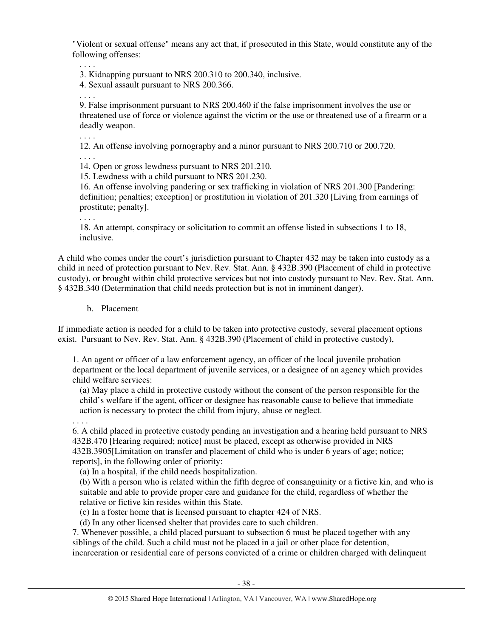"Violent or sexual offense" means any act that, if prosecuted in this State, would constitute any of the following offenses:

. . . .

3. Kidnapping pursuant to NRS 200.310 to 200.340, inclusive.

4. Sexual assault pursuant to NRS 200.366.

. . . .

. . . .

. . . .

9. False imprisonment pursuant to NRS 200.460 if the false imprisonment involves the use or threatened use of force or violence against the victim or the use or threatened use of a firearm or a deadly weapon.

12. An offense involving pornography and a minor pursuant to NRS 200.710 or 200.720.

14. Open or gross lewdness pursuant to NRS 201.210.

15. Lewdness with a child pursuant to NRS 201.230.

16. An offense involving pandering or sex trafficking in violation of NRS 201.300 [Pandering: definition; penalties; exception] or prostitution in violation of 201.320 [Living from earnings of prostitute; penalty].

. . . .

18. An attempt, conspiracy or solicitation to commit an offense listed in subsections 1 to 18, inclusive.

A child who comes under the court's jurisdiction pursuant to Chapter 432 may be taken into custody as a child in need of protection pursuant to Nev. Rev. Stat. Ann. § 432B.390 (Placement of child in protective custody), or brought within child protective services but not into custody pursuant to Nev. Rev. Stat. Ann. § 432B.340 (Determination that child needs protection but is not in imminent danger).

b. Placement

If immediate action is needed for a child to be taken into protective custody, several placement options exist. Pursuant to Nev. Rev. Stat. Ann. § 432B.390 (Placement of child in protective custody),

1. An agent or officer of a law enforcement agency, an officer of the local juvenile probation department or the local department of juvenile services, or a designee of an agency which provides child welfare services:

(a) May place a child in protective custody without the consent of the person responsible for the child's welfare if the agent, officer or designee has reasonable cause to believe that immediate action is necessary to protect the child from injury, abuse or neglect.

. . . . 6. A child placed in protective custody pending an investigation and a hearing held pursuant to NRS 432B.470 [Hearing required; notice] must be placed, except as otherwise provided in NRS 432B.3905[Limitation on transfer and placement of child who is under 6 years of age; notice; reports], in the following order of priority:

(a) In a hospital, if the child needs hospitalization.

(b) With a person who is related within the fifth degree of consanguinity or a fictive kin, and who is suitable and able to provide proper care and guidance for the child, regardless of whether the relative or fictive kin resides within this State.

(c) In a foster home that is licensed pursuant to chapter 424 of NRS.

(d) In any other licensed shelter that provides care to such children.

7. Whenever possible, a child placed pursuant to subsection 6 must be placed together with any siblings of the child. Such a child must not be placed in a jail or other place for detention, incarceration or residential care of persons convicted of a crime or children charged with delinquent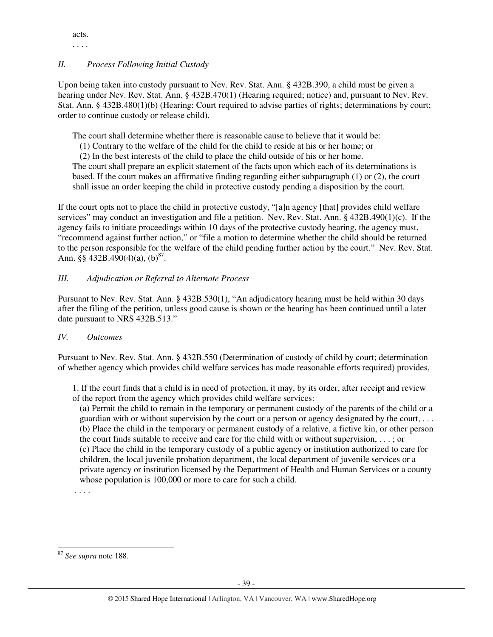acts. . . . .

# *II. Process Following Initial Custody*

Upon being taken into custody pursuant to Nev. Rev. Stat. Ann. § 432B.390, a child must be given a hearing under Nev. Rev. Stat. Ann. § 432B.470(1) (Hearing required; notice) and, pursuant to Nev. Rev. Stat. Ann. § 432B.480(1)(b) (Hearing: Court required to advise parties of rights; determinations by court; order to continue custody or release child),

The court shall determine whether there is reasonable cause to believe that it would be:

(1) Contrary to the welfare of the child for the child to reside at his or her home; or

(2) In the best interests of the child to place the child outside of his or her home.

The court shall prepare an explicit statement of the facts upon which each of its determinations is based. If the court makes an affirmative finding regarding either subparagraph (1) or (2), the court shall issue an order keeping the child in protective custody pending a disposition by the court.

If the court opts not to place the child in protective custody, "[a]n agency [that] provides child welfare services" may conduct an investigation and file a petition. Nev. Rev. Stat. Ann. § 432B.490(1)(c). If the agency fails to initiate proceedings within 10 days of the protective custody hearing, the agency must, "recommend against further action," or "file a motion to determine whether the child should be returned to the person responsible for the welfare of the child pending further action by the court." Nev. Rev. Stat. Ann.  $\S$ § 432B.490(4)(a), (b)<sup>87</sup>.

# *III. Adjudication or Referral to Alternate Process*

Pursuant to Nev. Rev. Stat. Ann. § 432B.530(1), "An adjudicatory hearing must be held within 30 days after the filing of the petition, unless good cause is shown or the hearing has been continued until a later date pursuant to NRS 432B.513."

## *IV. Outcomes*

Pursuant to Nev. Rev. Stat. Ann. § 432B.550 (Determination of custody of child by court; determination of whether agency which provides child welfare services has made reasonable efforts required) provides,

1. If the court finds that a child is in need of protection, it may, by its order, after receipt and review of the report from the agency which provides child welfare services:

(a) Permit the child to remain in the temporary or permanent custody of the parents of the child or a guardian with or without supervision by the court or a person or agency designated by the court, . . . (b) Place the child in the temporary or permanent custody of a relative, a fictive kin, or other person the court finds suitable to receive and care for the child with or without supervision, . . . ; or (c) Place the child in the temporary custody of a public agency or institution authorized to care for children, the local juvenile probation department, the local department of juvenile services or a private agency or institution licensed by the Department of Health and Human Services or a county whose population is 100,000 or more to care for such a child.

. . . .

l <sup>87</sup> *See supra* note 188.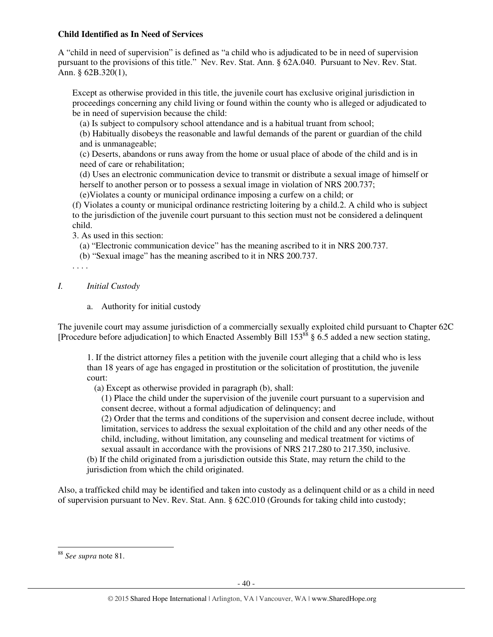#### **Child Identified as In Need of Services**

A "child in need of supervision" is defined as "a child who is adjudicated to be in need of supervision pursuant to the provisions of this title." Nev. Rev. Stat. Ann. § 62A.040. Pursuant to Nev. Rev. Stat. Ann. § 62B.320(1),

Except as otherwise provided in this title, the juvenile court has exclusive original jurisdiction in proceedings concerning any child living or found within the county who is alleged or adjudicated to be in need of supervision because the child:

(a) Is subject to compulsory school attendance and is a habitual truant from school;

(b) Habitually disobeys the reasonable and lawful demands of the parent or guardian of the child and is unmanageable;

(c) Deserts, abandons or runs away from the home or usual place of abode of the child and is in need of care or rehabilitation;

(d) Uses an electronic communication device to transmit or distribute a sexual image of himself or herself to another person or to possess a sexual image in violation of NRS 200.737;

(e)Violates a county or municipal ordinance imposing a curfew on a child; or

(f) Violates a county or municipal ordinance restricting loitering by a child.2. A child who is subject to the jurisdiction of the juvenile court pursuant to this section must not be considered a delinquent child.

3. As used in this section:

- (a) "Electronic communication device" has the meaning ascribed to it in NRS 200.737.
- (b) "Sexual image" has the meaning ascribed to it in NRS 200.737.
- . . . .

# *I. Initial Custody*

a. Authority for initial custody

The juvenile court may assume jurisdiction of a commercially sexually exploited child pursuant to Chapter 62C [Procedure before adjudication] to which Enacted Assembly Bill  $153^{88}$  § 6.5 added a new section stating,

1. If the district attorney files a petition with the juvenile court alleging that a child who is less than 18 years of age has engaged in prostitution or the solicitation of prostitution, the juvenile court:

(a) Except as otherwise provided in paragraph (b), shall:

(1) Place the child under the supervision of the juvenile court pursuant to a supervision and consent decree, without a formal adjudication of delinquency; and

(2) Order that the terms and conditions of the supervision and consent decree include, without limitation, services to address the sexual exploitation of the child and any other needs of the child, including, without limitation, any counseling and medical treatment for victims of sexual assault in accordance with the provisions of NRS 217.280 to 217.350, inclusive.

(b) If the child originated from a jurisdiction outside this State, may return the child to the jurisdiction from which the child originated.

Also, a trafficked child may be identified and taken into custody as a delinquent child or as a child in need of supervision pursuant to Nev. Rev. Stat. Ann. § 62C.010 (Grounds for taking child into custody;

l

<sup>88</sup> *See supra* note 81.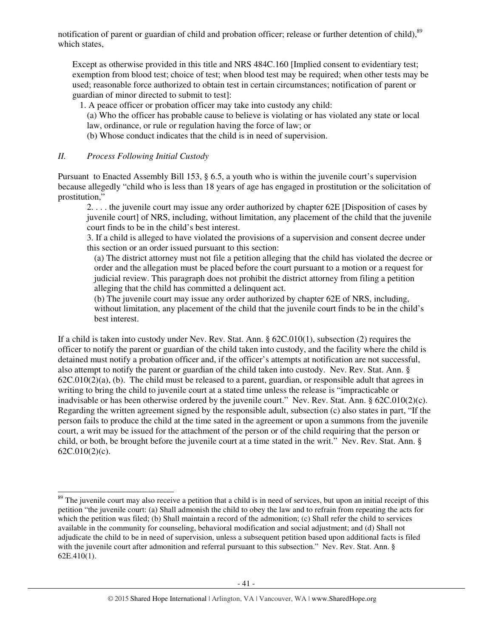notification of parent or guardian of child and probation officer; release or further detention of child).<sup>89</sup> which states,

Except as otherwise provided in this title and NRS 484C.160 [Implied consent to evidentiary test; exemption from blood test; choice of test; when blood test may be required; when other tests may be used; reasonable force authorized to obtain test in certain circumstances; notification of parent or guardian of minor directed to submit to test]:

1. A peace officer or probation officer may take into custody any child:

(a) Who the officer has probable cause to believe is violating or has violated any state or local law, ordinance, or rule or regulation having the force of law; or

(b) Whose conduct indicates that the child is in need of supervision.

### *II. Process Following Initial Custody*

l

Pursuant to Enacted Assembly Bill 153, § 6.5, a youth who is within the juvenile court's supervision because allegedly "child who is less than 18 years of age has engaged in prostitution or the solicitation of prostitution,"

2. . . . the juvenile court may issue any order authorized by chapter 62E [Disposition of cases by juvenile court] of NRS, including, without limitation, any placement of the child that the juvenile court finds to be in the child's best interest.

3. If a child is alleged to have violated the provisions of a supervision and consent decree under this section or an order issued pursuant to this section:

(a) The district attorney must not file a petition alleging that the child has violated the decree or order and the allegation must be placed before the court pursuant to a motion or a request for judicial review. This paragraph does not prohibit the district attorney from filing a petition alleging that the child has committed a delinquent act.

(b) The juvenile court may issue any order authorized by chapter 62E of NRS, including, without limitation, any placement of the child that the juvenile court finds to be in the child's best interest.

If a child is taken into custody under Nev. Rev. Stat. Ann. § 62C.010(1), subsection (2) requires the officer to notify the parent or guardian of the child taken into custody, and the facility where the child is detained must notify a probation officer and, if the officer's attempts at notification are not successful, also attempt to notify the parent or guardian of the child taken into custody. Nev. Rev. Stat. Ann. §  $62C.010(2)(a)$ , (b). The child must be released to a parent, guardian, or responsible adult that agrees in writing to bring the child to juvenile court at a stated time unless the release is "impracticable or inadvisable or has been otherwise ordered by the juvenile court." Nev. Rev. Stat. Ann. § 62C.010(2)(c). Regarding the written agreement signed by the responsible adult, subsection (c) also states in part, "If the person fails to produce the child at the time sated in the agreement or upon a summons from the juvenile court, a writ may be issued for the attachment of the person or of the child requiring that the person or child, or both, be brought before the juvenile court at a time stated in the writ." Nev. Rev. Stat. Ann. § 62C.010(2)(c).

 $89$  The juvenile court may also receive a petition that a child is in need of services, but upon an initial receipt of this petition "the juvenile court: (a) Shall admonish the child to obey the law and to refrain from repeating the acts for which the petition was filed; (b) Shall maintain a record of the admonition; (c) Shall refer the child to services available in the community for counseling, behavioral modification and social adjustment; and (d) Shall not adjudicate the child to be in need of supervision, unless a subsequent petition based upon additional facts is filed with the juvenile court after admonition and referral pursuant to this subsection." Nev. Rev. Stat. Ann. § 62E.410(1).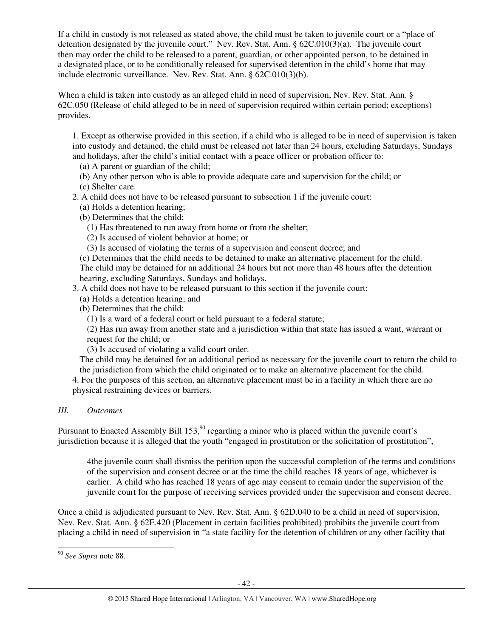If a child in custody is not released as stated above, the child must be taken to juvenile court or a "place of detention designated by the juvenile court." Nev. Rev. Stat. Ann. § 62C.010(3)(a). The juvenile court then may order the child to be released to a parent, guardian, or other appointed person, to be detained in a designated place, or to be conditionally released for supervised detention in the child's home that may include electronic surveillance. Nev. Rev. Stat. Ann. § 62C.010(3)(b).

When a child is taken into custody as an alleged child in need of supervision, Nev. Rev. Stat. Ann. § 62C.050 (Release of child alleged to be in need of supervision required within certain period; exceptions) provides,

1. Except as otherwise provided in this section, if a child who is alleged to be in need of supervision is taken into custody and detained, the child must be released not later than 24 hours, excluding Saturdays, Sundays and holidays, after the child's initial contact with a peace officer or probation officer to:

- (a) A parent or guardian of the child;
- (b) Any other person who is able to provide adequate care and supervision for the child; or
- (c) Shelter care.
- 2. A child does not have to be released pursuant to subsection 1 if the juvenile court:
	- (a) Holds a detention hearing;
	- (b) Determines that the child:
		- (1) Has threatened to run away from home or from the shelter;
		- (2) Is accused of violent behavior at home; or
		- (3) Is accused of violating the terms of a supervision and consent decree; and

(c) Determines that the child needs to be detained to make an alternative placement for the child. The child may be detained for an additional 24 hours but not more than 48 hours after the detention hearing, excluding Saturdays, Sundays and holidays.

- 3. A child does not have to be released pursuant to this section if the juvenile court:
	- (a) Holds a detention hearing; and
	- (b) Determines that the child:
		- (1) Is a ward of a federal court or held pursuant to a federal statute;

(2) Has run away from another state and a jurisdiction within that state has issued a want, warrant or request for the child; or

(3) Is accused of violating a valid court order.

The child may be detained for an additional period as necessary for the juvenile court to return the child to the jurisdiction from which the child originated or to make an alternative placement for the child.

4. For the purposes of this section, an alternative placement must be in a facility in which there are no physical restraining devices or barriers.

## *III. Outcomes*

Pursuant to Enacted Assembly Bill 153,<sup>90</sup> regarding a minor who is placed within the juvenile court's jurisdiction because it is alleged that the youth "engaged in prostitution or the solicitation of prostitution",

4the juvenile court shall dismiss the petition upon the successful completion of the terms and conditions of the supervision and consent decree or at the time the child reaches 18 years of age, whichever is earlier. A child who has reached 18 years of age may consent to remain under the supervision of the juvenile court for the purpose of receiving services provided under the supervision and consent decree.

Once a child is adjudicated pursuant to Nev. Rev. Stat. Ann. § 62D.040 to be a child in need of supervision, Nev. Rev. Stat. Ann. § 62E.420 (Placement in certain facilities prohibited) prohibits the juvenile court from placing a child in need of supervision in "a state facility for the detention of children or any other facility that

l

<sup>90</sup> *See Supra* note 88.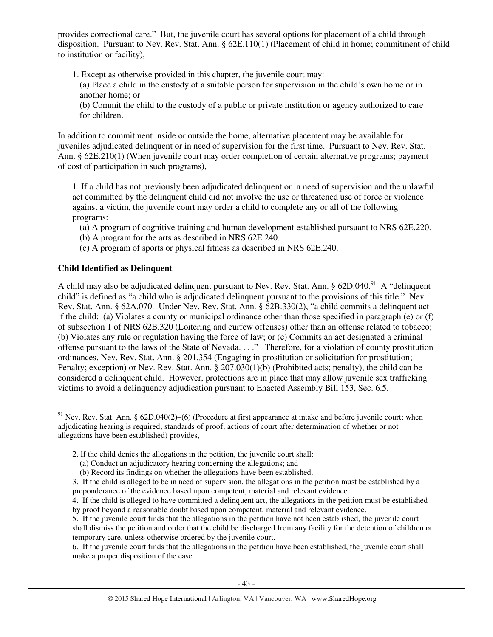provides correctional care." But, the juvenile court has several options for placement of a child through disposition. Pursuant to Nev. Rev. Stat. Ann. § 62E.110(1) (Placement of child in home; commitment of child to institution or facility),

- 1. Except as otherwise provided in this chapter, the juvenile court may:
	- (a) Place a child in the custody of a suitable person for supervision in the child's own home or in another home; or
	- (b) Commit the child to the custody of a public or private institution or agency authorized to care for children.

In addition to commitment inside or outside the home, alternative placement may be available for juveniles adjudicated delinquent or in need of supervision for the first time. Pursuant to Nev. Rev. Stat. Ann. § 62E.210(1) (When juvenile court may order completion of certain alternative programs; payment of cost of participation in such programs),

1. If a child has not previously been adjudicated delinquent or in need of supervision and the unlawful act committed by the delinquent child did not involve the use or threatened use of force or violence against a victim, the juvenile court may order a child to complete any or all of the following programs:

- (a) A program of cognitive training and human development established pursuant to NRS 62E.220.
- (b) A program for the arts as described in NRS 62E.240.
- (c) A program of sports or physical fitness as described in NRS 62E.240.

#### **Child Identified as Delinquent**

l

A child may also be adjudicated delinquent pursuant to Nev. Rev. Stat. Ann.  $\S 62D.040.<sup>91</sup>$  A "delinquent" child" is defined as "a child who is adjudicated delinquent pursuant to the provisions of this title." Nev. Rev. Stat. Ann. § 62A.070. Under Nev. Rev. Stat. Ann. § 62B.330(2), "a child commits a delinquent act if the child: (a) Violates a county or municipal ordinance other than those specified in paragraph (e) or (f) of subsection 1 of NRS 62B.320 (Loitering and curfew offenses) other than an offense related to tobacco; (b) Violates any rule or regulation having the force of law; or (c) Commits an act designated a criminal offense pursuant to the laws of the State of Nevada. . . ." Therefore, for a violation of county prostitution ordinances, Nev. Rev. Stat. Ann. § 201.354 (Engaging in prostitution or solicitation for prostitution; Penalty; exception) or Nev. Rev. Stat. Ann. § 207.030(1)(b) (Prohibited acts; penalty), the child can be considered a delinquent child. However, protections are in place that may allow juvenile sex trafficking victims to avoid a delinquency adjudication pursuant to Enacted Assembly Bill 153, Sec. 6.5.

6. If the juvenile court finds that the allegations in the petition have been established, the juvenile court shall make a proper disposition of the case.

 $91$  Nev. Rev. Stat. Ann. § 62D.040(2)–(6) (Procedure at first appearance at intake and before juvenile court; when adjudicating hearing is required; standards of proof; actions of court after determination of whether or not allegations have been established) provides,

<sup>2.</sup> If the child denies the allegations in the petition, the juvenile court shall:

<sup>(</sup>a) Conduct an adjudicatory hearing concerning the allegations; and

<sup>(</sup>b) Record its findings on whether the allegations have been established.

<sup>3.</sup> If the child is alleged to be in need of supervision, the allegations in the petition must be established by a preponderance of the evidence based upon competent, material and relevant evidence.

<sup>4.</sup> If the child is alleged to have committed a delinquent act, the allegations in the petition must be established by proof beyond a reasonable doubt based upon competent, material and relevant evidence.

<sup>5.</sup> If the juvenile court finds that the allegations in the petition have not been established, the juvenile court shall dismiss the petition and order that the child be discharged from any facility for the detention of children or temporary care, unless otherwise ordered by the juvenile court.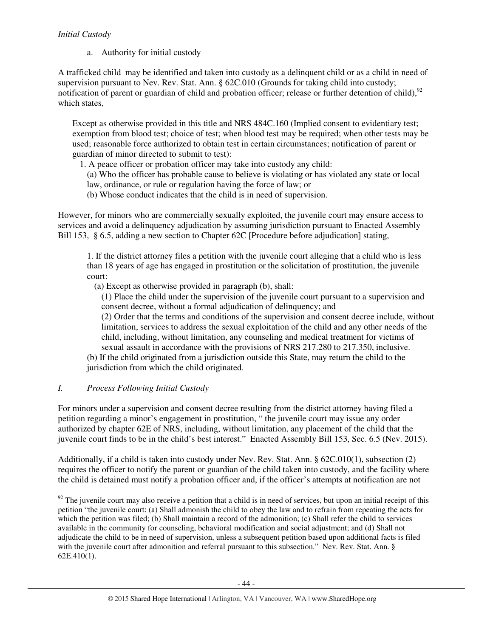## *Initial Custody*

a. Authority for initial custody

A trafficked child may be identified and taken into custody as a delinquent child or as a child in need of supervision pursuant to Nev. Rev. Stat. Ann. § 62C.010 (Grounds for taking child into custody; notification of parent or guardian of child and probation officer; release or further detention of child),<sup>92</sup> which states,

Except as otherwise provided in this title and NRS 484C.160 (Implied consent to evidentiary test; exemption from blood test; choice of test; when blood test may be required; when other tests may be used; reasonable force authorized to obtain test in certain circumstances; notification of parent or guardian of minor directed to submit to test):

1. A peace officer or probation officer may take into custody any child:

(a) Who the officer has probable cause to believe is violating or has violated any state or local law, ordinance, or rule or regulation having the force of law; or

(b) Whose conduct indicates that the child is in need of supervision.

However, for minors who are commercially sexually exploited, the juvenile court may ensure access to services and avoid a delinquency adjudication by assuming jurisdiction pursuant to Enacted Assembly Bill 153, § 6.5, adding a new section to Chapter 62C [Procedure before adjudication] stating,

1. If the district attorney files a petition with the juvenile court alleging that a child who is less than 18 years of age has engaged in prostitution or the solicitation of prostitution, the juvenile court:

(a) Except as otherwise provided in paragraph (b), shall:

(1) Place the child under the supervision of the juvenile court pursuant to a supervision and consent decree, without a formal adjudication of delinquency; and

(2) Order that the terms and conditions of the supervision and consent decree include, without limitation, services to address the sexual exploitation of the child and any other needs of the child, including, without limitation, any counseling and medical treatment for victims of sexual assault in accordance with the provisions of NRS 217.280 to 217.350, inclusive.

(b) If the child originated from a jurisdiction outside this State, may return the child to the jurisdiction from which the child originated.

## *I. Process Following Initial Custody*

For minors under a supervision and consent decree resulting from the district attorney having filed a petition regarding a minor's engagement in prostitution, " the juvenile court may issue any order authorized by chapter 62E of NRS, including, without limitation, any placement of the child that the juvenile court finds to be in the child's best interest." Enacted Assembly Bill 153, Sec. 6.5 (Nev. 2015).

Additionally, if a child is taken into custody under Nev. Rev. Stat. Ann. § 62C.010(1), subsection (2) requires the officer to notify the parent or guardian of the child taken into custody, and the facility where the child is detained must notify a probation officer and, if the officer's attempts at notification are not

l  $92$  The juvenile court may also receive a petition that a child is in need of services, but upon an initial receipt of this petition "the juvenile court: (a) Shall admonish the child to obey the law and to refrain from repeating the acts for which the petition was filed; (b) Shall maintain a record of the admonition; (c) Shall refer the child to services available in the community for counseling, behavioral modification and social adjustment; and (d) Shall not adjudicate the child to be in need of supervision, unless a subsequent petition based upon additional facts is filed with the juvenile court after admonition and referral pursuant to this subsection." Nev. Rev. Stat. Ann. § 62E.410(1).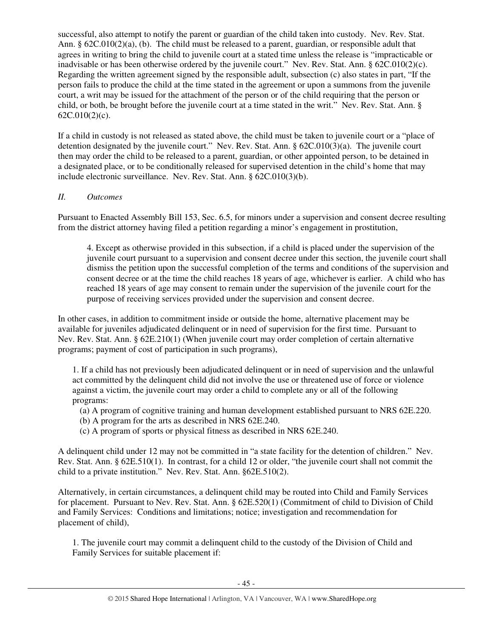successful, also attempt to notify the parent or guardian of the child taken into custody. Nev. Rev. Stat. Ann. § 62C.010(2)(a), (b). The child must be released to a parent, guardian, or responsible adult that agrees in writing to bring the child to juvenile court at a stated time unless the release is "impracticable or inadvisable or has been otherwise ordered by the juvenile court." Nev. Rev. Stat. Ann. § 62C.010(2)(c). Regarding the written agreement signed by the responsible adult, subsection (c) also states in part, "If the person fails to produce the child at the time stated in the agreement or upon a summons from the juvenile court, a writ may be issued for the attachment of the person or of the child requiring that the person or child, or both, be brought before the juvenile court at a time stated in the writ." Nev. Rev. Stat. Ann. § 62C.010(2)(c).

If a child in custody is not released as stated above, the child must be taken to juvenile court or a "place of detention designated by the juvenile court." Nev. Rev. Stat. Ann. § 62C.010(3)(a). The juvenile court then may order the child to be released to a parent, guardian, or other appointed person, to be detained in a designated place, or to be conditionally released for supervised detention in the child's home that may include electronic surveillance. Nev. Rev. Stat. Ann. § 62C.010(3)(b).

## *II. Outcomes*

Pursuant to Enacted Assembly Bill 153, Sec. 6.5, for minors under a supervision and consent decree resulting from the district attorney having filed a petition regarding a minor's engagement in prostitution,

4. Except as otherwise provided in this subsection, if a child is placed under the supervision of the juvenile court pursuant to a supervision and consent decree under this section, the juvenile court shall dismiss the petition upon the successful completion of the terms and conditions of the supervision and consent decree or at the time the child reaches 18 years of age, whichever is earlier. A child who has reached 18 years of age may consent to remain under the supervision of the juvenile court for the purpose of receiving services provided under the supervision and consent decree.

In other cases, in addition to commitment inside or outside the home, alternative placement may be available for juveniles adjudicated delinquent or in need of supervision for the first time. Pursuant to Nev. Rev. Stat. Ann. § 62E.210(1) (When juvenile court may order completion of certain alternative programs; payment of cost of participation in such programs),

1. If a child has not previously been adjudicated delinquent or in need of supervision and the unlawful act committed by the delinquent child did not involve the use or threatened use of force or violence against a victim, the juvenile court may order a child to complete any or all of the following programs:

- (a) A program of cognitive training and human development established pursuant to NRS 62E.220.
- (b) A program for the arts as described in NRS 62E.240.
- (c) A program of sports or physical fitness as described in NRS 62E.240.

A delinquent child under 12 may not be committed in "a state facility for the detention of children." Nev. Rev. Stat. Ann. § 62E.510(1). In contrast, for a child 12 or older, "the juvenile court shall not commit the child to a private institution." Nev. Rev. Stat. Ann. §62E.510(2).

Alternatively, in certain circumstances, a delinquent child may be routed into Child and Family Services for placement. Pursuant to Nev. Rev. Stat. Ann. § 62E.520(1) (Commitment of child to Division of Child and Family Services: Conditions and limitations; notice; investigation and recommendation for placement of child),

1. The juvenile court may commit a delinquent child to the custody of the Division of Child and Family Services for suitable placement if: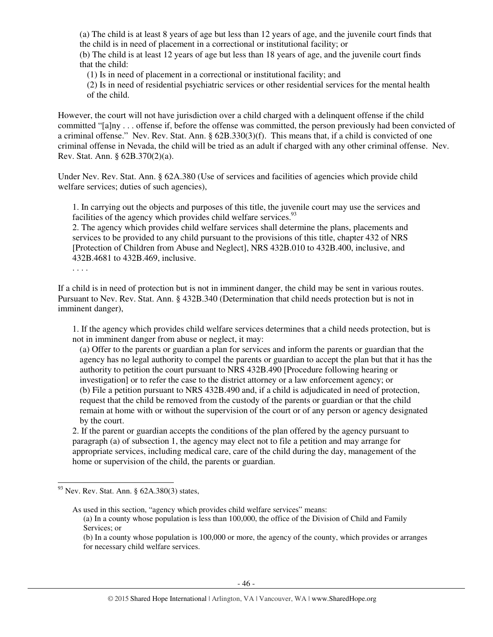(a) The child is at least 8 years of age but less than 12 years of age, and the juvenile court finds that the child is in need of placement in a correctional or institutional facility; or (b) The child is at least 12 years of age but less than 18 years of age, and the juvenile court finds

that the child:

(1) Is in need of placement in a correctional or institutional facility; and

(2) Is in need of residential psychiatric services or other residential services for the mental health of the child.

However, the court will not have jurisdiction over a child charged with a delinquent offense if the child committed "[a]ny . . . offense if, before the offense was committed, the person previously had been convicted of a criminal offense." Nev. Rev. Stat. Ann. § 62B.330(3)(f). This means that, if a child is convicted of one criminal offense in Nevada, the child will be tried as an adult if charged with any other criminal offense. Nev. Rev. Stat. Ann. § 62B.370(2)(a).

Under Nev. Rev. Stat. Ann. § 62A.380 (Use of services and facilities of agencies which provide child welfare services; duties of such agencies),

1. In carrying out the objects and purposes of this title, the juvenile court may use the services and facilities of the agency which provides child welfare services.<sup>93</sup>

2. The agency which provides child welfare services shall determine the plans, placements and services to be provided to any child pursuant to the provisions of this title, chapter 432 of NRS [Protection of Children from Abuse and Neglect], NRS 432B.010 to 432B.400, inclusive, and 432B.4681 to 432B.469, inclusive.

. . . .

-

If a child is in need of protection but is not in imminent danger, the child may be sent in various routes. Pursuant to Nev. Rev. Stat. Ann. § 432B.340 (Determination that child needs protection but is not in imminent danger),

1. If the agency which provides child welfare services determines that a child needs protection, but is not in imminent danger from abuse or neglect, it may:

(a) Offer to the parents or guardian a plan for services and inform the parents or guardian that the agency has no legal authority to compel the parents or guardian to accept the plan but that it has the authority to petition the court pursuant to NRS 432B.490 [Procedure following hearing or investigation] or to refer the case to the district attorney or a law enforcement agency; or (b) File a petition pursuant to NRS 432B.490 and, if a child is adjudicated in need of protection, request that the child be removed from the custody of the parents or guardian or that the child remain at home with or without the supervision of the court or of any person or agency designated by the court.

2. If the parent or guardian accepts the conditions of the plan offered by the agency pursuant to paragraph (a) of subsection 1, the agency may elect not to file a petition and may arrange for appropriate services, including medical care, care of the child during the day, management of the home or supervision of the child, the parents or guardian.

As used in this section, "agency which provides child welfare services" means:

 $93$  Nev. Rev. Stat. Ann. § 62A.380(3) states,

<sup>(</sup>a) In a county whose population is less than 100,000, the office of the Division of Child and Family Services; or

<sup>(</sup>b) In a county whose population is 100,000 or more, the agency of the county, which provides or arranges for necessary child welfare services.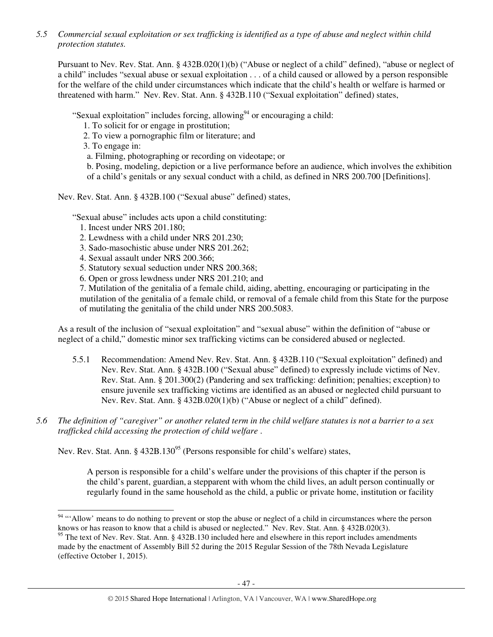*5.5 Commercial sexual exploitation or sex trafficking is identified as a type of abuse and neglect within child protection statutes.* 

Pursuant to Nev. Rev. Stat. Ann. § 432B.020(1)(b) ("Abuse or neglect of a child" defined), "abuse or neglect of a child" includes "sexual abuse or sexual exploitation . . . of a child caused or allowed by a person responsible for the welfare of the child under circumstances which indicate that the child's health or welfare is harmed or threatened with harm." Nev. Rev. Stat. Ann. § 432B.110 ("Sexual exploitation" defined) states,

"Sexual exploitation" includes forcing, allowing $94$  or encouraging a child:

1. To solicit for or engage in prostitution;

2. To view a pornographic film or literature; and

3. To engage in:

a. Filming, photographing or recording on videotape; or

b. Posing, modeling, depiction or a live performance before an audience, which involves the exhibition of a child's genitals or any sexual conduct with a child, as defined in NRS 200.700 [Definitions].

Nev. Rev. Stat. Ann. § 432B.100 ("Sexual abuse" defined) states,

"Sexual abuse" includes acts upon a child constituting:

- 1. Incest under NRS 201.180;
- 2. Lewdness with a child under NRS 201.230;
- 3. Sado-masochistic abuse under NRS 201.262;
- 4. Sexual assault under NRS 200.366;
- 5. Statutory sexual seduction under NRS 200.368;
- 6. Open or gross lewdness under NRS 201.210; and

7. Mutilation of the genitalia of a female child, aiding, abetting, encouraging or participating in the mutilation of the genitalia of a female child, or removal of a female child from this State for the purpose of mutilating the genitalia of the child under NRS 200.5083.

As a result of the inclusion of "sexual exploitation" and "sexual abuse" within the definition of "abuse or neglect of a child," domestic minor sex trafficking victims can be considered abused or neglected.

- 5.5.1 Recommendation: Amend Nev. Rev. Stat. Ann. § 432B.110 ("Sexual exploitation" defined) and Nev. Rev. Stat. Ann. § 432B.100 ("Sexual abuse" defined) to expressly include victims of Nev. Rev. Stat. Ann. § 201.300(2) (Pandering and sex trafficking: definition; penalties; exception) to ensure juvenile sex trafficking victims are identified as an abused or neglected child pursuant to Nev. Rev. Stat. Ann. § 432B.020(1)(b) ("Abuse or neglect of a child" defined).
- *5.6 The definition of "caregiver" or another related term in the child welfare statutes is not a barrier to a sex trafficked child accessing the protection of child welfare* .

Nev. Rev. Stat. Ann. §  $432B.130<sup>95</sup>$  (Persons responsible for child's welfare) states,

A person is responsible for a child's welfare under the provisions of this chapter if the person is the child's parent, guardian, a stepparent with whom the child lives, an adult person continually or regularly found in the same household as the child, a public or private home, institution or facility

<sup>-</sup><sup>94</sup> "'Allow' means to do nothing to prevent or stop the abuse or neglect of a child in circumstances where the person knows or has reason to know that a child is abused or neglected." Nev. Rev. Stat. Ann. § 432B.020(3).

<sup>&</sup>lt;sup>95</sup> The text of Nev. Rev. Stat. Ann. § 432B.130 included here and elsewhere in this report includes amendments made by the enactment of Assembly Bill 52 during the 2015 Regular Session of the 78th Nevada Legislature (effective October 1, 2015).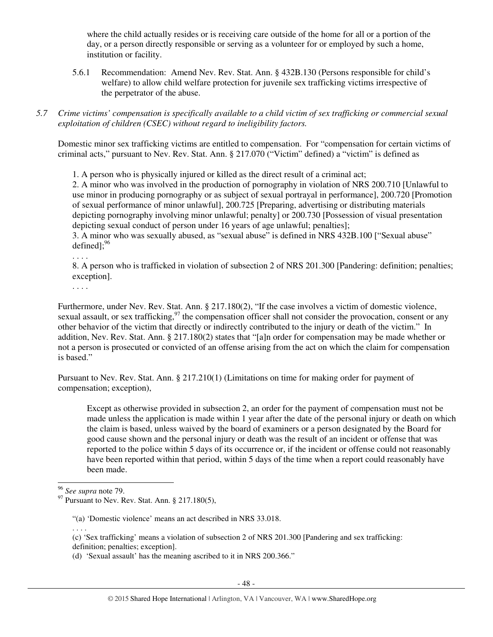where the child actually resides or is receiving care outside of the home for all or a portion of the day, or a person directly responsible or serving as a volunteer for or employed by such a home, institution or facility.

- 5.6.1 Recommendation: Amend Nev. Rev. Stat. Ann. § 432B.130 (Persons responsible for child's welfare) to allow child welfare protection for juvenile sex trafficking victims irrespective of the perpetrator of the abuse.
- *5.7 Crime victims' compensation is specifically available to a child victim of sex trafficking or commercial sexual exploitation of children (CSEC) without regard to ineligibility factors.*

Domestic minor sex trafficking victims are entitled to compensation. For "compensation for certain victims of criminal acts," pursuant to Nev. Rev. Stat. Ann. § 217.070 ("Victim" defined) a "victim" is defined as

1. A person who is physically injured or killed as the direct result of a criminal act;

2. A minor who was involved in the production of pornography in violation of NRS 200.710 [Unlawful to use minor in producing pornography or as subject of sexual portrayal in performance], 200.720 [Promotion of sexual performance of minor unlawful], 200.725 [Preparing, advertising or distributing materials depicting pornography involving minor unlawful; penalty] or 200.730 [Possession of visual presentation depicting sexual conduct of person under 16 years of age unlawful; penalties];

3. A minor who was sexually abused, as "sexual abuse" is defined in NRS 432B.100 ["Sexual abuse" defined $]$ : $^{96}$ 

. . . .

8. A person who is trafficked in violation of subsection 2 of NRS 201.300 [Pandering: definition; penalties; exception].

. . . .

Furthermore, under Nev. Rev. Stat. Ann. § 217.180(2), "If the case involves a victim of domestic violence, sexual assault, or sex trafficking,  $97$  the compensation officer shall not consider the provocation, consent or any other behavior of the victim that directly or indirectly contributed to the injury or death of the victim." In addition, Nev. Rev. Stat. Ann. § 217.180(2) states that "[a]n order for compensation may be made whether or not a person is prosecuted or convicted of an offense arising from the act on which the claim for compensation is based."

Pursuant to Nev. Rev. Stat. Ann. § 217.210(1) (Limitations on time for making order for payment of compensation; exception),

Except as otherwise provided in subsection 2, an order for the payment of compensation must not be made unless the application is made within 1 year after the date of the personal injury or death on which the claim is based, unless waived by the board of examiners or a person designated by the Board for good cause shown and the personal injury or death was the result of an incident or offense that was reported to the police within 5 days of its occurrence or, if the incident or offense could not reasonably have been reported within that period, within 5 days of the time when a report could reasonably have been made.

. . . .

-

<sup>96</sup> *See supra* note 79.

 $97$  Pursuant to Nev. Rev. Stat. Ann. § 217.180(5),

<sup>&</sup>quot;(a) 'Domestic violence' means an act described in NRS 33.018.

<sup>(</sup>c) 'Sex trafficking' means a violation of subsection 2 of NRS 201.300 [Pandering and sex trafficking: definition; penalties; exception].

<sup>(</sup>d) 'Sexual assault' has the meaning ascribed to it in NRS 200.366."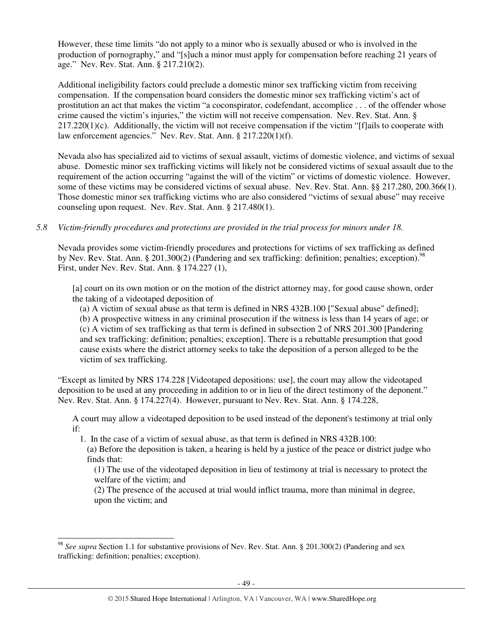However, these time limits "do not apply to a minor who is sexually abused or who is involved in the production of pornography," and "[s]uch a minor must apply for compensation before reaching 21 years of age." Nev. Rev. Stat. Ann. § 217.210(2).

Additional ineligibility factors could preclude a domestic minor sex trafficking victim from receiving compensation. If the compensation board considers the domestic minor sex trafficking victim's act of prostitution an act that makes the victim "a coconspirator, codefendant, accomplice . . . of the offender whose crime caused the victim's injuries," the victim will not receive compensation. Nev. Rev. Stat. Ann. §  $217.220(1)(c)$ . Additionally, the victim will not receive compensation if the victim "[f]ails to cooperate with law enforcement agencies." Nev. Rev. Stat. Ann. § 217.220(1)(f).

Nevada also has specialized aid to victims of sexual assault, victims of domestic violence, and victims of sexual abuse. Domestic minor sex trafficking victims will likely not be considered victims of sexual assault due to the requirement of the action occurring "against the will of the victim" or victims of domestic violence. However, some of these victims may be considered victims of sexual abuse. Nev. Rev. Stat. Ann. §§ 217.280, 200.366(1). Those domestic minor sex trafficking victims who are also considered "victims of sexual abuse" may receive counseling upon request. Nev. Rev. Stat. Ann. § 217.480(1).

### *5.8 Victim-friendly procedures and protections are provided in the trial process for minors under 18.*

Nevada provides some victim-friendly procedures and protections for victims of sex trafficking as defined by Nev. Rev. Stat. Ann. § 201.300(2) (Pandering and sex trafficking: definition; penalties; exception).<sup>98</sup> First, under Nev. Rev. Stat. Ann. § 174.227 (1),

[a] court on its own motion or on the motion of the district attorney may, for good cause shown, order the taking of a videotaped deposition of

(a) A victim of sexual abuse as that term is defined in NRS 432B.100 ["Sexual abuse" defined]; (b) A prospective witness in any criminal prosecution if the witness is less than 14 years of age; or (c) A victim of sex trafficking as that term is defined in subsection 2 of NRS 201.300 [Pandering and sex trafficking: definition; penalties; exception]. There is a rebuttable presumption that good cause exists where the district attorney seeks to take the deposition of a person alleged to be the victim of sex trafficking.

"Except as limited by NRS 174.228 [Videotaped depositions: use], the court may allow the videotaped deposition to be used at any proceeding in addition to or in lieu of the direct testimony of the deponent." Nev. Rev. Stat. Ann. § 174.227(4). However, pursuant to Nev. Rev. Stat. Ann. § 174.228,

A court may allow a videotaped deposition to be used instead of the deponent's testimony at trial only if:

1. In the case of a victim of sexual abuse, as that term is defined in NRS 432B.100:

(a) Before the deposition is taken, a hearing is held by a justice of the peace or district judge who finds that:

(1) The use of the videotaped deposition in lieu of testimony at trial is necessary to protect the welfare of the victim; and

(2) The presence of the accused at trial would inflict trauma, more than minimal in degree, upon the victim; and

<sup>-</sup><sup>98</sup> *See supra* Section 1.1 for substantive provisions of Nev. Rev. Stat. Ann. § 201.300(2) (Pandering and sex trafficking: definition; penalties; exception).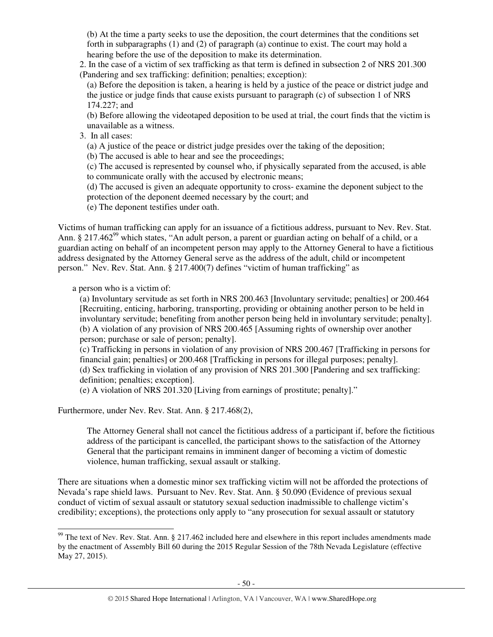(b) At the time a party seeks to use the deposition, the court determines that the conditions set forth in subparagraphs (1) and (2) of paragraph (a) continue to exist. The court may hold a hearing before the use of the deposition to make its determination.

2. In the case of a victim of sex trafficking as that term is defined in subsection 2 of NRS 201.300 (Pandering and sex trafficking: definition; penalties; exception):

(a) Before the deposition is taken, a hearing is held by a justice of the peace or district judge and the justice or judge finds that cause exists pursuant to paragraph (c) of subsection 1 of NRS 174.227; and

(b) Before allowing the videotaped deposition to be used at trial, the court finds that the victim is unavailable as a witness.

3. In all cases:

(a) A justice of the peace or district judge presides over the taking of the deposition;

(b) The accused is able to hear and see the proceedings;

(c) The accused is represented by counsel who, if physically separated from the accused, is able to communicate orally with the accused by electronic means;

(d) The accused is given an adequate opportunity to cross- examine the deponent subject to the protection of the deponent deemed necessary by the court; and

(e) The deponent testifies under oath.

Victims of human trafficking can apply for an issuance of a fictitious address, pursuant to Nev. Rev. Stat. Ann. § 217.462<sup>99</sup> which states, "An adult person, a parent or guardian acting on behalf of a child, or a guardian acting on behalf of an incompetent person may apply to the Attorney General to have a fictitious address designated by the Attorney General serve as the address of the adult, child or incompetent person." Nev. Rev. Stat. Ann. § 217.400(7) defines "victim of human trafficking" as

a person who is a victim of:

-

(a) Involuntary servitude as set forth in NRS 200.463 [Involuntary servitude; penalties] or 200.464 [Recruiting, enticing, harboring, transporting, providing or obtaining another person to be held in involuntary servitude; benefiting from another person being held in involuntary servitude; penalty]. (b) A violation of any provision of NRS 200.465 [Assuming rights of ownership over another person; purchase or sale of person; penalty].

(c) Trafficking in persons in violation of any provision of NRS 200.467 [Trafficking in persons for financial gain; penalties] or 200.468 [Trafficking in persons for illegal purposes; penalty]. (d) Sex trafficking in violation of any provision of NRS 201.300 [Pandering and sex trafficking: definition; penalties; exception].

(e) A violation of NRS 201.320 [Living from earnings of prostitute; penalty]."

Furthermore, under Nev. Rev. Stat. Ann. § 217.468(2),

The Attorney General shall not cancel the fictitious address of a participant if, before the fictitious address of the participant is cancelled, the participant shows to the satisfaction of the Attorney General that the participant remains in imminent danger of becoming a victim of domestic violence, human trafficking, sexual assault or stalking.

There are situations when a domestic minor sex trafficking victim will not be afforded the protections of Nevada's rape shield laws. Pursuant to Nev. Rev. Stat. Ann. § 50.090 (Evidence of previous sexual conduct of victim of sexual assault or statutory sexual seduction inadmissible to challenge victim's credibility; exceptions), the protections only apply to "any prosecution for sexual assault or statutory

 $99$  The text of Nev. Rev. Stat. Ann. § 217.462 included here and elsewhere in this report includes amendments made by the enactment of Assembly Bill 60 during the 2015 Regular Session of the 78th Nevada Legislature (effective May 27, 2015).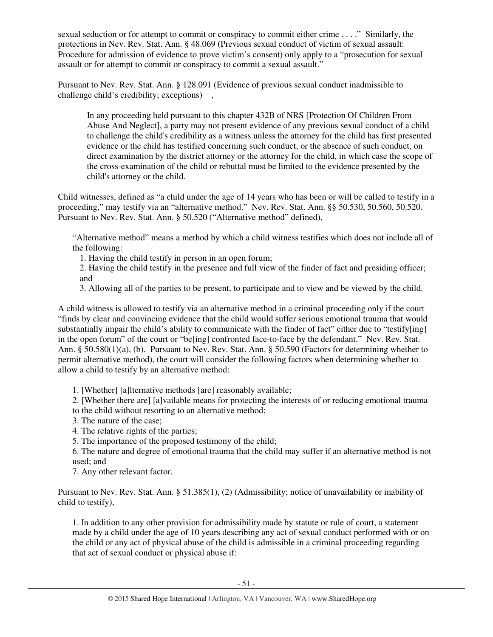sexual seduction or for attempt to commit or conspiracy to commit either crime . . . ." Similarly, the protections in Nev. Rev. Stat. Ann. § 48.069 (Previous sexual conduct of victim of sexual assault: Procedure for admission of evidence to prove victim's consent) only apply to a "prosecution for sexual assault or for attempt to commit or conspiracy to commit a sexual assault."

Pursuant to Nev. Rev. Stat. Ann. § 128.091 (Evidence of previous sexual conduct inadmissible to challenge child's credibility; exceptions) ,

In any proceeding held pursuant to this chapter 432B of NRS [Protection Of Children From Abuse And Neglect], a party may not present evidence of any previous sexual conduct of a child to challenge the child's credibility as a witness unless the attorney for the child has first presented evidence or the child has testified concerning such conduct, or the absence of such conduct, on direct examination by the district attorney or the attorney for the child, in which case the scope of the cross-examination of the child or rebuttal must be limited to the evidence presented by the child's attorney or the child.

Child witnesses, defined as "a child under the age of 14 years who has been or will be called to testify in a proceeding," may testify via an "alternative method." Nev. Rev. Stat. Ann. §§ 50.530, 50.560, 50.520. Pursuant to Nev. Rev. Stat. Ann. § 50.520 ("Alternative method" defined),

"Alternative method" means a method by which a child witness testifies which does not include all of the following:

1. Having the child testify in person in an open forum;

2. Having the child testify in the presence and full view of the finder of fact and presiding officer; and

3. Allowing all of the parties to be present, to participate and to view and be viewed by the child.

A child witness is allowed to testify via an alternative method in a criminal proceeding only if the court "finds by clear and convincing evidence that the child would suffer serious emotional trauma that would substantially impair the child's ability to communicate with the finder of fact" either due to "testifyling] in the open forum" of the court or "be[ing] confronted face-to-face by the defendant." Nev. Rev. Stat. Ann. § 50.580(1)(a), (b). Pursuant to Nev. Rev. Stat. Ann. § 50.590 (Factors for determining whether to permit alternative method), the court will consider the following factors when determining whether to allow a child to testify by an alternative method:

1. [Whether] [a]lternative methods [are] reasonably available;

2. [Whether there are] [a]vailable means for protecting the interests of or reducing emotional trauma

to the child without resorting to an alternative method;

- 3. The nature of the case;
- 4. The relative rights of the parties;
- 5. The importance of the proposed testimony of the child;

6. The nature and degree of emotional trauma that the child may suffer if an alternative method is not used; and

7. Any other relevant factor.

Pursuant to Nev. Rev. Stat. Ann. § 51.385(1), (2) (Admissibility; notice of unavailability or inability of child to testify),

1. In addition to any other provision for admissibility made by statute or rule of court, a statement made by a child under the age of 10 years describing any act of sexual conduct performed with or on the child or any act of physical abuse of the child is admissible in a criminal proceeding regarding that act of sexual conduct or physical abuse if: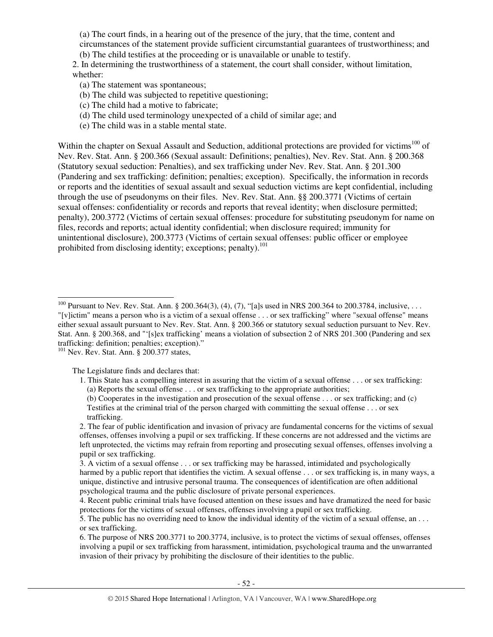(a) The court finds, in a hearing out of the presence of the jury, that the time, content and circumstances of the statement provide sufficient circumstantial guarantees of trustworthiness; and (b) The child testifies at the proceeding or is unavailable or unable to testify.

2. In determining the trustworthiness of a statement, the court shall consider, without limitation, whether:

- (a) The statement was spontaneous;
- (b) The child was subjected to repetitive questioning;
- (c) The child had a motive to fabricate;
- (d) The child used terminology unexpected of a child of similar age; and
- (e) The child was in a stable mental state.

Within the chapter on Sexual Assault and Seduction, additional protections are provided for victims<sup>100</sup> of Nev. Rev. Stat. Ann. § 200.366 (Sexual assault: Definitions; penalties), Nev. Rev. Stat. Ann. § 200.368 (Statutory sexual seduction: Penalties), and sex trafficking under Nev. Rev. Stat. Ann. § 201.300 (Pandering and sex trafficking: definition; penalties; exception). Specifically, the information in records or reports and the identities of sexual assault and sexual seduction victims are kept confidential, including through the use of pseudonyms on their files. Nev. Rev. Stat. Ann. §§ 200.3771 (Victims of certain sexual offenses: confidentiality or records and reports that reveal identity; when disclosure permitted; penalty), 200.3772 (Victims of certain sexual offenses: procedure for substituting pseudonym for name on files, records and reports; actual identity confidential; when disclosure required; immunity for unintentional disclosure), 200.3773 (Victims of certain sexual offenses: public officer or employee prohibited from disclosing identity; exceptions; penalty).<sup>101</sup>

<sup>101</sup> Nev. Rev. Stat. Ann. § 200.377 states,

The Legislature finds and declares that:

1. This State has a compelling interest in assuring that the victim of a sexual offense . . . or sex trafficking: (a) Reports the sexual offense . . . or sex trafficking to the appropriate authorities;

(b) Cooperates in the investigation and prosecution of the sexual offense . . . or sex trafficking; and (c) Testifies at the criminal trial of the person charged with committing the sexual offense . . . or sex trafficking.

2. The fear of public identification and invasion of privacy are fundamental concerns for the victims of sexual offenses, offenses involving a pupil or sex trafficking. If these concerns are not addressed and the victims are left unprotected, the victims may refrain from reporting and prosecuting sexual offenses, offenses involving a pupil or sex trafficking.

3. A victim of a sexual offense . . . or sex trafficking may be harassed, intimidated and psychologically harmed by a public report that identifies the victim. A sexual offense . . . or sex trafficking is, in many ways, a unique, distinctive and intrusive personal trauma. The consequences of identification are often additional psychological trauma and the public disclosure of private personal experiences.

5. The public has no overriding need to know the individual identity of the victim of a sexual offense, an . . . or sex trafficking.

6. The purpose of NRS 200.3771 to 200.3774, inclusive, is to protect the victims of sexual offenses, offenses involving a pupil or sex trafficking from harassment, intimidation, psychological trauma and the unwarranted invasion of their privacy by prohibiting the disclosure of their identities to the public.

<sup>-</sup><sup>100</sup> Pursuant to Nev. Rev. Stat. Ann. § 200.364(3), (4), (7), "[a]s used in NRS 200.364 to 200.3784, inclusive, ... "[v]ictim" means a person who is a victim of a sexual offense . . . or sex trafficking" where "sexual offense" means either sexual assault pursuant to Nev. Rev. Stat. Ann. § 200.366 or statutory sexual seduction pursuant to Nev. Rev. Stat. Ann. § 200.368, and "'[s]ex trafficking' means a violation of subsection 2 of NRS 201.300 (Pandering and sex trafficking: definition; penalties; exception)."

<sup>4.</sup> Recent public criminal trials have focused attention on these issues and have dramatized the need for basic protections for the victims of sexual offenses, offenses involving a pupil or sex trafficking.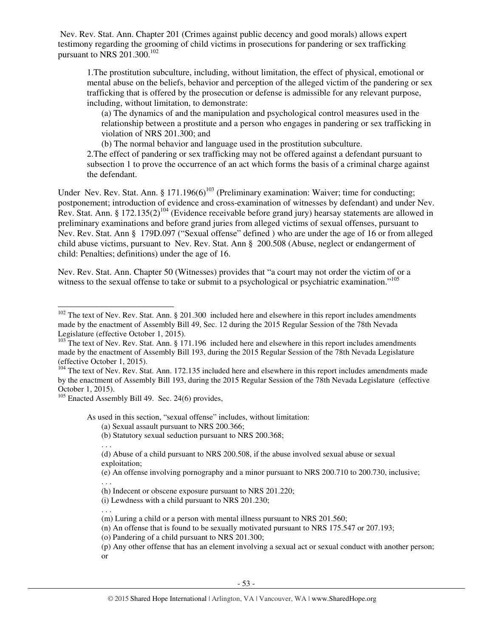Nev. Rev. Stat. Ann. Chapter 201 (Crimes against public decency and good morals) allows expert testimony regarding the grooming of child victims in prosecutions for pandering or sex trafficking pursuant to NRS  $201.300$ .<sup>102</sup>

1.The prostitution subculture, including, without limitation, the effect of physical, emotional or mental abuse on the beliefs, behavior and perception of the alleged victim of the pandering or sex trafficking that is offered by the prosecution or defense is admissible for any relevant purpose, including, without limitation, to demonstrate:

(a) The dynamics of and the manipulation and psychological control measures used in the relationship between a prostitute and a person who engages in pandering or sex trafficking in violation of NRS 201.300; and

(b) The normal behavior and language used in the prostitution subculture.

2.The effect of pandering or sex trafficking may not be offered against a defendant pursuant to subsection 1 to prove the occurrence of an act which forms the basis of a criminal charge against the defendant.

Under Nev. Rev. Stat. Ann. § 171.196(6)<sup>103</sup> (Preliminary examination: Waiver; time for conducting; postponement; introduction of evidence and cross-examination of witnesses by defendant) and under Nev. Rev. Stat. Ann. § 172.135(2)<sup>104</sup> (Evidence receivable before grand jury) hearsay statements are allowed in preliminary examinations and before grand juries from alleged victims of sexual offenses, pursuant to Nev. Rev. Stat. Ann § 179D.097 ("Sexual offense" defined ) who are under the age of 16 or from alleged child abuse victims, pursuant to Nev. Rev. Stat. Ann § 200.508 (Abuse, neglect or endangerment of child: Penalties; definitions) under the age of 16.

Nev. Rev. Stat. Ann. Chapter 50 (Witnesses) provides that "a court may not order the victim of or a witness to the sexual offense to take or submit to a psychological or psychiatric examination."<sup>105</sup>

 $105$  Enacted Assembly Bill 49. Sec. 24(6) provides,

. . .

-

As used in this section, "sexual offense" includes, without limitation:

(a) Sexual assault pursuant to NRS 200.366;

(b) Statutory sexual seduction pursuant to NRS 200.368;

. . . (d) Abuse of a child pursuant to NRS 200.508, if the abuse involved sexual abuse or sexual exploitation;

(e) An offense involving pornography and a minor pursuant to NRS 200.710 to 200.730, inclusive;

. . . (h) Indecent or obscene exposure pursuant to NRS 201.220;

(i) Lewdness with a child pursuant to NRS 201.230;

(m) Luring a child or a person with mental illness pursuant to NRS 201.560;

(n) An offense that is found to be sexually motivated pursuant to NRS 175.547 or 207.193;

(o) Pandering of a child pursuant to NRS 201.300;

(p) Any other offense that has an element involving a sexual act or sexual conduct with another person; or

<sup>&</sup>lt;sup>102</sup> The text of Nev. Rev. Stat. Ann. § 201.300 included here and elsewhere in this report includes amendments made by the enactment of Assembly Bill 49, Sec. 12 during the 2015 Regular Session of the 78th Nevada Legislature (effective October 1, 2015).

<sup>&</sup>lt;sup>103</sup> The text of Nev. Rev. Stat. Ann. § 171.196 included here and elsewhere in this report includes amendments made by the enactment of Assembly Bill 193, during the 2015 Regular Session of the 78th Nevada Legislature (effective October 1, 2015).

<sup>&</sup>lt;sup>104</sup> The text of Nev. Rev. Stat. Ann. 172.135 included here and elsewhere in this report includes amendments made by the enactment of Assembly Bill 193, during the 2015 Regular Session of the 78th Nevada Legislature (effective October 1, 2015).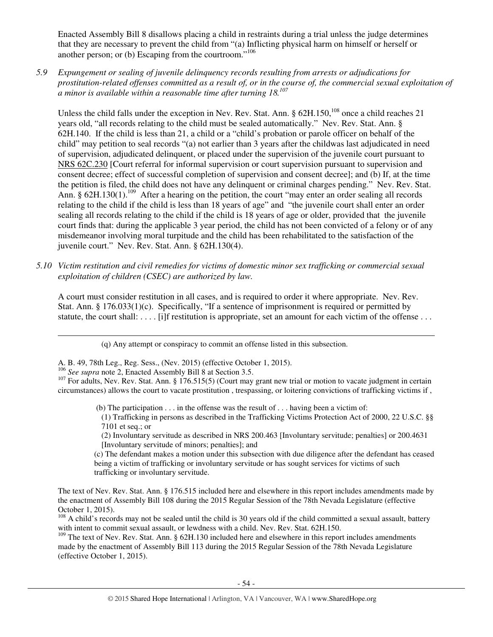Enacted Assembly Bill 8 disallows placing a child in restraints during a trial unless the judge determines that they are necessary to prevent the child from "(a) Inflicting physical harm on himself or herself or another person; or (b) Escaping from the courtroom."<sup>106</sup>

*5.9 Expungement or sealing of juvenile delinquency records resulting from arrests or adjudications for prostitution-related offenses committed as a result of, or in the course of, the commercial sexual exploitation of a minor is available within a reasonable time after turning 18.<sup>107</sup>*

Unless the child falls under the exception in Nev. Rev. Stat. Ann. § 62H.150,<sup>108</sup> once a child reaches 21 years old, "all records relating to the child must be sealed automatically." Nev. Rev. Stat. Ann. § 62H.140. If the child is less than 21, a child or a "child's probation or parole officer on behalf of the child" may petition to seal records "(a) not earlier than 3 years after the childwas last adjudicated in need of supervision, adjudicated delinquent, or placed under the supervision of the juvenile court pursuant to NRS 62C.230 [Court referral for informal supervision or court supervision pursuant to supervision and consent decree; effect of successful completion of supervision and consent decree]; and (b) If, at the time the petition is filed, the child does not have any delinquent or criminal charges pending." Nev. Rev. Stat. Ann. § 62H.130(1).<sup>109</sup> After a hearing on the petition, the court "may enter an order sealing all records relating to the child if the child is less than 18 years of age" and "the juvenile court shall enter an order sealing all records relating to the child if the child is 18 years of age or older, provided that the juvenile court finds that: during the applicable 3 year period, the child has not been convicted of a felony or of any misdemeanor involving moral turpitude and the child has been rehabilitated to the satisfaction of the juvenile court." Nev. Rev. Stat. Ann. § 62H.130(4).

*5.10 Victim restitution and civil remedies for victims of domestic minor sex trafficking or commercial sexual exploitation of children (CSEC) are authorized by law.* 

A court must consider restitution in all cases, and is required to order it where appropriate. Nev. Rev. Stat. Ann. § 176.033(1)(c). Specifically, "If a sentence of imprisonment is required or permitted by statute, the court shall: . . . . [i]f restitution is appropriate, set an amount for each victim of the offense . . .

(q) Any attempt or conspiracy to commit an offense listed in this subsection.

A. B. 49, 78th Leg., Reg. Sess., (Nev. 2015) (effective October 1, 2015).

<sup>106</sup> *See supra* note 2, Enacted Assembly Bill 8 at Section 3.5.

-

(b) The participation  $\dots$  in the offense was the result of  $\dots$  having been a victim of:

(1) Trafficking in persons as described in the Trafficking Victims Protection Act of 2000, 22 U.S.C. §§ 7101 et seq.; or

(2) Involuntary servitude as described in NRS 200.463 [Involuntary servitude; penalties] or 200.4631 [Involuntary servitude of minors; penalties]; and

(c) The defendant makes a motion under this subsection with due diligence after the defendant has ceased being a victim of trafficking or involuntary servitude or has sought services for victims of such trafficking or involuntary servitude.

<sup>109</sup> The text of Nev. Rev. Stat. Ann. § 62H.130 included here and elsewhere in this report includes amendments made by the enactment of Assembly Bill 113 during the 2015 Regular Session of the 78th Nevada Legislature (effective October 1, 2015).

<sup>&</sup>lt;sup>107</sup> For adults, Nev. Rev. Stat. Ann. § 176.515(5) (Court may grant new trial or motion to vacate judgment in certain circumstances) allows the court to vacate prostitution , trespassing, or loitering convictions of trafficking victims if ,

The text of Nev. Rev. Stat. Ann. § 176.515 included here and elsewhere in this report includes amendments made by the enactment of Assembly Bill 108 during the 2015 Regular Session of the 78th Nevada Legislature (effective October 1, 2015).

 $108$  A child's records may not be sealed until the child is 30 years old if the child committed a sexual assault, battery with intent to commit sexual assault, or lewdness with a child. Nev. Rev. Stat. 62H.150.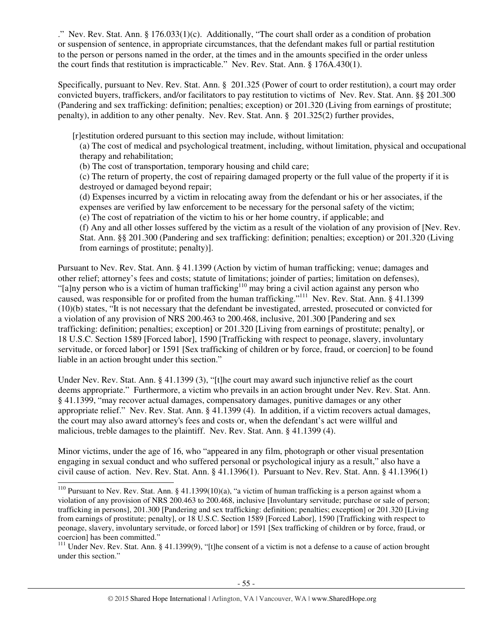." Nev. Rev. Stat. Ann. § 176.033(1)(c). Additionally, "The court shall order as a condition of probation or suspension of sentence, in appropriate circumstances, that the defendant makes full or partial restitution to the person or persons named in the order, at the times and in the amounts specified in the order unless the court finds that restitution is impracticable." Nev. Rev. Stat. Ann. § 176A.430(1).

Specifically, pursuant to Nev. Rev. Stat. Ann. § 201.325 (Power of court to order restitution), a court may order convicted buyers, traffickers, and/or facilitators to pay restitution to victims of Nev. Rev. Stat. Ann. §§ 201.300 (Pandering and sex trafficking: definition; penalties; exception) or 201.320 (Living from earnings of prostitute; penalty), in addition to any other penalty. Nev. Rev. Stat. Ann. § 201.325(2) further provides,

[r]estitution ordered pursuant to this section may include, without limitation:

(a) The cost of medical and psychological treatment, including, without limitation, physical and occupational therapy and rehabilitation;

(b) The cost of transportation, temporary housing and child care;

(c) The return of property, the cost of repairing damaged property or the full value of the property if it is destroyed or damaged beyond repair;

(d) Expenses incurred by a victim in relocating away from the defendant or his or her associates, if the expenses are verified by law enforcement to be necessary for the personal safety of the victim;

(e) The cost of repatriation of the victim to his or her home country, if applicable; and

(f) Any and all other losses suffered by the victim as a result of the violation of any provision of [Nev. Rev. Stat. Ann. §§ 201.300 (Pandering and sex trafficking: definition; penalties; exception) or 201.320 (Living from earnings of prostitute; penalty)].

Pursuant to Nev. Rev. Stat. Ann. § 41.1399 (Action by victim of human trafficking; venue; damages and other relief; attorney's fees and costs; statute of limitations; joinder of parties; limitation on defenses), "[a]ny person who is a victim of human trafficking<sup>110</sup> may bring a civil action against any person who caused, was responsible for or profited from the human trafficking."<sup>111</sup> Nev. Rev. Stat. Ann. § 41.1399 (10)(b) states, "It is not necessary that the defendant be investigated, arrested, prosecuted or convicted for a violation of any provision of NRS 200.463 to 200.468, inclusive, 201.300 [Pandering and sex trafficking: definition; penalties; exception] or 201.320 [Living from earnings of prostitute; penalty], or 18 U.S.C. Section 1589 [Forced labor], 1590 [Trafficking with respect to peonage, slavery, involuntary servitude, or forced labor] or 1591 [Sex trafficking of children or by force, fraud, or coercion] to be found liable in an action brought under this section."

Under Nev. Rev. Stat. Ann. § 41.1399 (3), "[t]he court may award such injunctive relief as the court deems appropriate." Furthermore, a victim who prevails in an action brought under Nev. Rev. Stat. Ann. § 41.1399, "may recover actual damages, compensatory damages, punitive damages or any other appropriate relief." Nev. Rev. Stat. Ann. § 41.1399 (4). In addition, if a victim recovers actual damages, the court may also award attorney's fees and costs or, when the defendant's act were willful and malicious, treble damages to the plaintiff. Nev. Rev. Stat. Ann. § 41.1399 (4).

Minor victims, under the age of 16, who "appeared in any film, photograph or other visual presentation engaging in sexual conduct and who suffered personal or psychological injury as a result," also have a civil cause of action. Nev. Rev. Stat. Ann. § 41.1396(1). Pursuant to Nev. Rev. Stat. Ann. § 41.1396(1)

<sup>-</sup><sup>110</sup> Pursuant to Nev. Rev. Stat. Ann. § 41.1399(10)(a), "a victim of human trafficking is a person against whom a violation of any provision of NRS 200.463 to 200.468, inclusive [Involuntary servitude; purchase or sale of person; trafficking in persons], 201.300 [Pandering and sex trafficking: definition; penalties; exception] or 201.320 [Living from earnings of prostitute; penalty], or 18 U.S.C. Section 1589 [Forced Labor], 1590 [Trafficking with respect to peonage, slavery, involuntary servitude, or forced labor] or 1591 [Sex trafficking of children or by force, fraud, or coercion] has been committed."

<sup>&</sup>lt;sup>111</sup> Under Nev. Rev. Stat. Ann. § 41.1399(9), "[t]he consent of a victim is not a defense to a cause of action brought under this section."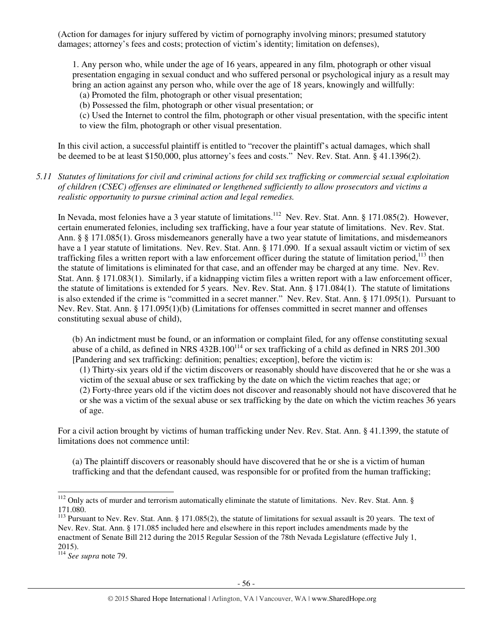(Action for damages for injury suffered by victim of pornography involving minors; presumed statutory damages; attorney's fees and costs; protection of victim's identity; limitation on defenses),

1. Any person who, while under the age of 16 years, appeared in any film, photograph or other visual presentation engaging in sexual conduct and who suffered personal or psychological injury as a result may bring an action against any person who, while over the age of 18 years, knowingly and willfully:

- (a) Promoted the film, photograph or other visual presentation;
- (b) Possessed the film, photograph or other visual presentation; or

(c) Used the Internet to control the film, photograph or other visual presentation, with the specific intent to view the film, photograph or other visual presentation.

In this civil action, a successful plaintiff is entitled to "recover the plaintiff's actual damages, which shall be deemed to be at least \$150,000, plus attorney's fees and costs." Nev. Rev. Stat. Ann. § 41.1396(2).

### *5.11 Statutes of limitations for civil and criminal actions for child sex trafficking or commercial sexual exploitation of children (CSEC) offenses are eliminated or lengthened sufficiently to allow prosecutors and victims a realistic opportunity to pursue criminal action and legal remedies.*

In Nevada, most felonies have a 3 year statute of limitations.<sup>112</sup> Nev. Rev. Stat. Ann. § 171.085(2). However, certain enumerated felonies, including sex trafficking, have a four year statute of limitations. Nev. Rev. Stat. Ann. § § 171.085(1). Gross misdemeanors generally have a two year statute of limitations, and misdemeanors have a 1 year statute of limitations. Nev. Rev. Stat. Ann. § 171.090. If a sexual assault victim or victim of sex trafficking files a written report with a law enforcement officer during the statute of limitation period,  $113$  then the statute of limitations is eliminated for that case, and an offender may be charged at any time. Nev. Rev. Stat. Ann. § 171.083(1). Similarly, if a kidnapping victim files a written report with a law enforcement officer, the statute of limitations is extended for 5 years. Nev. Rev. Stat. Ann. § 171.084(1). The statute of limitations is also extended if the crime is "committed in a secret manner." Nev. Rev. Stat. Ann. § 171.095(1). Pursuant to Nev. Rev. Stat. Ann. § 171.095(1)(b) (Limitations for offenses committed in secret manner and offenses constituting sexual abuse of child),

(b) An indictment must be found, or an information or complaint filed, for any offense constituting sexual abuse of a child, as defined in NRS  $432B.100^{114}$  or sex trafficking of a child as defined in NRS 201.300 [Pandering and sex trafficking: definition; penalties; exception], before the victim is:

(1) Thirty-six years old if the victim discovers or reasonably should have discovered that he or she was a victim of the sexual abuse or sex trafficking by the date on which the victim reaches that age; or (2) Forty-three years old if the victim does not discover and reasonably should not have discovered that he or she was a victim of the sexual abuse or sex trafficking by the date on which the victim reaches 36 years of age.

For a civil action brought by victims of human trafficking under Nev. Rev. Stat. Ann. § 41.1399, the statute of limitations does not commence until:

(a) The plaintiff discovers or reasonably should have discovered that he or she is a victim of human trafficking and that the defendant caused, was responsible for or profited from the human trafficking;

l

 $112$  Only acts of murder and terrorism automatically eliminate the statute of limitations. Nev. Rev. Stat. Ann. § 171.080.

<sup>&</sup>lt;sup>113</sup> Pursuant to Nev. Rev. Stat. Ann. § 171.085(2), the statute of limitations for sexual assault is 20 years. The text of Nev. Rev. Stat. Ann. § 171.085 included here and elsewhere in this report includes amendments made by the enactment of Senate Bill 212 during the 2015 Regular Session of the 78th Nevada Legislature (effective July 1, 2015).

<sup>114</sup> *See supra* note 79.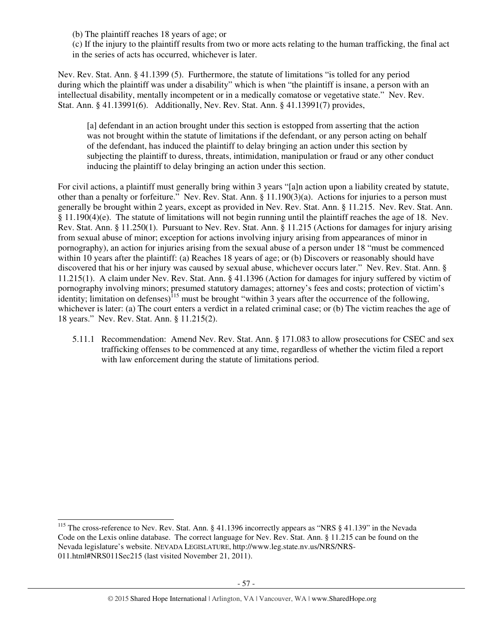(b) The plaintiff reaches 18 years of age; or

(c) If the injury to the plaintiff results from two or more acts relating to the human trafficking, the final act in the series of acts has occurred, whichever is later.

Nev. Rev. Stat. Ann. § 41.1399 (5). Furthermore, the statute of limitations "is tolled for any period during which the plaintiff was under a disability" which is when "the plaintiff is insane, a person with an intellectual disability, mentally incompetent or in a medically comatose or vegetative state." Nev. Rev. Stat. Ann. § 41.13991(6). Additionally, Nev. Rev. Stat. Ann. § 41.13991(7) provides,

[a] defendant in an action brought under this section is estopped from asserting that the action was not brought within the statute of limitations if the defendant, or any person acting on behalf of the defendant, has induced the plaintiff to delay bringing an action under this section by subjecting the plaintiff to duress, threats, intimidation, manipulation or fraud or any other conduct inducing the plaintiff to delay bringing an action under this section.

For civil actions, a plaintiff must generally bring within 3 years "[a]n action upon a liability created by statute, other than a penalty or forfeiture." Nev. Rev. Stat. Ann. § 11.190(3)(a). Actions for injuries to a person must generally be brought within 2 years, except as provided in Nev. Rev. Stat. Ann. § 11.215. Nev. Rev. Stat. Ann.  $§$  11.190(4)(e). The statute of limitations will not begin running until the plaintiff reaches the age of 18. Nev. Rev. Stat. Ann. § 11.250(1). Pursuant to Nev. Rev. Stat. Ann. § 11.215 (Actions for damages for injury arising from sexual abuse of minor; exception for actions involving injury arising from appearances of minor in pornography), an action for injuries arising from the sexual abuse of a person under 18 "must be commenced within 10 years after the plaintiff: (a) Reaches 18 years of age; or (b) Discovers or reasonably should have discovered that his or her injury was caused by sexual abuse, whichever occurs later." Nev. Rev. Stat. Ann. § 11.215(1). A claim under Nev. Rev. Stat. Ann. § 41.1396 (Action for damages for injury suffered by victim of pornography involving minors; presumed statutory damages; attorney's fees and costs; protection of victim's identity; limitation on defenses)<sup>115</sup> must be brought "within 3 years after the occurrence of the following, whichever is later: (a) The court enters a verdict in a related criminal case; or (b) The victim reaches the age of 18 years." Nev. Rev. Stat. Ann. § 11.215(2).

5.11.1 Recommendation: Amend Nev. Rev. Stat. Ann. § 171.083 to allow prosecutions for CSEC and sex trafficking offenses to be commenced at any time, regardless of whether the victim filed a report with law enforcement during the statute of limitations period.

l

<sup>&</sup>lt;sup>115</sup> The cross-reference to Nev. Rev. Stat. Ann. § 41.1396 incorrectly appears as "NRS § 41.139" in the Nevada Code on the Lexis online database. The correct language for Nev. Rev. Stat. Ann. § 11.215 can be found on the Nevada legislature's website. NEVADA LEGISLATURE, http://www.leg.state.nv.us/NRS/NRS-011.html#NRS011Sec215 (last visited November 21, 2011).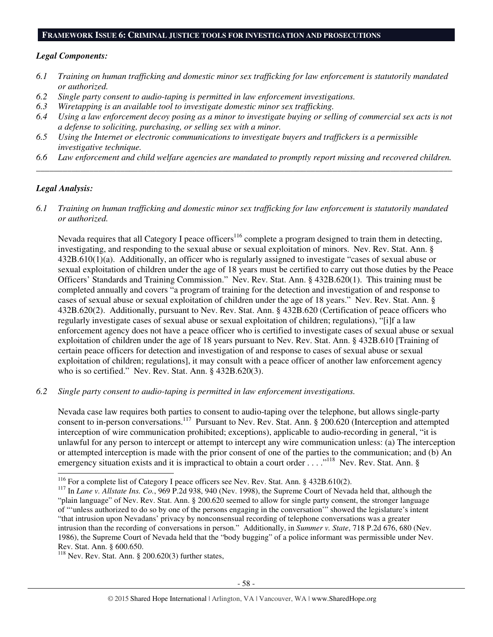#### **FRAMEWORK ISSUE 6: CRIMINAL JUSTICE TOOLS FOR INVESTIGATION AND PROSECUTIONS**

#### *Legal Components:*

- *6.1 Training on human trafficking and domestic minor sex trafficking for law enforcement is statutorily mandated or authorized.*
- *6.2 Single party consent to audio-taping is permitted in law enforcement investigations.*
- *6.3 Wiretapping is an available tool to investigate domestic minor sex trafficking.*
- *6.4 Using a law enforcement decoy posing as a minor to investigate buying or selling of commercial sex acts is not a defense to soliciting, purchasing, or selling sex with a minor.*
- *6.5 Using the Internet or electronic communications to investigate buyers and traffickers is a permissible investigative technique.*
- *6.6 Law enforcement and child welfare agencies are mandated to promptly report missing and recovered children. \_\_\_\_\_\_\_\_\_\_\_\_\_\_\_\_\_\_\_\_\_\_\_\_\_\_\_\_\_\_\_\_\_\_\_\_\_\_\_\_\_\_\_\_\_\_\_\_\_\_\_\_\_\_\_\_\_\_\_\_\_\_\_\_\_\_\_\_\_\_\_\_\_\_\_\_\_\_\_\_\_\_\_\_\_\_\_\_\_\_\_\_\_\_*

# *Legal Analysis:*

-

*6.1 Training on human trafficking and domestic minor sex trafficking for law enforcement is statutorily mandated or authorized.*

Nevada requires that all Category I peace officers<sup>116</sup> complete a program designed to train them in detecting, investigating, and responding to the sexual abuse or sexual exploitation of minors. Nev. Rev. Stat. Ann. § 432B.610(1)(a). Additionally, an officer who is regularly assigned to investigate "cases of sexual abuse or sexual exploitation of children under the age of 18 years must be certified to carry out those duties by the Peace Officers' Standards and Training Commission." Nev. Rev. Stat. Ann. § 432B.620(1). This training must be completed annually and covers "a program of training for the detection and investigation of and response to cases of sexual abuse or sexual exploitation of children under the age of 18 years." Nev. Rev. Stat. Ann. § 432B.620(2). Additionally, pursuant to Nev. Rev. Stat. Ann. § 432B.620 (Certification of peace officers who regularly investigate cases of sexual abuse or sexual exploitation of children; regulations), "[i]f a law enforcement agency does not have a peace officer who is certified to investigate cases of sexual abuse or sexual exploitation of children under the age of 18 years pursuant to Nev. Rev. Stat. Ann. § 432B.610 [Training of certain peace officers for detection and investigation of and response to cases of sexual abuse or sexual exploitation of children; regulations], it may consult with a peace officer of another law enforcement agency who is so certified." Nev. Rev. Stat. Ann. § 432B.620(3).

*6.2 Single party consent to audio-taping is permitted in law enforcement investigations.* 

Nevada case law requires both parties to consent to audio-taping over the telephone, but allows single-party consent to in-person conversations.<sup>117</sup> Pursuant to Nev. Rev. Stat. Ann. § 200.620 (Interception and attempted interception of wire communication prohibited; exceptions), applicable to audio-recording in general, "it is unlawful for any person to intercept or attempt to intercept any wire communication unless: (a) The interception or attempted interception is made with the prior consent of one of the parties to the communication; and (b) An emergency situation exists and it is impractical to obtain a court order . . . .<sup>"118</sup> Nev. Rev. Stat. Ann. §

<sup>&</sup>lt;sup>116</sup> For a complete list of Category I peace officers see Nev. Rev. Stat. Ann. § 432B.610(2).

<sup>&</sup>lt;sup>117</sup> In *Lane v. Allstate Ins. Co.*, 969 P.2d 938, 940 (Nev. 1998), the Supreme Court of Nevada held that, although the "plain language" of Nev. Rev. Stat. Ann. § 200.620 seemed to allow for single party consent, the stronger language of "'unless authorized to do so by one of the persons engaging in the conversation'" showed the legislature's intent "that intrusion upon Nevadans' privacy by nonconsensual recording of telephone conversations was a greater intrusion than the recording of conversations in person." Additionally, in *Summer v. State*, 718 P.2d 676, 680 (Nev. 1986), the Supreme Court of Nevada held that the "body bugging" of a police informant was permissible under Nev. Rev. Stat. Ann. § 600.650.

 $118$  Nev. Rev. Stat. Ann. § 200.620(3) further states,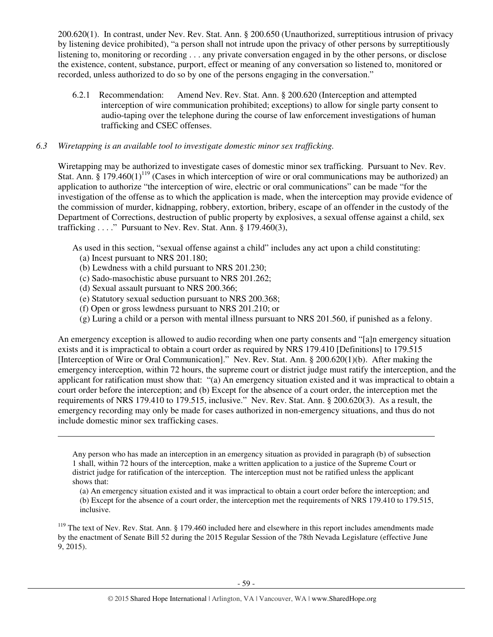200.620(1). In contrast, under Nev. Rev. Stat. Ann. § 200.650 (Unauthorized, surreptitious intrusion of privacy by listening device prohibited), "a person shall not intrude upon the privacy of other persons by surreptitiously listening to, monitoring or recording . . . any private conversation engaged in by the other persons, or disclose the existence, content, substance, purport, effect or meaning of any conversation so listened to, monitored or recorded, unless authorized to do so by one of the persons engaging in the conversation."

6.2.1 Recommendation: Amend Nev. Rev. Stat. Ann. § 200.620 (Interception and attempted interception of wire communication prohibited; exceptions) to allow for single party consent to audio-taping over the telephone during the course of law enforcement investigations of human trafficking and CSEC offenses.

#### *6.3 Wiretapping is an available tool to investigate domestic minor sex trafficking.*

Wiretapping may be authorized to investigate cases of domestic minor sex trafficking. Pursuant to Nev. Rev. Stat. Ann.  $\S 179.460(1)^{119}$  (Cases in which interception of wire or oral communications may be authorized) an application to authorize "the interception of wire, electric or oral communications" can be made "for the investigation of the offense as to which the application is made, when the interception may provide evidence of the commission of murder, kidnapping, robbery, extortion, bribery, escape of an offender in the custody of the Department of Corrections, destruction of public property by explosives, a sexual offense against a child, sex trafficking . . . ." Pursuant to Nev. Rev. Stat. Ann. § 179.460(3),

As used in this section, "sexual offense against a child" includes any act upon a child constituting:

(a) Incest pursuant to NRS 201.180;

l

- (b) Lewdness with a child pursuant to NRS 201.230;
- (c) Sado-masochistic abuse pursuant to NRS 201.262;
- (d) Sexual assault pursuant to NRS 200.366;
- (e) Statutory sexual seduction pursuant to NRS 200.368;
- (f) Open or gross lewdness pursuant to NRS 201.210; or
- (g) Luring a child or a person with mental illness pursuant to NRS 201.560, if punished as a felony.

An emergency exception is allowed to audio recording when one party consents and "[a]n emergency situation exists and it is impractical to obtain a court order as required by NRS 179.410 [Definitions] to 179.515 [Interception of Wire or Oral Communication]." Nev. Rev. Stat. Ann. § 200.620(1)(b). After making the emergency interception, within 72 hours, the supreme court or district judge must ratify the interception, and the applicant for ratification must show that: "(a) An emergency situation existed and it was impractical to obtain a court order before the interception; and (b) Except for the absence of a court order, the interception met the requirements of NRS 179.410 to 179.515, inclusive." Nev. Rev. Stat. Ann. § 200.620(3). As a result, the emergency recording may only be made for cases authorized in non-emergency situations, and thus do not include domestic minor sex trafficking cases.

Any person who has made an interception in an emergency situation as provided in paragraph (b) of subsection 1 shall, within 72 hours of the interception, make a written application to a justice of the Supreme Court or district judge for ratification of the interception. The interception must not be ratified unless the applicant shows that:

(a) An emergency situation existed and it was impractical to obtain a court order before the interception; and

(b) Except for the absence of a court order, the interception met the requirements of NRS 179.410 to 179.515, inclusive.

 $119$  The text of Nev. Rev. Stat. Ann. § 179.460 included here and elsewhere in this report includes amendments made by the enactment of Senate Bill 52 during the 2015 Regular Session of the 78th Nevada Legislature (effective June 9, 2015).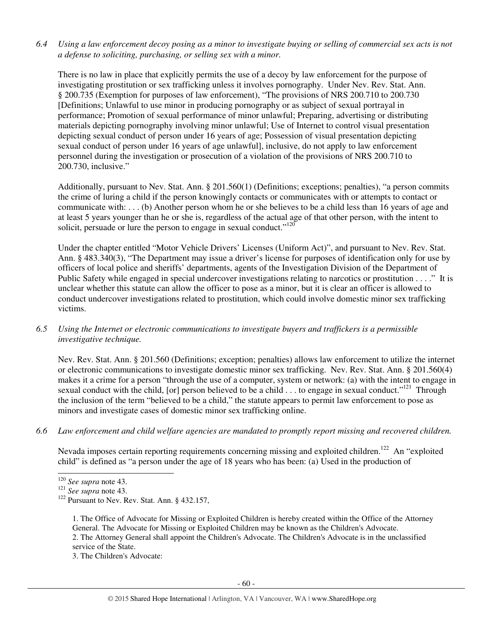*6.4 Using a law enforcement decoy posing as a minor to investigate buying or selling of commercial sex acts is not a defense to soliciting, purchasing, or selling sex with a minor.* 

There is no law in place that explicitly permits the use of a decoy by law enforcement for the purpose of investigating prostitution or sex trafficking unless it involves pornography. Under Nev. Rev. Stat. Ann. § 200.735 (Exemption for purposes of law enforcement), "The provisions of NRS 200.710 to 200.730 [Definitions; Unlawful to use minor in producing pornography or as subject of sexual portrayal in performance; Promotion of sexual performance of minor unlawful; Preparing, advertising or distributing materials depicting pornography involving minor unlawful; Use of Internet to control visual presentation depicting sexual conduct of person under 16 years of age; Possession of visual presentation depicting sexual conduct of person under 16 years of age unlawful], inclusive, do not apply to law enforcement personnel during the investigation or prosecution of a violation of the provisions of NRS 200.710 to 200.730, inclusive."

Additionally, pursuant to Nev. Stat. Ann. § 201.560(1) (Definitions; exceptions; penalties), "a person commits the crime of luring a child if the person knowingly contacts or communicates with or attempts to contact or communicate with: . . . (b) Another person whom he or she believes to be a child less than 16 years of age and at least 5 years younger than he or she is, regardless of the actual age of that other person, with the intent to solicit, persuade or lure the person to engage in sexual conduct." $120$ 

Under the chapter entitled "Motor Vehicle Drivers' Licenses (Uniform Act)", and pursuant to Nev. Rev. Stat. Ann. § 483.340(3), "The Department may issue a driver's license for purposes of identification only for use by officers of local police and sheriffs' departments, agents of the Investigation Division of the Department of Public Safety while engaged in special undercover investigations relating to narcotics or prostitution . . . ." It is unclear whether this statute can allow the officer to pose as a minor, but it is clear an officer is allowed to conduct undercover investigations related to prostitution, which could involve domestic minor sex trafficking victims.

*6.5 Using the Internet or electronic communications to investigate buyers and traffickers is a permissible investigative technique.* 

Nev. Rev. Stat. Ann. § 201.560 (Definitions; exception; penalties) allows law enforcement to utilize the internet or electronic communications to investigate domestic minor sex trafficking. Nev. Rev. Stat. Ann. § 201.560(4) makes it a crime for a person "through the use of a computer, system or network: (a) with the intent to engage in sexual conduct with the child, [or] person believed to be a child  $\ldots$  to engage in sexual conduct."<sup>121</sup> Through the inclusion of the term "believed to be a child," the statute appears to permit law enforcement to pose as minors and investigate cases of domestic minor sex trafficking online.

*6.6 Law enforcement and child welfare agencies are mandated to promptly report missing and recovered children.* 

Nevada imposes certain reporting requirements concerning missing and exploited children.<sup>122</sup> An "exploited" child" is defined as "a person under the age of 18 years who has been: (a) Used in the production of

1. The Office of Advocate for Missing or Exploited Children is hereby created within the Office of the Attorney General. The Advocate for Missing or Exploited Children may be known as the Children's Advocate. 2. The Attorney General shall appoint the Children's Advocate. The Children's Advocate is in the unclassified service of the State.

3. The Children's Advocate:

<sup>-</sup><sup>120</sup> *See supra* note 43.

<sup>121</sup> *See supra* note 43.

<sup>&</sup>lt;sup>122</sup> Pursuant to Nev. Rev. Stat. Ann. § 432.157,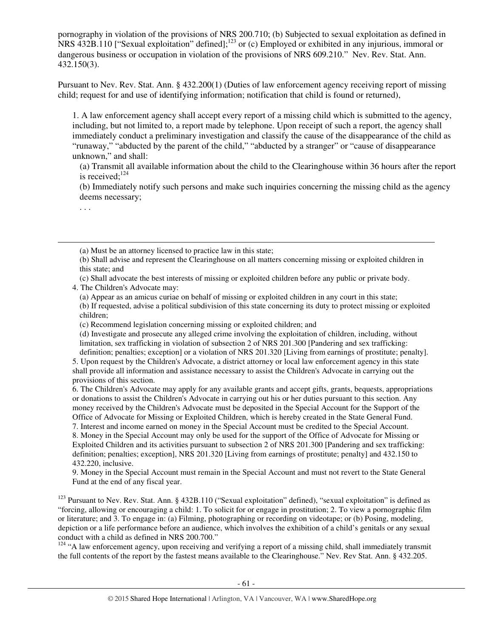pornography in violation of the provisions of NRS 200.710; (b) Subjected to sexual exploitation as defined in NRS 432B.110 ["Sexual exploitation" defined];<sup>123</sup> or (c) Employed or exhibited in any injurious, immoral or dangerous business or occupation in violation of the provisions of NRS 609.210." Nev. Rev. Stat. Ann. 432.150(3).

Pursuant to Nev. Rev. Stat. Ann. § 432.200(1) (Duties of law enforcement agency receiving report of missing child; request for and use of identifying information; notification that child is found or returned),

1. A law enforcement agency shall accept every report of a missing child which is submitted to the agency, including, but not limited to, a report made by telephone. Upon receipt of such a report, the agency shall immediately conduct a preliminary investigation and classify the cause of the disappearance of the child as "runaway," "abducted by the parent of the child," "abducted by a stranger" or "cause of disappearance unknown," and shall:

(a) Transmit all available information about the child to the Clearinghouse within 36 hours after the report is received; $124$ 

(b) Immediately notify such persons and make such inquiries concerning the missing child as the agency deems necessary;

. . .

-

(a) Must be an attorney licensed to practice law in this state;

(b) Shall advise and represent the Clearinghouse on all matters concerning missing or exploited children in this state; and

(c) Shall advocate the best interests of missing or exploited children before any public or private body. 4. The Children's Advocate may:

(a) Appear as an amicus curiae on behalf of missing or exploited children in any court in this state; (b) If requested, advise a political subdivision of this state concerning its duty to protect missing or exploited children;

(c) Recommend legislation concerning missing or exploited children; and

(d) Investigate and prosecute any alleged crime involving the exploitation of children, including, without limitation, sex trafficking in violation of subsection 2 of NRS 201.300 [Pandering and sex trafficking: definition; penalties; exception] or a violation of NRS 201.320 [Living from earnings of prostitute; penalty].

5. Upon request by the Children's Advocate, a district attorney or local law enforcement agency in this state shall provide all information and assistance necessary to assist the Children's Advocate in carrying out the provisions of this section.

6. The Children's Advocate may apply for any available grants and accept gifts, grants, bequests, appropriations or donations to assist the Children's Advocate in carrying out his or her duties pursuant to this section. Any money received by the Children's Advocate must be deposited in the Special Account for the Support of the Office of Advocate for Missing or Exploited Children, which is hereby created in the State General Fund.

7. Interest and income earned on money in the Special Account must be credited to the Special Account. 8. Money in the Special Account may only be used for the support of the Office of Advocate for Missing or Exploited Children and its activities pursuant to subsection 2 of NRS 201.300 [Pandering and sex trafficking: definition; penalties; exception], NRS 201.320 [Living from earnings of prostitute; penalty] and 432.150 to 432.220, inclusive.

9. Money in the Special Account must remain in the Special Account and must not revert to the State General Fund at the end of any fiscal year.

<sup>123</sup> Pursuant to Nev. Rev. Stat. Ann. § 432B.110 ("Sexual exploitation" defined), "sexual exploitation" is defined as "forcing, allowing or encouraging a child: 1. To solicit for or engage in prostitution; 2. To view a pornographic film or literature; and 3. To engage in: (a) Filming, photographing or recording on videotape; or (b) Posing, modeling, depiction or a life performance before an audience, which involves the exhibition of a child's genitals or any sexual conduct with a child as defined in NRS 200.700."

<sup>124</sup> "A law enforcement agency, upon receiving and verifying a report of a missing child, shall immediately transmit the full contents of the report by the fastest means available to the Clearinghouse." Nev. Rev Stat. Ann. § 432.205.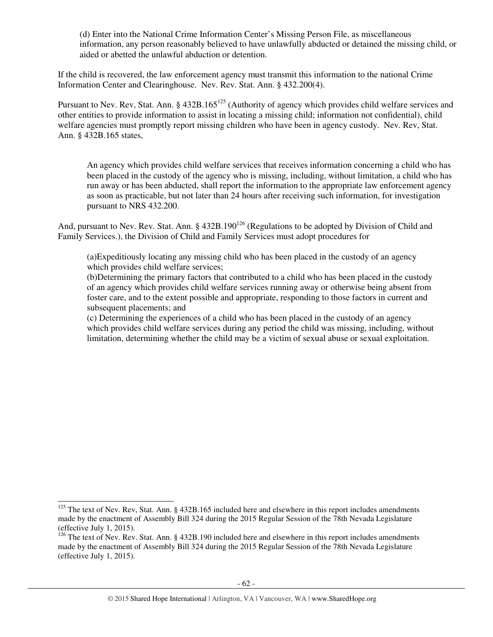(d) Enter into the National Crime Information Center's Missing Person File, as miscellaneous information, any person reasonably believed to have unlawfully abducted or detained the missing child, or aided or abetted the unlawful abduction or detention.

If the child is recovered, the law enforcement agency must transmit this information to the national Crime Information Center and Clearinghouse. Nev. Rev. Stat. Ann. § 432.200(4).

Pursuant to Nev. Rev, Stat. Ann. § 432B.165<sup>125</sup> (Authority of agency which provides child welfare services and other entities to provide information to assist in locating a missing child; information not confidential), child welfare agencies must promptly report missing children who have been in agency custody. Nev. Rev, Stat. Ann. § 432B.165 states,

An agency which provides child welfare services that receives information concerning a child who has been placed in the custody of the agency who is missing, including, without limitation, a child who has run away or has been abducted, shall report the information to the appropriate law enforcement agency as soon as practicable, but not later than 24 hours after receiving such information, for investigation pursuant to NRS 432.200.

And, pursuant to Nev. Rev. Stat. Ann. § 432B.190<sup>126</sup> (Regulations to be adopted by Division of Child and Family Services.), the Division of Child and Family Services must adopt procedures for

(a)Expeditiously locating any missing child who has been placed in the custody of an agency which provides child welfare services;

(b)Determining the primary factors that contributed to a child who has been placed in the custody of an agency which provides child welfare services running away or otherwise being absent from foster care, and to the extent possible and appropriate, responding to those factors in current and subsequent placements; and

(c) Determining the experiences of a child who has been placed in the custody of an agency which provides child welfare services during any period the child was missing, including, without limitation, determining whether the child may be a victim of sexual abuse or sexual exploitation.

j

 $125$  The text of Nev. Rev, Stat. Ann. § 432B.165 included here and elsewhere in this report includes amendments made by the enactment of Assembly Bill 324 during the 2015 Regular Session of the 78th Nevada Legislature (effective July 1, 2015).

<sup>&</sup>lt;sup>126</sup> The text of Nev. Rev. Stat. Ann. § 432B.190 included here and elsewhere in this report includes amendments made by the enactment of Assembly Bill 324 during the 2015 Regular Session of the 78th Nevada Legislature (effective July 1, 2015).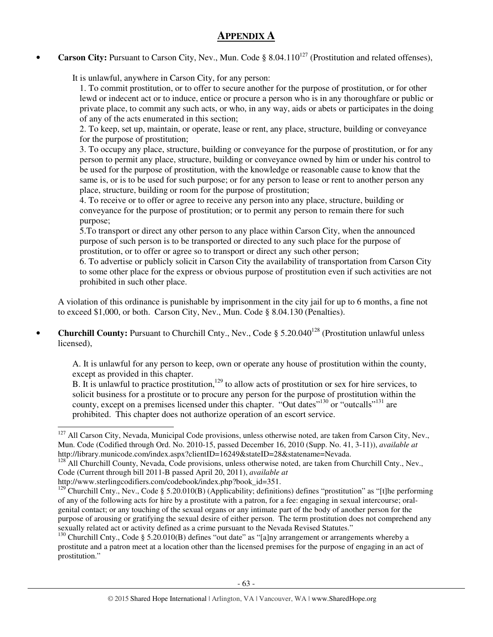# **APPENDIX A**

**Carson City:** Pursuant to Carson City, Nev., Mun. Code § 8.04.110<sup>127</sup> (Prostitution and related offenses),

It is unlawful, anywhere in Carson City, for any person:

1. To commit prostitution, or to offer to secure another for the purpose of prostitution, or for other lewd or indecent act or to induce, entice or procure a person who is in any thoroughfare or public or private place, to commit any such acts, or who, in any way, aids or abets or participates in the doing of any of the acts enumerated in this section;

2. To keep, set up, maintain, or operate, lease or rent, any place, structure, building or conveyance for the purpose of prostitution;

3. To occupy any place, structure, building or conveyance for the purpose of prostitution, or for any person to permit any place, structure, building or conveyance owned by him or under his control to be used for the purpose of prostitution, with the knowledge or reasonable cause to know that the same is, or is to be used for such purpose; or for any person to lease or rent to another person any place, structure, building or room for the purpose of prostitution;

4. To receive or to offer or agree to receive any person into any place, structure, building or conveyance for the purpose of prostitution; or to permit any person to remain there for such purpose;

5.To transport or direct any other person to any place within Carson City, when the announced purpose of such person is to be transported or directed to any such place for the purpose of prostitution, or to offer or agree so to transport or direct any such other person;

6. To advertise or publicly solicit in Carson City the availability of transportation from Carson City to some other place for the express or obvious purpose of prostitution even if such activities are not prohibited in such other place.

A violation of this ordinance is punishable by imprisonment in the city jail for up to 6 months, a fine not to exceed \$1,000, or both. Carson City, Nev., Mun. Code § 8.04.130 (Penalties).

• **Churchill County:** Pursuant to Churchill Cnty., Ney., Code § 5.20.040<sup>128</sup> (Prostitution unlawful unless licensed),

A. It is unlawful for any person to keep, own or operate any house of prostitution within the county, except as provided in this chapter.

B. It is unlawful to practice prostitution,<sup>129</sup> to allow acts of prostitution or sex for hire services, to solicit business for a prostitute or to procure any person for the purpose of prostitution within the county, except on a premises licensed under this chapter. "Out dates"<sup>130</sup> or "outcalls"<sup>131</sup> are prohibited. This chapter does not authorize operation of an escort service.

-

 $127$  All Carson City, Nevada, Municipal Code provisions, unless otherwise noted, are taken from Carson City, Nev., Mun. Code (Codified through Ord. No. 2010-15, passed December 16, 2010 (Supp. No. 41, 3-11)), *available at* http://library.municode.com/index.aspx?clientID=16249&stateID=28&statename=Nevada.

<sup>&</sup>lt;sup>128</sup> All Churchill County, Nevada, Code provisions, unless otherwise noted, are taken from Churchill Cnty., Nev., Code (Current through bill 2011-B passed April 20, 2011), *available at*

http://www.sterlingcodifiers.com/codebook/index.php?book\_id=351.

<sup>&</sup>lt;sup>129</sup> Churchill Cnty., Nev., Code § 5.20.010(B) (Applicability; definitions) defines "prostitution" as "[t]he performing of any of the following acts for hire by a prostitute with a patron, for a fee: engaging in sexual intercourse; oralgenital contact; or any touching of the sexual organs or any intimate part of the body of another person for the purpose of arousing or gratifying the sexual desire of either person. The term prostitution does not comprehend any sexually related act or activity defined as a crime pursuant to the Nevada Revised Statutes."

<sup>&</sup>lt;sup>130</sup> Churchill Cnty., Code § 5.20.010(B) defines "out date" as "[a]ny arrangement or arrangements whereby a prostitute and a patron meet at a location other than the licensed premises for the purpose of engaging in an act of prostitution."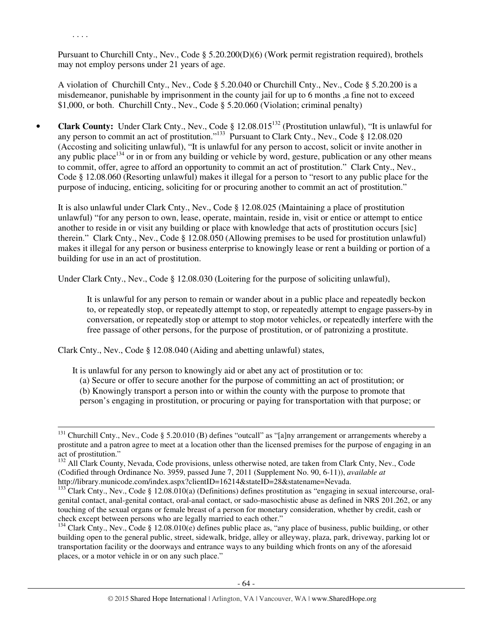. . . .

-

Pursuant to Churchill Cnty., Nev., Code § 5.20.200(D)(6) (Work permit registration required), brothels may not employ persons under 21 years of age.

A violation of Churchill Cnty., Nev., Code § 5.20.040 or Churchill Cnty., Nev., Code § 5.20.200 is a misdemeanor, punishable by imprisonment in the county jail for up to 6 months ,a fine not to exceed \$1,000, or both. Churchill Cnty., Nev., Code § 5.20.060 (Violation; criminal penalty)

• **Clark County:** Under Clark Cnty., Nev., Code § 12.08.015<sup>132</sup> (Prostitution unlawful), "It is unlawful for any person to commit an act of prostitution."<sup>133</sup> Pursuant to Clark Cnty., Nev., Code § 12.08.020 (Accosting and soliciting unlawful), "It is unlawful for any person to accost, solicit or invite another in any public place<sup>134</sup> or in or from any building or vehicle by word, gesture, publication or any other means to commit, offer, agree to afford an opportunity to commit an act of prostitution." Clark Cnty., Nev., Code § 12.08.060 (Resorting unlawful) makes it illegal for a person to "resort to any public place for the purpose of inducing, enticing, soliciting for or procuring another to commit an act of prostitution."

It is also unlawful under Clark Cnty., Nev., Code § 12.08.025 (Maintaining a place of prostitution unlawful) "for any person to own, lease, operate, maintain, reside in, visit or entice or attempt to entice another to reside in or visit any building or place with knowledge that acts of prostitution occurs [sic] therein." Clark Cnty., Nev., Code § 12.08.050 (Allowing premises to be used for prostitution unlawful) makes it illegal for any person or business enterprise to knowingly lease or rent a building or portion of a building for use in an act of prostitution.

Under Clark Cnty., Nev., Code § 12.08.030 (Loitering for the purpose of soliciting unlawful),

It is unlawful for any person to remain or wander about in a public place and repeatedly beckon to, or repeatedly stop, or repeatedly attempt to stop, or repeatedly attempt to engage passers-by in conversation, or repeatedly stop or attempt to stop motor vehicles, or repeatedly interfere with the free passage of other persons, for the purpose of prostitution, or of patronizing a prostitute.

Clark Cnty., Nev., Code § 12.08.040 (Aiding and abetting unlawful) states,

It is unlawful for any person to knowingly aid or abet any act of prostitution or to:

(a) Secure or offer to secure another for the purpose of committing an act of prostitution; or

(b) Knowingly transport a person into or within the county with the purpose to promote that person's engaging in prostitution, or procuring or paying for transportation with that purpose; or

 $131$  Churchill Cnty., Nev., Code § 5.20.010 (B) defines "outcall" as "[a]ny arrangement or arrangements whereby a prostitute and a patron agree to meet at a location other than the licensed premises for the purpose of engaging in an act of prostitution."

<sup>&</sup>lt;sup>132</sup> All Clark County, Nevada, Code provisions, unless otherwise noted, are taken from Clark Cnty, Nev., Code (Codified through Ordinance No. 3959, passed June 7, 2011 (Supplement No. 90, 6-11)), *available at*  http://library.municode.com/index.aspx?clientID=16214&stateID=28&statename=Nevada.

 $^{133}$ Clark Cnty., Nev., Code § 12.08.010(a) (Definitions) defines prostitution as "engaging in sexual intercourse, oralgenital contact, anal-genital contact, oral-anal contact, or sado-masochistic abuse as defined in NRS 201.262, or any touching of the sexual organs or female breast of a person for monetary consideration, whether by credit, cash or check except between persons who are legally married to each other."

<sup>&</sup>lt;sup>134</sup> Clark Cnty., Nev., Code § 12.08.010(e) defines public place as, "any place of business, public building, or other building open to the general public, street, sidewalk, bridge, alley or alleyway, plaza, park, driveway, parking lot or transportation facility or the doorways and entrance ways to any building which fronts on any of the aforesaid places, or a motor vehicle in or on any such place."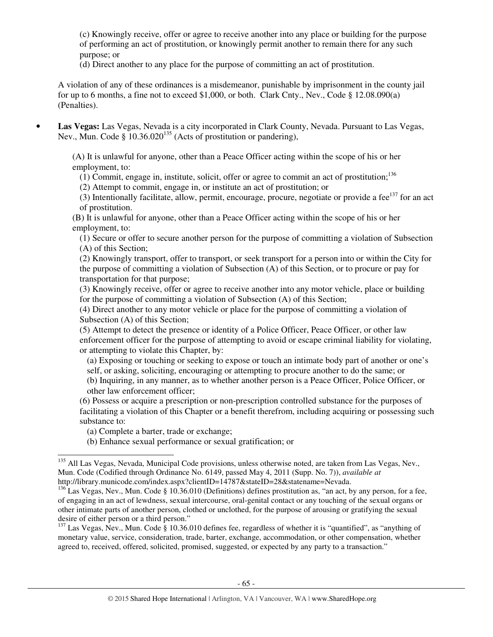(c) Knowingly receive, offer or agree to receive another into any place or building for the purpose of performing an act of prostitution, or knowingly permit another to remain there for any such purpose; or

(d) Direct another to any place for the purpose of committing an act of prostitution.

A violation of any of these ordinances is a misdemeanor, punishable by imprisonment in the county jail for up to 6 months, a fine not to exceed \$1,000, or both. Clark Cnty., Nev., Code § 12.08.090(a) (Penalties).

• **Las Vegas:** Las Vegas, Nevada is a city incorporated in Clark County, Nevada. Pursuant to Las Vegas, Nev., Mun. Code §  $10.36.020^{135}$  (Acts of prostitution or pandering),

(A) It is unlawful for anyone, other than a Peace Officer acting within the scope of his or her employment, to:

 $(1)$  Commit, engage in, institute, solicit, offer or agree to commit an act of prostitution;<sup>136</sup>

(2) Attempt to commit, engage in, or institute an act of prostitution; or

(3) Intentionally facilitate, allow, permit, encourage, procure, negotiate or provide a fee $137$  for an act of prostitution.

(B) It is unlawful for anyone, other than a Peace Officer acting within the scope of his or her employment, to:

(1) Secure or offer to secure another person for the purpose of committing a violation of Subsection (A) of this Section;

(2) Knowingly transport, offer to transport, or seek transport for a person into or within the City for the purpose of committing a violation of Subsection (A) of this Section, or to procure or pay for transportation for that purpose;

(3) Knowingly receive, offer or agree to receive another into any motor vehicle, place or building for the purpose of committing a violation of Subsection (A) of this Section;

(4) Direct another to any motor vehicle or place for the purpose of committing a violation of Subsection (A) of this Section;

(5) Attempt to detect the presence or identity of a Police Officer, Peace Officer, or other law enforcement officer for the purpose of attempting to avoid or escape criminal liability for violating, or attempting to violate this Chapter, by:

(a) Exposing or touching or seeking to expose or touch an intimate body part of another or one's self, or asking, soliciting, encouraging or attempting to procure another to do the same; or

(b) Inquiring, in any manner, as to whether another person is a Peace Officer, Police Officer, or other law enforcement officer;

(6) Possess or acquire a prescription or non-prescription controlled substance for the purposes of facilitating a violation of this Chapter or a benefit therefrom, including acquiring or possessing such substance to:

(b) Enhance sexual performance or sexual gratification; or

<sup>(</sup>a) Complete a barter, trade or exchange;

<sup>-</sup><sup>135</sup> All Las Vegas, Nevada, Municipal Code provisions, unless otherwise noted, are taken from Las Vegas, Nev., Mun. Code (Codified through Ordinance No. 6149, passed May 4, 2011 (Supp. No. 7)), *available at*  http://library.municode.com/index.aspx?clientID=14787&stateID=28&statename=Nevada.

<sup>&</sup>lt;sup>136</sup> Las Vegas, Nev., Mun. Code § 10.36.010 (Definitions) defines prostitution as, "an act, by any person, for a fee, of engaging in an act of lewdness, sexual intercourse, oral-genital contact or any touching of the sexual organs or other intimate parts of another person, clothed or unclothed, for the purpose of arousing or gratifying the sexual desire of either person or a third person."

<sup>&</sup>lt;sup>137</sup> Las Vegas, Nev., Mun. Code § 10.36.010 defines fee, regardless of whether it is "quantified", as "anything of monetary value, service, consideration, trade, barter, exchange, accommodation, or other compensation, whether agreed to, received, offered, solicited, promised, suggested, or expected by any party to a transaction."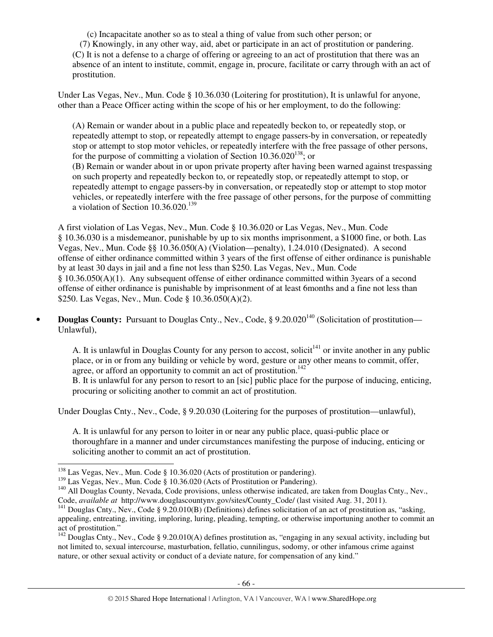(c) Incapacitate another so as to steal a thing of value from such other person; or (7) Knowingly, in any other way, aid, abet or participate in an act of prostitution or pandering. (C) It is not a defense to a charge of offering or agreeing to an act of prostitution that there was an absence of an intent to institute, commit, engage in, procure, facilitate or carry through with an act of prostitution.

Under Las Vegas, Nev., Mun. Code § 10.36.030 (Loitering for prostitution), It is unlawful for anyone, other than a Peace Officer acting within the scope of his or her employment, to do the following:

(A) Remain or wander about in a public place and repeatedly beckon to, or repeatedly stop, or repeatedly attempt to stop, or repeatedly attempt to engage passers-by in conversation, or repeatedly stop or attempt to stop motor vehicles, or repeatedly interfere with the free passage of other persons, for the purpose of committing a violation of Section  $10.36.020^{138}$ ; or

(B) Remain or wander about in or upon private property after having been warned against trespassing on such property and repeatedly beckon to, or repeatedly stop, or repeatedly attempt to stop, or repeatedly attempt to engage passers-by in conversation, or repeatedly stop or attempt to stop motor vehicles, or repeatedly interfere with the free passage of other persons, for the purpose of committing a violation of Section  $10.36.020$ .<sup>139</sup>

A first violation of Las Vegas, Nev., Mun. Code § 10.36.020 or Las Vegas, Nev., Mun. Code § 10.36.030 is a misdemeanor, punishable by up to six months imprisonment, a \$1000 fine, or both. Las Vegas, Nev., Mun. Code §§ 10.36.050(A) (Violation—penalty), 1.24.010 (Designated). A second offense of either ordinance committed within 3 years of the first offense of either ordinance is punishable by at least 30 days in jail and a fine not less than \$250. Las Vegas, Nev., Mun. Code § 10.36.050(A)(1). Any subsequent offense of either ordinance committed within 3years of a second offense of either ordinance is punishable by imprisonment of at least 6months and a fine not less than \$250. Las Vegas, Nev., Mun. Code § 10.36.050(A)(2).

• **Douglas County:** Pursuant to Douglas Cnty., Nev., Code, § 9.20.020<sup>140</sup> (Solicitation of prostitution— Unlawful),

A. It is unlawful in Douglas County for any person to accost, solicit<sup> $141$ </sup> or invite another in any public place, or in or from any building or vehicle by word, gesture or any other means to commit, offer, agree, or afford an opportunity to commit an act of prostitution.<sup>142</sup>

B. It is unlawful for any person to resort to an [sic] public place for the purpose of inducing, enticing, procuring or soliciting another to commit an act of prostitution.

Under Douglas Cnty., Nev., Code, § 9.20.030 (Loitering for the purposes of prostitution—unlawful),

A. It is unlawful for any person to loiter in or near any public place, quasi-public place or thoroughfare in a manner and under circumstances manifesting the purpose of inducing, enticing or soliciting another to commit an act of prostitution.

l

<sup>&</sup>lt;sup>138</sup> Las Vegas, Nev., Mun. Code § 10.36.020 (Acts of prostitution or pandering).

<sup>&</sup>lt;sup>139</sup> Las Vegas, Nev., Mun. Code § 10.36.020 (Acts of Prostitution or Pandering).

<sup>&</sup>lt;sup>140</sup> All Douglas County, Nevada, Code provisions, unless otherwise indicated, are taken from Douglas Cnty., Nev., Code, *available at* http://www.douglascountynv.gov/sites/County\_Code/ (last visited Aug. 31, 2011).

<sup>&</sup>lt;sup>141</sup> Douglas Cnty., Nev., Code § 9.20.010(B) (Definitions) defines solicitation of an act of prostitution as, "asking, appealing, entreating, inviting, imploring, luring, pleading, tempting, or otherwise importuning another to commit an act of prostitution."

 $142$  Douglas Cnty., Nev., Code § 9.20.010(A) defines prostitution as, "engaging in any sexual activity, including but not limited to, sexual intercourse, masturbation, fellatio, cunnilingus, sodomy, or other infamous crime against nature, or other sexual activity or conduct of a deviate nature, for compensation of any kind."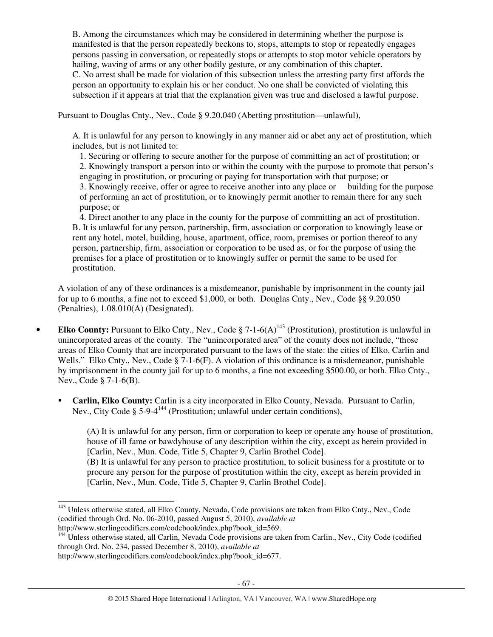B. Among the circumstances which may be considered in determining whether the purpose is manifested is that the person repeatedly beckons to, stops, attempts to stop or repeatedly engages persons passing in conversation, or repeatedly stops or attempts to stop motor vehicle operators by hailing, waving of arms or any other bodily gesture, or any combination of this chapter. C. No arrest shall be made for violation of this subsection unless the arresting party first affords the person an opportunity to explain his or her conduct. No one shall be convicted of violating this subsection if it appears at trial that the explanation given was true and disclosed a lawful purpose.

Pursuant to Douglas Cnty., Nev., Code § 9.20.040 (Abetting prostitution—unlawful),

A. It is unlawful for any person to knowingly in any manner aid or abet any act of prostitution, which includes, but is not limited to:

1. Securing or offering to secure another for the purpose of committing an act of prostitution; or

2. Knowingly transport a person into or within the county with the purpose to promote that person's engaging in prostitution, or procuring or paying for transportation with that purpose; or

3. Knowingly receive, offer or agree to receive another into any place or building for the purpose of performing an act of prostitution, or to knowingly permit another to remain there for any such purpose; or

4. Direct another to any place in the county for the purpose of committing an act of prostitution. B. It is unlawful for any person, partnership, firm, association or corporation to knowingly lease or rent any hotel, motel, building, house, apartment, office, room, premises or portion thereof to any person, partnership, firm, association or corporation to be used as, or for the purpose of using the premises for a place of prostitution or to knowingly suffer or permit the same to be used for prostitution.

A violation of any of these ordinances is a misdemeanor, punishable by imprisonment in the county jail for up to 6 months, a fine not to exceed \$1,000, or both. Douglas Cnty., Nev., Code §§ 9.20.050 (Penalties), 1.08.010(A) (Designated).

- **Elko County:** Pursuant to Elko Cnty., Nev., Code § 7-1-6(A)<sup>143</sup> (Prostitution), prostitution is unlawful in unincorporated areas of the county. The "unincorporated area" of the county does not include, "those areas of Elko County that are incorporated pursuant to the laws of the state: the cities of Elko, Carlin and Wells." Elko Cnty., Nev., Code § 7-1-6(F). A violation of this ordinance is a misdemeanor, punishable by imprisonment in the county jail for up to 6 months, a fine not exceeding \$500.00, or both. Elko Cnty., Nev., Code § 7-1-6(B).
	- **Carlin, Elko County:** Carlin is a city incorporated in Elko County, Nevada. Pursuant to Carlin, Nev., City Code § 5-9-4<sup>144</sup> (Prostitution; unlawful under certain conditions),

(A) It is unlawful for any person, firm or corporation to keep or operate any house of prostitution, house of ill fame or bawdyhouse of any description within the city, except as herein provided in [Carlin, Nev., Mun. Code, Title 5, Chapter 9, Carlin Brothel Code]. (B) It is unlawful for any person to practice prostitution, to solicit business for a prostitute or to procure any person for the purpose of prostitution within the city, except as herein provided in [Carlin, Nev., Mun. Code, Title 5, Chapter 9, Carlin Brothel Code].

j <sup>143</sup> Unless otherwise stated, all Elko County, Nevada, Code provisions are taken from Elko Cnty., Nev., Code (codified through Ord. No. 06-2010, passed August 5, 2010), *available at*  http://www.sterlingcodifiers.com/codebook/index.php?book\_id=569.

<sup>&</sup>lt;sup>144</sup> Unless otherwise stated, all Carlin, Nevada Code provisions are taken from Carlin., Nev., City Code (codified through Ord. No. 234, passed December 8, 2010), *available at* 

http://www.sterlingcodifiers.com/codebook/index.php?book\_id=677.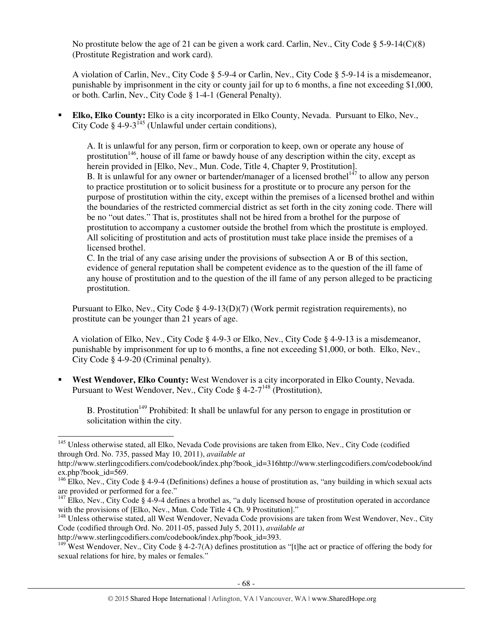No prostitute below the age of 21 can be given a work card. Carlin, Nev., City Code  $\S$  5-9-14(C)(8) (Prostitute Registration and work card).

A violation of Carlin, Nev., City Code § 5-9-4 or Carlin, Nev., City Code § 5-9-14 is a misdemeanor, punishable by imprisonment in the city or county jail for up to 6 months, a fine not exceeding \$1,000, or both. Carlin, Nev., City Code § 1-4-1 (General Penalty).

 **Elko, Elko County:** Elko is a city incorporated in Elko County, Nevada. Pursuant to Elko, Nev., City Code  $\frac{1}{2}$  4-9-3<sup>145</sup> (Unlawful under certain conditions).

A. It is unlawful for any person, firm or corporation to keep, own or operate any house of prostitution<sup>146</sup>, house of ill fame or bawdy house of any description within the city, except as herein provided in [Elko, Nev., Mun. Code, Title 4, Chapter 9, Prostitution]. B. It is unlawful for any owner or bartender/manager of a licensed brothel<sup> $1\bar{4}7$ </sup> to allow any person to practice prostitution or to solicit business for a prostitute or to procure any person for the

purpose of prostitution within the city, except within the premises of a licensed brothel and within the boundaries of the restricted commercial district as set forth in the city zoning code. There will be no "out dates." That is, prostitutes shall not be hired from a brothel for the purpose of prostitution to accompany a customer outside the brothel from which the prostitute is employed. All soliciting of prostitution and acts of prostitution must take place inside the premises of a licensed brothel.

C. In the trial of any case arising under the provisions of subsection A or B of this section, evidence of general reputation shall be competent evidence as to the question of the ill fame of any house of prostitution and to the question of the ill fame of any person alleged to be practicing prostitution.

Pursuant to Elko, Nev., City Code § 4-9-13(D)(7) (Work permit registration requirements), no prostitute can be younger than 21 years of age.

A violation of Elko, Nev., City Code § 4-9-3 or Elko, Nev., City Code § 4-9-13 is a misdemeanor, punishable by imprisonment for up to 6 months, a fine not exceeding \$1,000, or both. Elko, Nev., City Code § 4-9-20 (Criminal penalty).

 **West Wendover, Elko County:** West Wendover is a city incorporated in Elko County, Nevada. Pursuant to West Wendover, Nev., City Code  $\S$  4-2-7<sup>148</sup> (Prostitution),

B. Prostitution<sup>149</sup> Prohibited: It shall be unlawful for any person to engage in prostitution or solicitation within the city.

http://www.sterlingcodifiers.com/codebook/index.php?book\_id=393.

l

<sup>149</sup> West Wendover, Nev., City Code § 4-2-7(A) defines prostitution as "[t]he act or practice of offering the body for sexual relations for hire, by males or females."

<sup>&</sup>lt;sup>145</sup> Unless otherwise stated, all Elko, Nevada Code provisions are taken from Elko, Nev., City Code (codified through Ord. No. 735, passed May 10, 2011), *available at* 

http://www.sterlingcodifiers.com/codebook/index.php?book\_id=316http://www.sterlingcodifiers.com/codebook/ind ex.php?book\_id=569.

<sup>&</sup>lt;sup>146</sup> Elko, Nev., City Code § 4-9-4 (Definitions) defines a house of prostitution as, "any building in which sexual acts are provided or performed for a fee."

 $147$  Elko, Nev., City Code § 4-9-4 defines a brothel as, "a duly licensed house of prostitution operated in accordance with the provisions of [Elko, Nev., Mun. Code Title 4 Ch. 9 Prostitution]."

<sup>&</sup>lt;sup>148</sup> Unless otherwise stated, all West Wendover, Nevada Code provisions are taken from West Wendover, Nev., City Code (codified through Ord. No. 2011-05, passed July 5, 2011), *available at*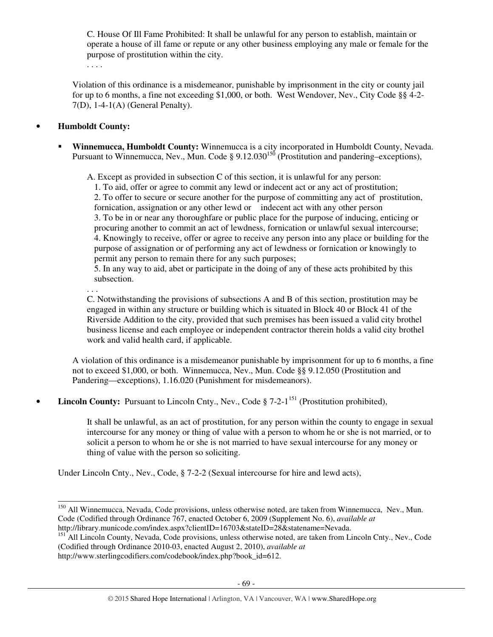C. House Of Ill Fame Prohibited: It shall be unlawful for any person to establish, maintain or operate a house of ill fame or repute or any other business employing any male or female for the purpose of prostitution within the city.

. . . .

Violation of this ordinance is a misdemeanor, punishable by imprisonment in the city or county jail for up to 6 months, a fine not exceeding \$1,000, or both. West Wendover, Nev., City Code §§ 4-2- 7(D), 1-4-1(A) (General Penalty).

## • **Humboldt County:**

. . .

j

 **Winnemucca, Humboldt County:** Winnemucca is a city incorporated in Humboldt County, Nevada. Pursuant to Winnemucca, Nev., Mun. Code § 9.12.030<sup>150</sup> (Prostitution and pandering–exceptions),

A. Except as provided in subsection C of this section, it is unlawful for any person:

1. To aid, offer or agree to commit any lewd or indecent act or any act of prostitution; 2. To offer to secure or secure another for the purpose of committing any act of prostitution, fornication, assignation or any other lewd or indecent act with any other person 3. To be in or near any thoroughfare or public place for the purpose of inducing, enticing or procuring another to commit an act of lewdness, fornication or unlawful sexual intercourse; 4. Knowingly to receive, offer or agree to receive any person into any place or building for the purpose of assignation or of performing any act of lewdness or fornication or knowingly to permit any person to remain there for any such purposes;

5. In any way to aid, abet or participate in the doing of any of these acts prohibited by this subsection.

C. Notwithstanding the provisions of subsections A and B of this section, prostitution may be engaged in within any structure or building which is situated in Block 40 or Block 41 of the Riverside Addition to the city, provided that such premises has been issued a valid city brothel business license and each employee or independent contractor therein holds a valid city brothel work and valid health card, if applicable.

A violation of this ordinance is a misdemeanor punishable by imprisonment for up to 6 months, a fine not to exceed \$1,000, or both. Winnemucca, Nev., Mun. Code §§ 9.12.050 (Prostitution and Pandering—exceptions), 1.16.020 (Punishment for misdemeanors).

**Lincoln County:** Pursuant to Lincoln Cnty., Nev., Code § 7-2-1<sup>151</sup> (Prostitution prohibited),

It shall be unlawful, as an act of prostitution, for any person within the county to engage in sexual intercourse for any money or thing of value with a person to whom he or she is not married, or to solicit a person to whom he or she is not married to have sexual intercourse for any money or thing of value with the person so soliciting.

Under Lincoln Cnty., Nev., Code, § 7-2-2 (Sexual intercourse for hire and lewd acts),

<sup>&</sup>lt;sup>150</sup> All Winnemucca, Nevada, Code provisions, unless otherwise noted, are taken from Winnemucca, Nev., Mun. Code (Codified through Ordinance 767, enacted October 6, 2009 (Supplement No. 6), *available at*  http://library.municode.com/index.aspx?clientID=16703&stateID=28&statename=Nevada.

<sup>&</sup>lt;sup>151</sup> All Lincoln County, Nevada, Code provisions, unless otherwise noted, are taken from Lincoln Cnty., Nev., Code (Codified through Ordinance 2010-03, enacted August 2, 2010), *available at*  http://www.sterlingcodifiers.com/codebook/index.php?book\_id=612.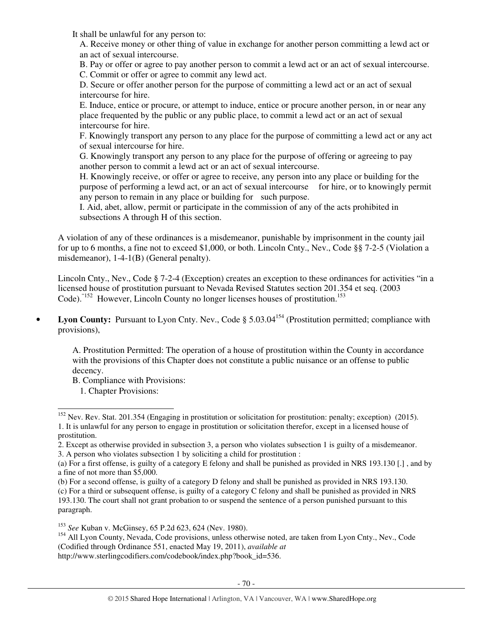It shall be unlawful for any person to:

A. Receive money or other thing of value in exchange for another person committing a lewd act or an act of sexual intercourse.

B. Pay or offer or agree to pay another person to commit a lewd act or an act of sexual intercourse.

C. Commit or offer or agree to commit any lewd act.

D. Secure or offer another person for the purpose of committing a lewd act or an act of sexual intercourse for hire.

E. Induce, entice or procure, or attempt to induce, entice or procure another person, in or near any place frequented by the public or any public place, to commit a lewd act or an act of sexual intercourse for hire.

F. Knowingly transport any person to any place for the purpose of committing a lewd act or any act of sexual intercourse for hire.

G. Knowingly transport any person to any place for the purpose of offering or agreeing to pay another person to commit a lewd act or an act of sexual intercourse.

H. Knowingly receive, or offer or agree to receive, any person into any place or building for the purpose of performing a lewd act, or an act of sexual intercourse for hire, or to knowingly permit any person to remain in any place or building for such purpose.

I. Aid, abet, allow, permit or participate in the commission of any of the acts prohibited in subsections A through H of this section.

A violation of any of these ordinances is a misdemeanor, punishable by imprisonment in the county jail for up to 6 months, a fine not to exceed \$1,000, or both. Lincoln Cnty., Nev., Code §§ 7-2-5 (Violation a misdemeanor), 1-4-1(B) (General penalty).

Lincoln Cnty., Nev., Code § 7-2-4 (Exception) creates an exception to these ordinances for activities "in a licensed house of prostitution pursuant to Nevada Revised Statutes section 201.354 et seq. (2003 Code). "<sup>152</sup> However, Lincoln County no longer licenses houses of prostitution.<sup>153</sup>

• Lyon County: Pursuant to Lyon Cnty. Nev., Code § 5.03.04<sup>154</sup> (Prostitution permitted; compliance with provisions),

A. Prostitution Permitted: The operation of a house of prostitution within the County in accordance with the provisions of this Chapter does not constitute a public nuisance or an offense to public decency.

B. Compliance with Provisions:

l

<sup>1.</sup> Chapter Provisions:

<sup>&</sup>lt;sup>152</sup> Nev. Rev. Stat. 201.354 (Engaging in prostitution or solicitation for prostitution: penalty; exception) (2015). 1. It is unlawful for any person to engage in prostitution or solicitation therefor, except in a licensed house of prostitution.

<sup>2.</sup> Except as otherwise provided in subsection 3, a person who violates subsection 1 is guilty of a misdemeanor. 3. A person who violates subsection 1 by soliciting a child for prostitution :

<sup>(</sup>a) For a first offense, is guilty of a category E felony and shall be punished as provided in NRS 193.130 [.] , and by a fine of not more than \$5,000.

<sup>(</sup>b) For a second offense, is guilty of a category D felony and shall be punished as provided in NRS 193.130. (c) For a third or subsequent offense, is guilty of a category C felony and shall be punished as provided in NRS

<sup>193.130.</sup> The court shall not grant probation to or suspend the sentence of a person punished pursuant to this paragraph.

<sup>153</sup> *See* Kuban v. McGinsey, 65 P.2d 623, 624 (Nev. 1980).

<sup>&</sup>lt;sup>154</sup> All Lyon County, Nevada, Code provisions, unless otherwise noted, are taken from Lyon Cnty., Nev., Code (Codified through Ordinance 551, enacted May 19, 2011), *available at*  http://www.sterlingcodifiers.com/codebook/index.php?book\_id=536.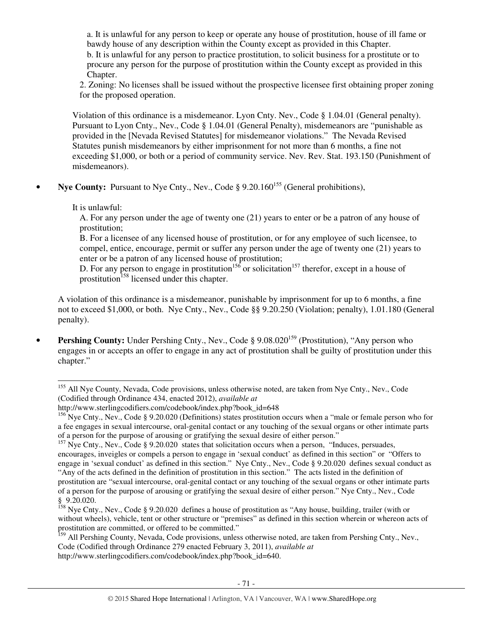a. It is unlawful for any person to keep or operate any house of prostitution, house of ill fame or bawdy house of any description within the County except as provided in this Chapter. b. It is unlawful for any person to practice prostitution, to solicit business for a prostitute or to procure any person for the purpose of prostitution within the County except as provided in this Chapter.

2. Zoning: No licenses shall be issued without the prospective licensee first obtaining proper zoning for the proposed operation.

Violation of this ordinance is a misdemeanor. Lyon Cnty. Nev., Code § 1.04.01 (General penalty). Pursuant to Lyon Cnty., Nev., Code § 1.04.01 (General Penalty), misdemeanors are "punishable as provided in the [Nevada Revised Statutes] for misdemeanor violations." The Nevada Revised Statutes punish misdemeanors by either imprisonment for not more than 6 months, a fine not exceeding \$1,000, or both or a period of community service. Nev. Rev. Stat. 193.150 (Punishment of misdemeanors).

**Nve County:** Pursuant to Nye Cnty., Nev., Code § 9.20.160<sup>155</sup> (General prohibitions),

It is unlawful:

l

A. For any person under the age of twenty one (21) years to enter or be a patron of any house of prostitution;

B. For a licensee of any licensed house of prostitution, or for any employee of such licensee, to compel, entice, encourage, permit or suffer any person under the age of twenty one (21) years to enter or be a patron of any licensed house of prostitution;

D. For any person to engage in prostitution<sup>156</sup> or solicitation<sup>157</sup> therefor, except in a house of prostitution<sup>158</sup> licensed under this chapter.

A violation of this ordinance is a misdemeanor, punishable by imprisonment for up to 6 months, a fine not to exceed \$1,000, or both. Nye Cnty., Nev., Code §§ 9.20.250 (Violation; penalty), 1.01.180 (General penalty).

• **Pershing County:** Under Pershing Cnty., Nev., Code § 9.08.020<sup>159</sup> (Prostitution), "Any person who engages in or accepts an offer to engage in any act of prostitution shall be guilty of prostitution under this chapter."

<sup>&</sup>lt;sup>155</sup> All Nye County, Nevada, Code provisions, unless otherwise noted, are taken from Nye Cnty., Nev., Code (Codified through Ordinance 434, enacted 2012), *available at* 

http://www.sterlingcodifiers.com/codebook/index.php?book\_id=648

<sup>&</sup>lt;sup>156</sup> Nye Cnty., Nev., Code § 9.20.020 (Definitions) states prostitution occurs when a "male or female person who for a fee engages in sexual intercourse, oral-genital contact or any touching of the sexual organs or other intimate parts of a person for the purpose of arousing or gratifying the sexual desire of either person."

 $157$  Nye Cnty., Nev., Code § 9.20.020 states that solicitation occurs when a person, "Induces, persuades, encourages, inveigles or compels a person to engage in 'sexual conduct' as defined in this section" or "Offers to engage in 'sexual conduct' as defined in this section." Nye Cnty., Nev., Code § 9.20.020 defines sexual conduct as "Any of the acts defined in the definition of prostitution in this section." The acts listed in the definition of prostitution are "sexual intercourse, oral-genital contact or any touching of the sexual organs or other intimate parts of a person for the purpose of arousing or gratifying the sexual desire of either person." Nye Cnty., Nev., Code § 9.20.020.

 $158$  Nye Cnty., Nev., Code § 9.20.020 defines a house of prostitution as "Any house, building, trailer (with or without wheels), vehicle, tent or other structure or "premises" as defined in this section wherein or whereon acts of prostitution are committed, or offered to be committed."

<sup>&</sup>lt;sup>159</sup> All Pershing County, Nevada, Code provisions, unless otherwise noted, are taken from Pershing Cnty., Nev., Code (Codified through Ordinance 279 enacted February 3, 2011), *available at* http://www.sterlingcodifiers.com/codebook/index.php?book\_id=640.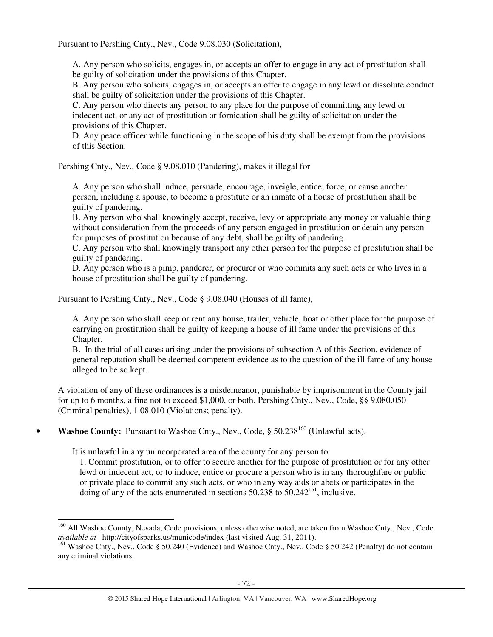Pursuant to Pershing Cnty., Nev., Code 9.08.030 (Solicitation),

A. Any person who solicits, engages in, or accepts an offer to engage in any act of prostitution shall be guilty of solicitation under the provisions of this Chapter.

B. Any person who solicits, engages in, or accepts an offer to engage in any lewd or dissolute conduct shall be guilty of solicitation under the provisions of this Chapter.

C. Any person who directs any person to any place for the purpose of committing any lewd or indecent act, or any act of prostitution or fornication shall be guilty of solicitation under the provisions of this Chapter.

D. Any peace officer while functioning in the scope of his duty shall be exempt from the provisions of this Section.

Pershing Cnty., Nev., Code § 9.08.010 (Pandering), makes it illegal for

A. Any person who shall induce, persuade, encourage, inveigle, entice, force, or cause another person, including a spouse, to become a prostitute or an inmate of a house of prostitution shall be guilty of pandering.

B. Any person who shall knowingly accept, receive, levy or appropriate any money or valuable thing without consideration from the proceeds of any person engaged in prostitution or detain any person for purposes of prostitution because of any debt, shall be guilty of pandering.

C. Any person who shall knowingly transport any other person for the purpose of prostitution shall be guilty of pandering.

D. Any person who is a pimp, panderer, or procurer or who commits any such acts or who lives in a house of prostitution shall be guilty of pandering.

Pursuant to Pershing Cnty., Nev., Code § 9.08.040 (Houses of ill fame),

A. Any person who shall keep or rent any house, trailer, vehicle, boat or other place for the purpose of carrying on prostitution shall be guilty of keeping a house of ill fame under the provisions of this Chapter.

B. In the trial of all cases arising under the provisions of subsection A of this Section, evidence of general reputation shall be deemed competent evidence as to the question of the ill fame of any house alleged to be so kept.

A violation of any of these ordinances is a misdemeanor, punishable by imprisonment in the County jail for up to 6 months, a fine not to exceed \$1,000, or both. Pershing Cnty., Nev., Code, §§ 9.080.050 (Criminal penalties), 1.08.010 (Violations; penalty).

**Washoe County:** Pursuant to Washoe Cnty., Nev., Code, § 50.238<sup>160</sup> (Unlawful acts),

It is unlawful in any unincorporated area of the county for any person to:

l

1. Commit prostitution, or to offer to secure another for the purpose of prostitution or for any other lewd or indecent act, or to induce, entice or procure a person who is in any thoroughfare or public or private place to commit any such acts, or who in any way aids or abets or participates in the doing of any of the acts enumerated in sections  $50.238$  to  $50.242^{161}$ , inclusive.

<sup>&</sup>lt;sup>160</sup> All Washoe County, Nevada, Code provisions, unless otherwise noted, are taken from Washoe Cnty., Nev., Code *available at* http://cityofsparks.us/municode/index (last visited Aug. 31, 2011).

<sup>&</sup>lt;sup>161</sup> Washoe Cnty., Nev., Code § 50.240 (Evidence) and Washoe Cnty., Nev., Code § 50.242 (Penalty) do not contain any criminal violations.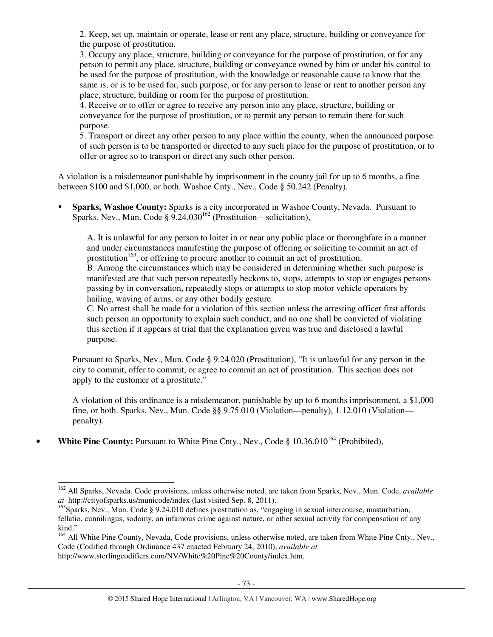2. Keep, set up, maintain or operate, lease or rent any place, structure, building or conveyance for the purpose of prostitution.

3. Occupy any place, structure, building or conveyance for the purpose of prostitution, or for any person to permit any place, structure, building or conveyance owned by him or under his control to be used for the purpose of prostitution, with the knowledge or reasonable cause to know that the same is, or is to be used for, such purpose, or for any person to lease or rent to another person any place, structure, building or room for the purpose of prostitution.

4. Receive or to offer or agree to receive any person into any place, structure, building or conveyance for the purpose of prostitution, or to permit any person to remain there for such purpose.

5. Transport or direct any other person to any place within the county, when the announced purpose of such person is to be transported or directed to any such place for the purpose of prostitution, or to offer or agree so to transport or direct any such other person.

A violation is a misdemeanor punishable by imprisonment in the county jail for up to 6 months, a fine between \$100 and \$1,000, or both. Washoe Cnty., Nev., Code § 50.242 (Penalty).

 **Sparks, Washoe County:** Sparks is a city incorporated in Washoe County, Nevada. Pursuant to Sparks, Nev., Mun. Code §  $9.24.030^{162}$  (Prostitution—solicitation),

A. It is unlawful for any person to loiter in or near any public place or thoroughfare in a manner and under circumstances manifesting the purpose of offering or soliciting to commit an act of prostitution<sup>163</sup>, or offering to procure another to commit an act of prostitution.

B. Among the circumstances which may be considered in determining whether such purpose is manifested are that such person repeatedly beckons to, stops, attempts to stop or engages persons passing by in conversation, repeatedly stops or attempts to stop motor vehicle operators by hailing, waving of arms, or any other bodily gesture.

C. No arrest shall be made for a violation of this section unless the arresting officer first affords such person an opportunity to explain such conduct, and no one shall be convicted of violating this section if it appears at trial that the explanation given was true and disclosed a lawful purpose.

Pursuant to Sparks, Nev., Mun. Code § 9.24.020 (Prostitution), "It is unlawful for any person in the city to commit, offer to commit, or agree to commit an act of prostitution. This section does not apply to the customer of a prostitute."

A violation of this ordinance is a misdemeanor, punishable by up to 6 months imprisonment, a \$1,000 fine, or both. Sparks, Nev., Mun. Code §§ 9.75.010 (Violation—penalty), 1.12.010 (Violation penalty).

• White Pine County: Pursuant to White Pine Cnty., Nev., Code § 10.36.010<sup>164</sup> (Prohibited),

<sup>-</sup><sup>162</sup> All Sparks, Nevada, Code provisions, unless otherwise noted, are taken from Sparks, Nev., Mun. Code, *available at* http://cityofsparks.us/municode/index (last visited Sep. 8, 2011).

<sup>&</sup>lt;sup>163</sup>Sparks, Nev., Mun. Code § 9.24.010 defines prostitution as, "engaging in sexual intercourse, masturbation, fellatio, cunnilingus, sodomy, an infamous crime against nature, or other sexual activity for compensation of any kind."

<sup>&</sup>lt;sup>164</sup> All White Pine County, Nevada, Code provisions, unless otherwise noted, are taken from White Pine Cnty., Nev., Code (Codified through Ordinance 437 enacted February 24, 2010), *available at* http://www.sterlingcodifiers.com/NV/White%20Pine%20County/index.htm.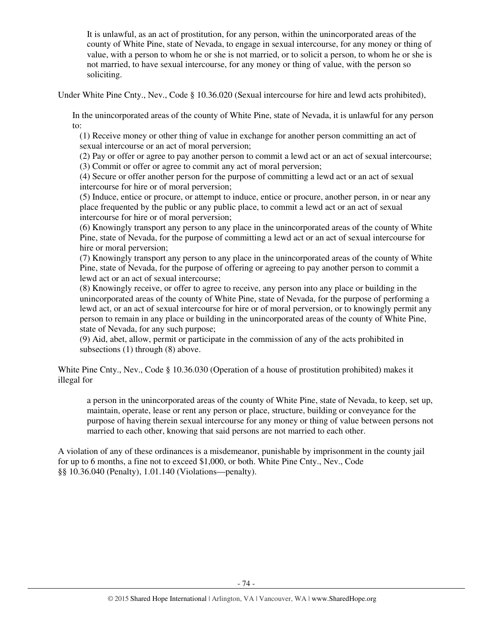It is unlawful, as an act of prostitution, for any person, within the unincorporated areas of the county of White Pine, state of Nevada, to engage in sexual intercourse, for any money or thing of value, with a person to whom he or she is not married, or to solicit a person, to whom he or she is not married, to have sexual intercourse, for any money or thing of value, with the person so soliciting.

Under White Pine Cnty., Nev., Code § 10.36.020 (Sexual intercourse for hire and lewd acts prohibited),

In the unincorporated areas of the county of White Pine, state of Nevada, it is unlawful for any person to:

(1) Receive money or other thing of value in exchange for another person committing an act of sexual intercourse or an act of moral perversion;

(2) Pay or offer or agree to pay another person to commit a lewd act or an act of sexual intercourse;

(3) Commit or offer or agree to commit any act of moral perversion;

(4) Secure or offer another person for the purpose of committing a lewd act or an act of sexual intercourse for hire or of moral perversion;

(5) Induce, entice or procure, or attempt to induce, entice or procure, another person, in or near any place frequented by the public or any public place, to commit a lewd act or an act of sexual intercourse for hire or of moral perversion;

(6) Knowingly transport any person to any place in the unincorporated areas of the county of White Pine, state of Nevada, for the purpose of committing a lewd act or an act of sexual intercourse for hire or moral perversion;

(7) Knowingly transport any person to any place in the unincorporated areas of the county of White Pine, state of Nevada, for the purpose of offering or agreeing to pay another person to commit a lewd act or an act of sexual intercourse;

(8) Knowingly receive, or offer to agree to receive, any person into any place or building in the unincorporated areas of the county of White Pine, state of Nevada, for the purpose of performing a lewd act, or an act of sexual intercourse for hire or of moral perversion, or to knowingly permit any person to remain in any place or building in the unincorporated areas of the county of White Pine, state of Nevada, for any such purpose;

(9) Aid, abet, allow, permit or participate in the commission of any of the acts prohibited in subsections (1) through (8) above.

White Pine Cnty., Nev., Code § 10.36.030 (Operation of a house of prostitution prohibited) makes it illegal for

a person in the unincorporated areas of the county of White Pine, state of Nevada, to keep, set up, maintain, operate, lease or rent any person or place, structure, building or conveyance for the purpose of having therein sexual intercourse for any money or thing of value between persons not married to each other, knowing that said persons are not married to each other.

A violation of any of these ordinances is a misdemeanor, punishable by imprisonment in the county jail for up to 6 months, a fine not to exceed \$1,000, or both. White Pine Cnty., Nev., Code §§ 10.36.040 (Penalty), 1.01.140 (Violations—penalty).